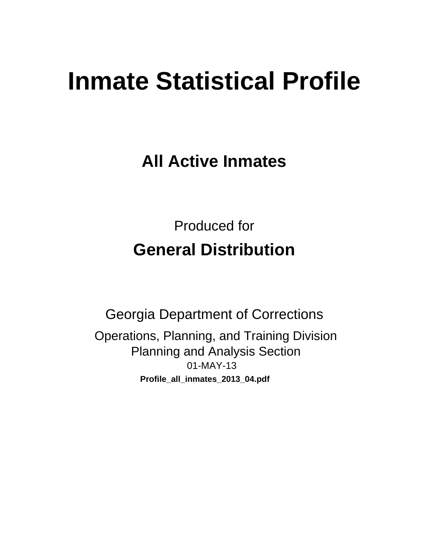# **Inmate Statistical Profile**

**All Active Inmates** 

**Produced for General Distribution** 

**Georgia Department of Corrections** Operations, Planning, and Training Division **Planning and Analysis Section** 01-MAY-13 Profile\_all\_inmates\_2013\_04.pdf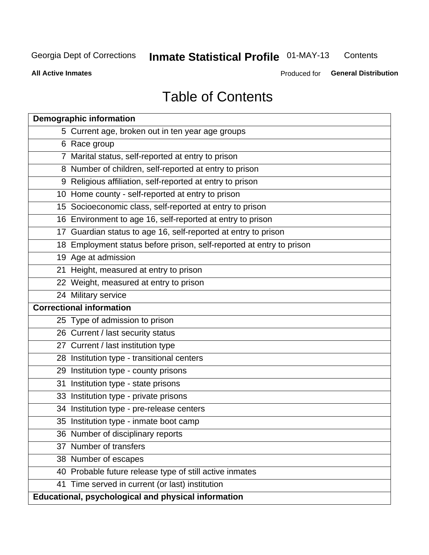#### Inmate Statistical Profile 01-MAY-13 Contents

**All Active Inmates** 

Produced for General Distribution

# **Table of Contents**

|    | <b>Demographic information</b>                                       |
|----|----------------------------------------------------------------------|
|    | 5 Current age, broken out in ten year age groups                     |
|    | 6 Race group                                                         |
|    | 7 Marital status, self-reported at entry to prison                   |
|    | 8 Number of children, self-reported at entry to prison               |
|    | 9 Religious affiliation, self-reported at entry to prison            |
|    | 10 Home county - self-reported at entry to prison                    |
|    | 15 Socioeconomic class, self-reported at entry to prison             |
|    | 16 Environment to age 16, self-reported at entry to prison           |
|    | 17 Guardian status to age 16, self-reported at entry to prison       |
|    | 18 Employment status before prison, self-reported at entry to prison |
|    | 19 Age at admission                                                  |
|    | 21 Height, measured at entry to prison                               |
|    | 22 Weight, measured at entry to prison                               |
|    | 24 Military service                                                  |
|    | <b>Correctional information</b>                                      |
|    | 25 Type of admission to prison                                       |
|    | 26 Current / last security status                                    |
|    | 27 Current / last institution type                                   |
|    | 28 Institution type - transitional centers                           |
|    | 29 Institution type - county prisons                                 |
| 31 | Institution type - state prisons                                     |
|    | 33 Institution type - private prisons                                |
|    | 34 Institution type - pre-release centers                            |
|    | 35 Institution type - inmate boot camp                               |
|    | 36 Number of disciplinary reports                                    |
|    | 37 Number of transfers                                               |
|    | 38 Number of escapes                                                 |
|    | 40 Probable future release type of still active inmates              |
|    | 41 Time served in current (or last) institution                      |
|    | Educational, psychological and physical information                  |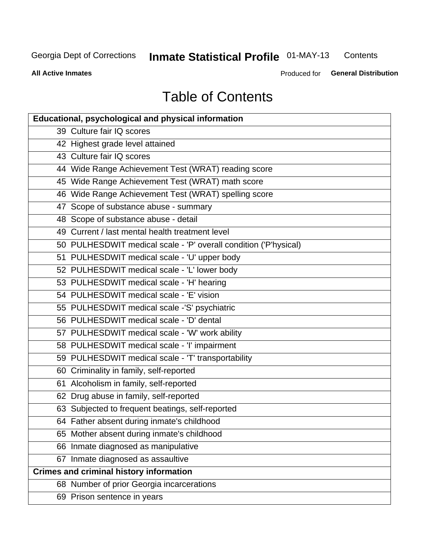#### **Inmate Statistical Profile 01-MAY-13** Contents

**All Active Inmates** 

Produced for General Distribution

# **Table of Contents**

| <b>Educational, psychological and physical information</b>       |
|------------------------------------------------------------------|
| 39 Culture fair IQ scores                                        |
| 42 Highest grade level attained                                  |
| 43 Culture fair IQ scores                                        |
| 44 Wide Range Achievement Test (WRAT) reading score              |
| 45 Wide Range Achievement Test (WRAT) math score                 |
| 46 Wide Range Achievement Test (WRAT) spelling score             |
| 47 Scope of substance abuse - summary                            |
| 48 Scope of substance abuse - detail                             |
| 49 Current / last mental health treatment level                  |
| 50 PULHESDWIT medical scale - 'P' overall condition ('P'hysical) |
| 51 PULHESDWIT medical scale - 'U' upper body                     |
| 52 PULHESDWIT medical scale - 'L' lower body                     |
| 53 PULHESDWIT medical scale - 'H' hearing                        |
| 54 PULHESDWIT medical scale - 'E' vision                         |
| 55 PULHESDWIT medical scale -'S' psychiatric                     |
| 56 PULHESDWIT medical scale - 'D' dental                         |
| 57 PULHESDWIT medical scale - 'W' work ability                   |
| 58 PULHESDWIT medical scale - 'I' impairment                     |
| 59 PULHESDWIT medical scale - 'T' transportability               |
| 60 Criminality in family, self-reported                          |
| 61 Alcoholism in family, self-reported                           |
| 62 Drug abuse in family, self-reported                           |
| 63 Subjected to frequent beatings, self-reported                 |
| 64 Father absent during inmate's childhood                       |
| 65 Mother absent during inmate's childhood                       |
| 66 Inmate diagnosed as manipulative                              |
| 67 Inmate diagnosed as assaultive                                |
| <b>Crimes and criminal history information</b>                   |
| 68 Number of prior Georgia incarcerations                        |
| 69 Prison sentence in years                                      |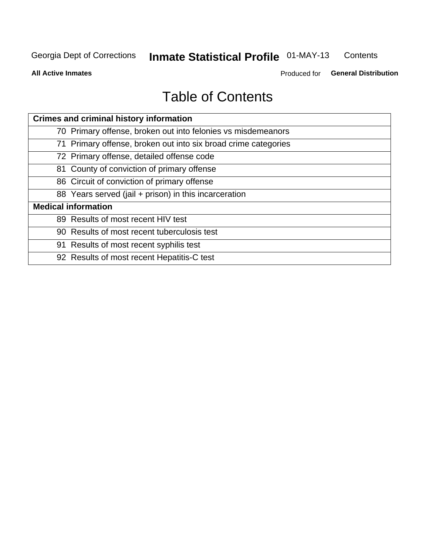#### Inmate Statistical Profile 01-MAY-13 Contents

**All Active Inmates** 

Produced for General Distribution

# **Table of Contents**

| <b>Crimes and criminal history information</b>                 |
|----------------------------------------------------------------|
| 70 Primary offense, broken out into felonies vs misdemeanors   |
| 71 Primary offense, broken out into six broad crime categories |
| 72 Primary offense, detailed offense code                      |
| 81 County of conviction of primary offense                     |
| 86 Circuit of conviction of primary offense                    |
| 88 Years served (jail + prison) in this incarceration          |
| <b>Medical information</b>                                     |
| 89 Results of most recent HIV test                             |
| 90 Results of most recent tuberculosis test                    |
| 91 Results of most recent syphilis test                        |
| 92 Results of most recent Hepatitis-C test                     |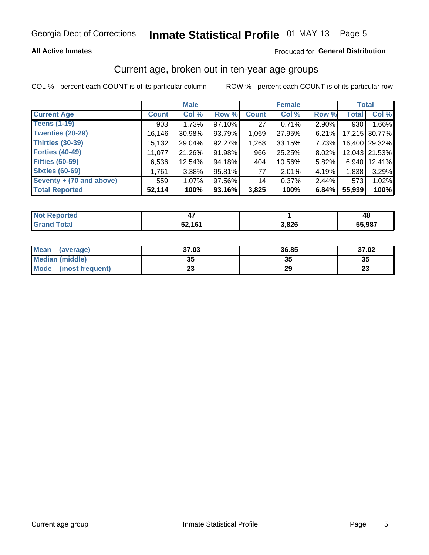#### **All Active Inmates**

#### Produced for General Distribution

### Current age, broken out in ten-year age groups

COL % - percent each COUNT is of its particular column

|                          |              | <b>Male</b> |        |              | <b>Female</b> |          | <b>Total</b> |               |
|--------------------------|--------------|-------------|--------|--------------|---------------|----------|--------------|---------------|
| <b>Current Age</b>       | <b>Count</b> | Col %       | Row %  | <b>Count</b> | Col %         | Row %    | <b>Total</b> | Col %         |
| <b>Teens (1-19)</b>      | 903          | 1.73%       | 97.10% | 27           | 0.71%         | $2.90\%$ | 930          | 1.66%         |
| <b>Twenties (20-29)</b>  | 16, 146      | $30.98\%$   | 93.79% | 1,069        | 27.95%        | 6.21%    |              | 17,215 30.77% |
| <b>Thirties (30-39)</b>  | 15,132       | 29.04%      | 92.27% | 1,268        | 33.15%        | 7.73%    |              | 16,400 29.32% |
| <b>Forties (40-49)</b>   | 11,077       | 21.26%      | 91.98% | 966          | 25.25%        | 8.02%    |              | 12,043 21.53% |
| <b>Fifties (50-59)</b>   | 6,536        | 12.54%      | 94.18% | 404          | 10.56%        | 5.82%    | 6.940        | 12.41%        |
| <b>Sixties (60-69)</b>   | 1,761        | 3.38%       | 95.81% | 77           | 2.01%         | 4.19%    | 1,838        | 3.29%         |
| Seventy + (70 and above) | 559          | $1.07\%$    | 97.56% | 14           | 0.37%         | $2.44\%$ | 573          | 1.02%         |
| <b>Total Reported</b>    | 52,114       | 100%        | 93.16% | 3,825        | 100%          | 6.84%    | 55,939       | 100%          |

| <b>Not Reported</b> |        |       | 48     |
|---------------------|--------|-------|--------|
| Total               | 52,161 | 3,826 | 55,987 |

| <b>Mean</b><br>(average)       | 37.03    | 36.85 | 37.02                          |
|--------------------------------|----------|-------|--------------------------------|
| Median (middle)                | つん<br>vu | JJ    | 35                             |
| <b>Mode</b><br>(most frequent) | n.<br>w  | 29    | $\overline{\phantom{a}}$<br>∠J |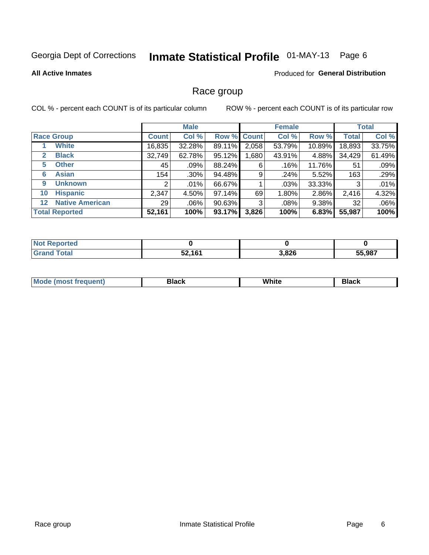# Inmate Statistical Profile 01-MAY-13 Page 6

#### **All Active Inmates**

#### Produced for General Distribution

### Race group

COL % - percent each COUNT is of its particular column

|                                   |                 | <b>Male</b> |        |                    | <b>Female</b> |          |              | <b>Total</b> |
|-----------------------------------|-----------------|-------------|--------|--------------------|---------------|----------|--------------|--------------|
| <b>Race Group</b>                 | <b>Count</b>    | Col %       |        | <b>Row % Count</b> | Col %         | Row %    | <b>Total</b> | Col %        |
| <b>White</b>                      | 16,835          | 32.28%      | 89.11% | 2,058              | 53.79%        | 10.89%   | 18,893       | 33.75%       |
| <b>Black</b><br>2                 | 32,749          | 62.78%      | 95.12% | .680               | 43.91%        | 4.88%    | 34,429       | 61.49%       |
| <b>Other</b><br>5.                | 45              | .09%        | 88.24% | 6                  | .16%          | 11.76%   | 51           | .09%         |
| <b>Asian</b><br>6                 | 154             | $.30\%$     | 94.48% | 9                  | .24%          | 5.52%    | 163          | .29%         |
| <b>Unknown</b><br>9               | 2               | $.01\%$     | 66.67% |                    | .03%          | 33.33%   | 3            | .01%         |
| <b>Hispanic</b><br>10             | 2,347           | 4.50%       | 97.14% | 69                 | 1.80%         | 2.86%    | 2,416        | 4.32%        |
| <b>Native American</b><br>$12 \,$ | 29 <sub>1</sub> | $.06\%$     | 90.63% | 3                  | .08%          | $9.38\%$ | 32           | .06%         |
| <b>Total Reported</b>             | 52,161          | 100%        | 93.17% | 3,826              | 100%          | 6.83%    | 55,987       | 100%         |

| <b>Not Reported</b> |        |       |        |
|---------------------|--------|-------|--------|
| Total               | 52,161 | 3,826 | 55,987 |

| M.<br>____ | . | ------- |
|------------|---|---------|
|            |   |         |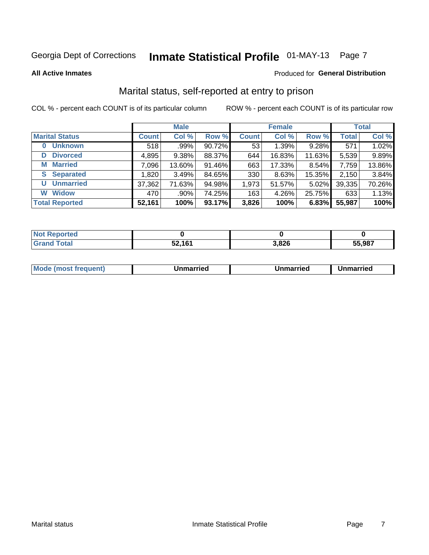# Inmate Statistical Profile 01-MAY-13 Page 7

#### **All Active Inmates**

#### Produced for General Distribution

### Marital status, self-reported at entry to prison

COL % - percent each COUNT is of its particular column

|                            |              | <b>Male</b> |        |              | <b>Female</b> |          |              | <b>Total</b> |
|----------------------------|--------------|-------------|--------|--------------|---------------|----------|--------------|--------------|
| <b>Marital Status</b>      | <b>Count</b> | Col %       | Row %  | <b>Count</b> | Col %         | Row %    | <b>Total</b> | Col %        |
| <b>Unknown</b><br>$\bf{0}$ | 518          | .99%        | 90.72% | 53           | 1.39%         | 9.28%    | 571          | 1.02%        |
| <b>Divorced</b><br>D       | 4,895        | 9.38%       | 88.37% | 644          | 16.83%        | 11.63%   | 5,539        | 9.89%        |
| <b>Married</b><br>M        | 7,096        | 13.60%      | 91.46% | 663          | 17.33%        | 8.54%    | 7,759        | 13.86%       |
| <b>S</b> Separated         | 1,820        | 3.49%       | 84.65% | 330          | 8.63%         | 15.35%   | 2,150        | 3.84%        |
| <b>Unmarried</b><br>U      | 37,362       | 71.63%      | 94.98% | 1,973        | 51.57%        | $5.02\%$ | 39,335       | 70.26%       |
| <b>Widow</b><br>W          | 470          | $.90\%$     | 74.25% | 163          | 4.26%         | 25.75%   | 633          | 1.13%        |
| <b>Total Reported</b>      | 52,161       | 100%        | 93.17% | 3,826        | 100%          | 6.83%    | 55,987       | 100%         |

| <u>ortea</u><br><b>NOT</b> |        |       |        |
|----------------------------|--------|-------|--------|
| $\sim$ 10<br>Gr<           | 52,161 | 3,826 | 55.987 |

| <b>Mode (most frequent)</b><br>Unmarried<br>Unmarried<br>Jnmarried |
|--------------------------------------------------------------------|
|--------------------------------------------------------------------|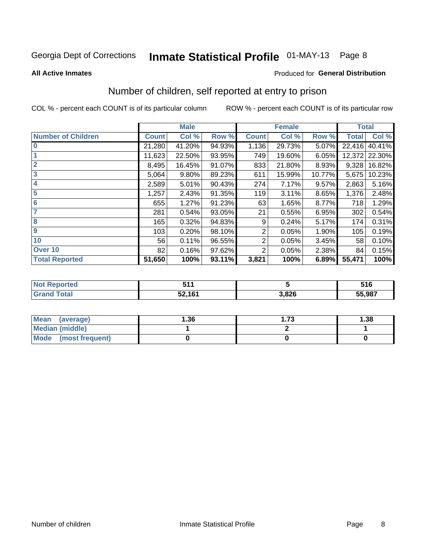# Inmate Statistical Profile 01-MAY-13 Page 8

#### **All Active Inmates**

#### Produced for General Distribution

### Number of children, self reported at entry to prison

COL % - percent each COUNT is of its particular column

|                           |              | <b>Male</b> |        |              | <b>Female</b> |        | <b>Total</b> |        |
|---------------------------|--------------|-------------|--------|--------------|---------------|--------|--------------|--------|
| <b>Number of Children</b> | <b>Count</b> | Col %       | Row %  | <b>Count</b> | Col %         | Row %  | <b>Total</b> | Col %  |
| $\bf{0}$                  | 21,280       | 41.20%      | 94.93% | 1,136        | 29.73%        | 5.07%  | 22,416       | 40.41% |
|                           | 11,623       | 22.50%      | 93.95% | 749          | 19.60%        | 6.05%  | 12,372       | 22.30% |
| $\overline{2}$            | 8,495        | 16.45%      | 91.07% | 833          | 21.80%        | 8.93%  | 9,328        | 16.82% |
| 3                         | 5,064        | 9.80%       | 89.23% | 611          | 15.99%        | 10.77% | 5,675        | 10.23% |
| 4                         | 2,589        | 5.01%       | 90.43% | 274          | 7.17%         | 9.57%  | 2,863        | 5.16%  |
| 5                         | 1,257        | 2.43%       | 91.35% | 119          | 3.11%         | 8.65%  | 1,376        | 2.48%  |
| 6                         | 655          | 1.27%       | 91.23% | 63           | 1.65%         | 8.77%  | 718          | 1.29%  |
|                           | 281          | 0.54%       | 93.05% | 21           | 0.55%         | 6.95%  | 302          | 0.54%  |
| 8                         | 165          | 0.32%       | 94.83% | 9            | 0.24%         | 5.17%  | 174          | 0.31%  |
| $\boldsymbol{9}$          | 103          | 0.20%       | 98.10% | 2            | 0.05%         | 1.90%  | 105          | 0.19%  |
| 10                        | 56           | 0.11%       | 96.55% | 2            | 0.05%         | 3.45%  | 58           | 0.10%  |
| Over 10                   | 82           | 0.16%       | 97.62% | 2            | 0.05%         | 2.38%  | 84           | 0.15%  |
| <b>Total Reported</b>     | 51,650       | 100%        | 93.11% | 3,821        | 100%          | 6.89%  | 55,471       | 100%   |

| N    | - - -<br>м.         |       | 516    |
|------|---------------------|-------|--------|
| υιαι | EN ANA<br>JZ<br>. . | 3,826 | 55,987 |

| <b>Mean</b><br>(average)       | 1.36 | 1.73 | 1.38 |
|--------------------------------|------|------|------|
| Median (middle)                |      |      |      |
| <b>Mode</b><br>(most frequent) |      |      |      |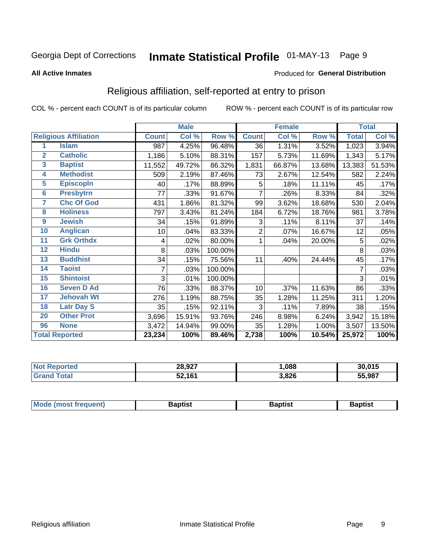# Inmate Statistical Profile 01-MAY-13 Page 9

#### **All Active Inmates**

#### Produced for General Distribution

### Religious affiliation, self-reported at entry to prison

COL % - percent each COUNT is of its particular column

|                 |                              |              | <b>Male</b> |         |                | <b>Female</b> |        |              | <b>Total</b> |
|-----------------|------------------------------|--------------|-------------|---------|----------------|---------------|--------|--------------|--------------|
|                 | <b>Religious Affiliation</b> | <b>Count</b> | Col %       | Row %   | <b>Count</b>   | Col %         | Row %  | <b>Total</b> | Col %        |
| 1               | <b>Islam</b>                 | 987          | 4.25%       | 96.48%  | 36             | 1.31%         | 3.52%  | 1,023        | 3.94%        |
| $\overline{2}$  | <b>Catholic</b>              | 1,186        | 5.10%       | 88.31%  | 157            | 5.73%         | 11.69% | 1,343        | 5.17%        |
| $\mathbf{3}$    | <b>Baptist</b>               | 11,552       | 49.72%      | 86.32%  | 1,831          | 66.87%        | 13.68% | 13,383       | 51.53%       |
| 4               | <b>Methodist</b>             | 509          | 2.19%       | 87.46%  | 73             | 2.67%         | 12.54% | 582          | 2.24%        |
| 5               | <b>EpiscopIn</b>             | 40           | .17%        | 88.89%  | 5              | .18%          | 11.11% | 45           | .17%         |
| $6\overline{6}$ | <b>Presbytrn</b>             | 77           | .33%        | 91.67%  | 7              | .26%          | 8.33%  | 84           | .32%         |
| 7               | <b>Chc Of God</b>            | 431          | 1.86%       | 81.32%  | 99             | 3.62%         | 18.68% | 530          | 2.04%        |
| 8               | <b>Holiness</b>              | 797          | 3.43%       | 81.24%  | 184            | 6.72%         | 18.76% | 981          | 3.78%        |
| 9               | <b>Jewish</b>                | 34           | .15%        | 91.89%  | 3              | .11%          | 8.11%  | 37           | .14%         |
| 10              | <b>Anglican</b>              | 10           | .04%        | 83.33%  | $\overline{2}$ | .07%          | 16.67% | 12           | .05%         |
| 11              | <b>Grk Orthdx</b>            | 4            | .02%        | 80.00%  | 1              | .04%          | 20.00% | 5            | .02%         |
| 12              | <b>Hindu</b>                 | 8            | .03%        | 100.00% |                |               |        | 8            | .03%         |
| 13              | <b>Buddhist</b>              | 34           | .15%        | 75.56%  | 11             | .40%          | 24.44% | 45           | .17%         |
| 14              | <b>Taoist</b>                | 7            | .03%        | 100.00% |                |               |        | 7            | .03%         |
| 15              | <b>Shintoist</b>             | 3            | .01%        | 100.00% |                |               |        | 3            | .01%         |
| 16              | <b>Seven D Ad</b>            | 76           | .33%        | 88.37%  | 10             | .37%          | 11.63% | 86           | .33%         |
| $\overline{17}$ | <b>Jehovah Wt</b>            | 276          | 1.19%       | 88.75%  | 35             | 1.28%         | 11.25% | 311          | 1.20%        |
| 18              | <b>Latr Day S</b>            | 35           | .15%        | 92.11%  | 3              | .11%          | 7.89%  | 38           | .15%         |
| 20              | <b>Other Prot</b>            | 3,696        | 15.91%      | 93.76%  | 246            | 8.98%         | 6.24%  | 3,942        | 15.18%       |
| 96              | <b>None</b>                  | 3,472        | 14.94%      | 99.00%  | 35             | 1.28%         | 1.00%  | 3,507        | 13.50%       |
|                 | <b>Total Reported</b>        | 23,234       | 100%        | 89.46%  | 2,738          | 100%          | 10.54% | 25,972       | 100%         |

|         | 28,927<br>$\sim$ | .088  | 30 015<br>כו נ |
|---------|------------------|-------|----------------|
| المقماد | 52161            | 3,826 | 55,987         |

| Mode (most frequent) | <b>3aptist</b> | 3aptist | <b>Baptist</b> |
|----------------------|----------------|---------|----------------|
|                      |                |         |                |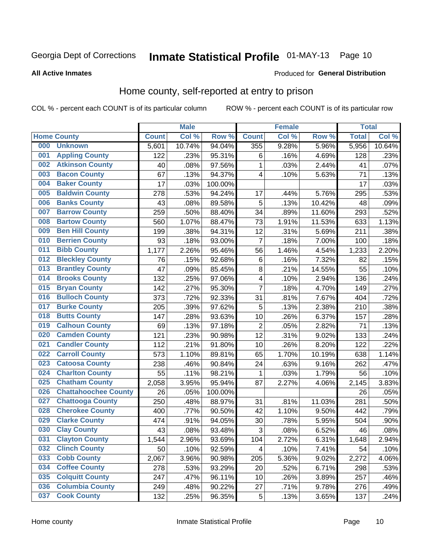# Inmate Statistical Profile 01-MAY-13 Page 10

#### **All Active Inmates**

#### Produced for General Distribution

### Home county, self-reported at entry to prison

COL % - percent each COUNT is of its particular column

|     |                             |              | <b>Male</b> |                  |                | <b>Female</b> |        | <b>Total</b> |        |
|-----|-----------------------------|--------------|-------------|------------------|----------------|---------------|--------|--------------|--------|
|     | <b>Home County</b>          | <b>Count</b> | Col %       | Row <sup>%</sup> | <b>Count</b>   | Col %         | Row %  | <b>Total</b> | Col %  |
| 000 | <b>Unknown</b>              | 5,601        | 10.74%      | 94.04%           | 355            | 9.28%         | 5.96%  | 5,956        | 10.64% |
| 001 | <b>Appling County</b>       | 122          | .23%        | 95.31%           | $\,6$          | .16%          | 4.69%  | 128          | .23%   |
| 002 | <b>Atkinson County</b>      | 40           | .08%        | 97.56%           | 1              | .03%          | 2.44%  | 41           | .07%   |
| 003 | <b>Bacon County</b>         | 67           | .13%        | 94.37%           | 4              | .10%          | 5.63%  | 71           | .13%   |
| 004 | <b>Baker County</b>         | 17           | .03%        | 100.00%          |                |               |        | 17           | .03%   |
| 005 | <b>Baldwin County</b>       | 278          | .53%        | 94.24%           | 17             | .44%          | 5.76%  | 295          | .53%   |
| 006 | <b>Banks County</b>         | 43           | .08%        | 89.58%           | 5              | .13%          | 10.42% | 48           | .09%   |
| 007 | <b>Barrow County</b>        | 259          | .50%        | 88.40%           | 34             | .89%          | 11.60% | 293          | .52%   |
| 008 | <b>Bartow County</b>        | 560          | 1.07%       | 88.47%           | 73             | 1.91%         | 11.53% | 633          | 1.13%  |
| 009 | <b>Ben Hill County</b>      | 199          | .38%        | 94.31%           | 12             | .31%          | 5.69%  | 211          | .38%   |
| 010 | <b>Berrien County</b>       | 93           | .18%        | 93.00%           | 7              | .18%          | 7.00%  | 100          | .18%   |
| 011 | <b>Bibb County</b>          | 1,177        | 2.26%       | 95.46%           | 56             | 1.46%         | 4.54%  | 1,233        | 2.20%  |
| 012 | <b>Bleckley County</b>      | 76           | .15%        | 92.68%           | $\,6$          | .16%          | 7.32%  | 82           | .15%   |
| 013 | <b>Brantley County</b>      | 47           | .09%        | 85.45%           | $\bf 8$        | .21%          | 14.55% | 55           | .10%   |
| 014 | <b>Brooks County</b>        | 132          | .25%        | 97.06%           | $\overline{4}$ | .10%          | 2.94%  | 136          | .24%   |
| 015 | <b>Bryan County</b>         | 142          | .27%        | 95.30%           | $\overline{7}$ | .18%          | 4.70%  | 149          | .27%   |
| 016 | <b>Bulloch County</b>       | 373          | .72%        | 92.33%           | 31             | .81%          | 7.67%  | 404          | .72%   |
| 017 | <b>Burke County</b>         | 205          | .39%        | 97.62%           | 5              | .13%          | 2.38%  | 210          | .38%   |
| 018 | <b>Butts County</b>         | 147          | .28%        | 93.63%           | 10             | .26%          | 6.37%  | 157          | .28%   |
| 019 | <b>Calhoun County</b>       | 69           | .13%        | 97.18%           | $\overline{2}$ | .05%          | 2.82%  | 71           | .13%   |
| 020 | <b>Camden County</b>        | 121          | .23%        | 90.98%           | 12             | .31%          | 9.02%  | 133          | .24%   |
| 021 | <b>Candler County</b>       | 112          | .21%        | 91.80%           | 10             | .26%          | 8.20%  | 122          | .22%   |
| 022 | <b>Carroll County</b>       | 573          | 1.10%       | 89.81%           | 65             | 1.70%         | 10.19% | 638          | 1.14%  |
| 023 | <b>Catoosa County</b>       | 238          | .46%        | 90.84%           | 24             | .63%          | 9.16%  | 262          | .47%   |
| 024 | <b>Charlton County</b>      | 55           | .11%        | 98.21%           | $\mathbf{1}$   | .03%          | 1.79%  | 56           | .10%   |
| 025 | <b>Chatham County</b>       | 2,058        | 3.95%       | 95.94%           | 87             | 2.27%         | 4.06%  | 2,145        | 3.83%  |
| 026 | <b>Chattahoochee County</b> | 26           | .05%        | 100.00%          |                |               |        | 26           | .05%   |
| 027 | <b>Chattooga County</b>     | 250          | .48%        | 88.97%           | 31             | .81%          | 11.03% | 281          | .50%   |
| 028 | <b>Cherokee County</b>      | 400          | .77%        | 90.50%           | 42             | 1.10%         | 9.50%  | 442          | .79%   |
| 029 | <b>Clarke County</b>        | 474          | .91%        | 94.05%           | 30             | .78%          | 5.95%  | 504          | .90%   |
| 030 | <b>Clay County</b>          | 43           | .08%        | 93.48%           | $\mathbf{3}$   | .08%          | 6.52%  | 46           | .08%   |
| 031 | <b>Clayton County</b>       | 1,544        | 2.96%       | 93.69%           | 104            | 2.72%         | 6.31%  | 1,648        | 2.94%  |
| 032 | <b>Clinch County</b>        | 50           | .10%        | 92.59%           | 4              | .10%          | 7.41%  | 54           | .10%   |
| 033 | <b>Cobb County</b>          | 2,067        | 3.96%       | 90.98%           | 205            | 5.36%         | 9.02%  | 2,272        | 4.06%  |
| 034 | <b>Coffee County</b>        | 278          | .53%        | 93.29%           | 20             | .52%          | 6.71%  | 298          | .53%   |
| 035 | <b>Colquitt County</b>      | 247          | .47%        | 96.11%           | 10             | .26%          | 3.89%  | 257          | .46%   |
| 036 | <b>Columbia County</b>      | 249          | .48%        | 90.22%           | 27             | .71%          | 9.78%  | 276          | .49%   |
| 037 | <b>Cook County</b>          | 132          | .25%        | 96.35%           | 5              | .13%          | 3.65%  | 137          | .24%   |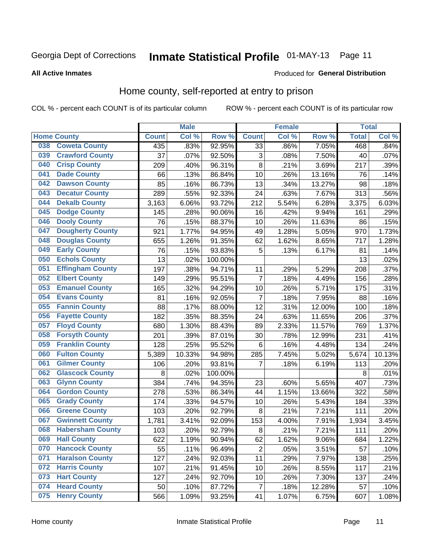# Inmate Statistical Profile 01-MAY-13 Page 11

**All Active Inmates** 

#### Produced for General Distribution

### Home county, self-reported at entry to prison

COL % - percent each COUNT is of its particular column

|     |                         |              | <b>Male</b> |                  |                | <b>Female</b> |          | <b>Total</b> |        |
|-----|-------------------------|--------------|-------------|------------------|----------------|---------------|----------|--------------|--------|
|     | <b>Home County</b>      | <b>Count</b> | Col%        | Row <sup>%</sup> | <b>Count</b>   | Col %         | Row %    | <b>Total</b> | Col %  |
| 038 | <b>Coweta County</b>    | 435          | .83%        | 92.95%           | 33             | .86%          | 7.05%    | 468          | .84%   |
| 039 | <b>Crawford County</b>  | 37           | .07%        | 92.50%           | 3              | .08%          | 7.50%    | 40           | .07%   |
| 040 | <b>Crisp County</b>     | 209          | .40%        | 96.31%           | 8              | .21%          | 3.69%    | 217          | .39%   |
| 041 | <b>Dade County</b>      | 66           | .13%        | 86.84%           | 10             | .26%          | 13.16%   | 76           | .14%   |
| 042 | <b>Dawson County</b>    | 85           | .16%        | 86.73%           | 13             | .34%          | 13.27%   | 98           | .18%   |
| 043 | <b>Decatur County</b>   | 289          | .55%        | 92.33%           | 24             | .63%          | 7.67%    | 313          | .56%   |
| 044 | <b>Dekalb County</b>    | 3,163        | 6.06%       | 93.72%           | 212            | 5.54%         | 6.28%    | 3,375        | 6.03%  |
| 045 | <b>Dodge County</b>     | 145          | .28%        | 90.06%           | 16             | .42%          | 9.94%    | 161          | .29%   |
| 046 | <b>Dooly County</b>     | 76           | .15%        | 88.37%           | 10             | .26%          | 11.63%   | 86           | .15%   |
| 047 | <b>Dougherty County</b> | 921          | 1.77%       | 94.95%           | 49             | 1.28%         | 5.05%    | 970          | 1.73%  |
| 048 | <b>Douglas County</b>   | 655          | 1.26%       | 91.35%           | 62             | 1.62%         | 8.65%    | 717          | 1.28%  |
| 049 | <b>Early County</b>     | 76           | .15%        | 93.83%           | 5              | .13%          | 6.17%    | 81           | .14%   |
| 050 | <b>Echols County</b>    | 13           | .02%        | 100.00%          |                |               |          | 13           | .02%   |
| 051 | <b>Effingham County</b> | 197          | .38%        | 94.71%           | 11             | .29%          | 5.29%    | 208          | .37%   |
| 052 | <b>Elbert County</b>    | 149          | .29%        | 95.51%           | $\overline{7}$ | .18%          | 4.49%    | 156          | .28%   |
| 053 | <b>Emanuel County</b>   | 165          | .32%        | 94.29%           | 10             | .26%          | 5.71%    | 175          | .31%   |
| 054 | <b>Evans County</b>     | 81           | .16%        | 92.05%           | 7              | .18%          | 7.95%    | 88           | .16%   |
| 055 | <b>Fannin County</b>    | 88           | .17%        | 88.00%           | 12             | .31%          | 12.00%   | 100          | .18%   |
| 056 | <b>Fayette County</b>   | 182          | .35%        | 88.35%           | 24             | .63%          | 11.65%   | 206          | .37%   |
| 057 | <b>Floyd County</b>     | 680          | 1.30%       | 88.43%           | 89             | 2.33%         | 11.57%   | 769          | 1.37%  |
| 058 | <b>Forsyth County</b>   | 201          | .39%        | 87.01%           | 30             | .78%          | 12.99%   | 231          | .41%   |
| 059 | <b>Franklin County</b>  | 128          | .25%        | 95.52%           | $\,6$          | .16%          | 4.48%    | 134          | .24%   |
| 060 | <b>Fulton County</b>    | 5,389        | 10.33%      | 94.98%           | 285            | 7.45%         | 5.02%    | 5,674        | 10.13% |
| 061 | <b>Gilmer County</b>    | 106          | .20%        | 93.81%           | 7              | .18%          | 6.19%    | 113          | .20%   |
| 062 | <b>Glascock County</b>  | 8            | .02%        | 100.00%          |                |               |          | 8            | .01%   |
| 063 | <b>Glynn County</b>     | 384          | .74%        | 94.35%           | 23             | .60%          | 5.65%    | 407          | .73%   |
| 064 | <b>Gordon County</b>    | 278          | .53%        | 86.34%           | 44             | 1.15%         | 13.66%   | 322          | .58%   |
| 065 | <b>Grady County</b>     | 174          | .33%        | 94.57%           | 10             | .26%          | 5.43%    | 184          | .33%   |
| 066 | <b>Greene County</b>    | 103          | .20%        | 92.79%           | 8              | .21%          | 7.21%    | 111          | .20%   |
| 067 | <b>Gwinnett County</b>  | 1,781        | 3.41%       | 92.09%           | 153            | 4.00%         | 7.91%    | 1,934        | 3.45%  |
| 068 | <b>Habersham County</b> | 103          | .20%        | 92.79%           | $\bf 8$        | .21%          | 7.21%    | 111          | .20%   |
| 069 | <b>Hall County</b>      | 622          | 1.19%       | 90.94%           | 62             | 1.62%         | $9.06\%$ | 684          | 1.22%  |
| 070 | <b>Hancock County</b>   | 55           | .11%        | 96.49%           | $\overline{2}$ | .05%          | 3.51%    | 57           | .10%   |
| 071 | <b>Haralson County</b>  | 127          | .24%        | 92.03%           | 11             | .29%          | 7.97%    | 138          | .25%   |
| 072 | <b>Harris County</b>    | 107          | .21%        | 91.45%           | 10             | .26%          | 8.55%    | 117          | .21%   |
| 073 | <b>Hart County</b>      | 127          | .24%        | 92.70%           | 10             | .26%          | 7.30%    | 137          | .24%   |
| 074 | <b>Heard County</b>     | 50           | .10%        | 87.72%           | 7              | .18%          | 12.28%   | 57           | .10%   |
| 075 | <b>Henry County</b>     | 566          | 1.09%       | 93.25%           | 41             | 1.07%         | 6.75%    | 607          | 1.08%  |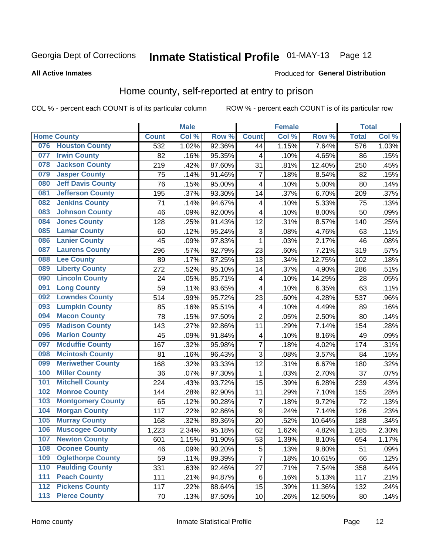# Inmate Statistical Profile 01-MAY-13 Page 12

#### **All Active Inmates**

#### Produced for General Distribution

### Home county, self-reported at entry to prison

COL % - percent each COUNT is of its particular column

|     |                          |              | <b>Male</b> |                  |                         | <b>Female</b> |        | <b>Total</b> |       |
|-----|--------------------------|--------------|-------------|------------------|-------------------------|---------------|--------|--------------|-------|
|     | <b>Home County</b>       | <b>Count</b> | Col %       | Row <sup>%</sup> | <b>Count</b>            | Col %         | Row %  | <b>Total</b> | Col % |
|     | 076 Houston County       | 532          | 1.02%       | 92.36%           | 44                      | 1.15%         | 7.64%  | 576          | 1.03% |
| 077 | <b>Irwin County</b>      | 82           | .16%        | 95.35%           | 4                       | .10%          | 4.65%  | 86           | .15%  |
| 078 | <b>Jackson County</b>    | 219          | .42%        | 87.60%           | 31                      | .81%          | 12.40% | 250          | .45%  |
| 079 | <b>Jasper County</b>     | 75           | .14%        | 91.46%           | $\overline{7}$          | .18%          | 8.54%  | 82           | .15%  |
| 080 | <b>Jeff Davis County</b> | 76           | .15%        | 95.00%           | $\overline{\mathbf{4}}$ | .10%          | 5.00%  | 80           | .14%  |
| 081 | <b>Jefferson County</b>  | 195          | .37%        | 93.30%           | 14                      | .37%          | 6.70%  | 209          | .37%  |
| 082 | <b>Jenkins County</b>    | 71           | .14%        | 94.67%           | 4                       | .10%          | 5.33%  | 75           | .13%  |
| 083 | <b>Johnson County</b>    | 46           | .09%        | 92.00%           | 4                       | .10%          | 8.00%  | 50           | .09%  |
| 084 | <b>Jones County</b>      | 128          | .25%        | 91.43%           | 12                      | .31%          | 8.57%  | 140          | .25%  |
| 085 | <b>Lamar County</b>      | 60           | .12%        | 95.24%           | $\mathbf{3}$            | .08%          | 4.76%  | 63           | .11%  |
| 086 | <b>Lanier County</b>     | 45           | .09%        | 97.83%           | 1                       | .03%          | 2.17%  | 46           | .08%  |
| 087 | <b>Laurens County</b>    | 296          | .57%        | 92.79%           | 23                      | .60%          | 7.21%  | 319          | .57%  |
| 088 | <b>Lee County</b>        | 89           | .17%        | 87.25%           | 13                      | .34%          | 12.75% | 102          | .18%  |
| 089 | <b>Liberty County</b>    | 272          | .52%        | 95.10%           | 14                      | .37%          | 4.90%  | 286          | .51%  |
| 090 | <b>Lincoln County</b>    | 24           | .05%        | 85.71%           | 4                       | .10%          | 14.29% | 28           | .05%  |
| 091 | <b>Long County</b>       | 59           | .11%        | 93.65%           | 4                       | .10%          | 6.35%  | 63           | .11%  |
| 092 | <b>Lowndes County</b>    | 514          | .99%        | 95.72%           | 23                      | .60%          | 4.28%  | 537          | .96%  |
| 093 | <b>Lumpkin County</b>    | 85           | .16%        | 95.51%           | $\overline{\mathbf{4}}$ | .10%          | 4.49%  | 89           | .16%  |
| 094 | <b>Macon County</b>      | 78           | .15%        | 97.50%           | $\overline{2}$          | .05%          | 2.50%  | 80           | .14%  |
| 095 | <b>Madison County</b>    | 143          | .27%        | 92.86%           | 11                      | .29%          | 7.14%  | 154          | .28%  |
| 096 | <b>Marion County</b>     | 45           | .09%        | 91.84%           | 4                       | .10%          | 8.16%  | 49           | .09%  |
| 097 | <b>Mcduffie County</b>   | 167          | .32%        | 95.98%           | $\overline{7}$          | .18%          | 4.02%  | 174          | .31%  |
| 098 | <b>Mcintosh County</b>   | 81           | .16%        | 96.43%           | 3                       | .08%          | 3.57%  | 84           | .15%  |
| 099 | <b>Meriwether County</b> | 168          | .32%        | 93.33%           | 12                      | .31%          | 6.67%  | 180          | .32%  |
| 100 | <b>Miller County</b>     | 36           | .07%        | 97.30%           | 1                       | .03%          | 2.70%  | 37           | .07%  |
| 101 | <b>Mitchell County</b>   | 224          | .43%        | 93.72%           | 15                      | .39%          | 6.28%  | 239          | .43%  |
| 102 | <b>Monroe County</b>     | 144          | .28%        | 92.90%           | 11                      | .29%          | 7.10%  | 155          | .28%  |
| 103 | <b>Montgomery County</b> | 65           | .12%        | 90.28%           | $\overline{7}$          | .18%          | 9.72%  | 72           | .13%  |
| 104 | <b>Morgan County</b>     | 117          | .22%        | 92.86%           | $\boldsymbol{9}$        | .24%          | 7.14%  | 126          | .23%  |
| 105 | <b>Murray County</b>     | 168          | .32%        | 89.36%           | 20                      | .52%          | 10.64% | 188          | .34%  |
| 106 | <b>Muscogee County</b>   | 1,223        | 2.34%       | 95.18%           | 62                      | 1.62%         | 4.82%  | 1,285        | 2.30% |
| 107 | <b>Newton County</b>     | 601          | 1.15%       | 91.90%           | 53                      | 1.39%         | 8.10%  | 654          | 1.17% |
| 108 | <b>Oconee County</b>     | 46           | .09%        | 90.20%           | 5                       | .13%          | 9.80%  | 51           | .09%  |
| 109 | <b>Oglethorpe County</b> | 59           | .11%        | 89.39%           | $\overline{7}$          | .18%          | 10.61% | 66           | .12%  |
| 110 | <b>Paulding County</b>   | 331          | .63%        | 92.46%           | 27                      | .71%          | 7.54%  | 358          | .64%  |
| 111 | <b>Peach County</b>      | 111          | .21%        | 94.87%           | $\,6$                   | .16%          | 5.13%  | 117          | .21%  |
| 112 | <b>Pickens County</b>    | 117          | .22%        | 88.64%           | 15                      | .39%          | 11.36% | 132          | .24%  |
| 113 | <b>Pierce County</b>     | 70           | .13%        | 87.50%           | 10                      | .26%          | 12.50% | 80           | .14%  |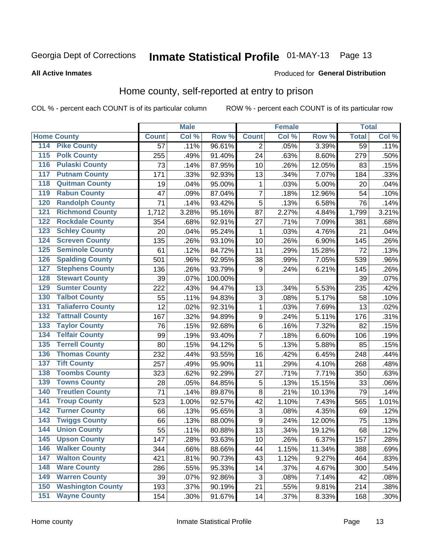# Inmate Statistical Profile 01-MAY-13 Page 13

#### **All Active Inmates**

#### Produced for General Distribution

### Home county, self-reported at entry to prison

COL % - percent each COUNT is of its particular column

|                  |                          |              | <b>Male</b> |         |                  | <b>Female</b> |        | <b>Total</b>    |         |
|------------------|--------------------------|--------------|-------------|---------|------------------|---------------|--------|-----------------|---------|
|                  | <b>Home County</b>       | <b>Count</b> | Col %       | Row %   | <b>Count</b>     | Col %         | Row %  | <b>Total</b>    | Col %   |
| 114              | <b>Pike County</b>       | 57           | .11%        | 96.61%  | 2                | .05%          | 3.39%  | $\overline{59}$ | .11%    |
| 115              | <b>Polk County</b>       | 255          | .49%        | 91.40%  | 24               | .63%          | 8.60%  | 279             | .50%    |
| 116              | <b>Pulaski County</b>    | 73           | .14%        | 87.95%  | 10               | .26%          | 12.05% | 83              | .15%    |
| 117              | <b>Putnam County</b>     | 171          | .33%        | 92.93%  | 13               | .34%          | 7.07%  | 184             | .33%    |
| 118              | <b>Quitman County</b>    | 19           | .04%        | 95.00%  | 1                | .03%          | 5.00%  | 20              | .04%    |
| 119              | <b>Rabun County</b>      | 47           | .09%        | 87.04%  | $\overline{7}$   | .18%          | 12.96% | 54              | .10%    |
| 120              | <b>Randolph County</b>   | 71           | .14%        | 93.42%  | 5                | .13%          | 6.58%  | 76              | .14%    |
| 121              | <b>Richmond County</b>   | 1,712        | 3.28%       | 95.16%  | 87               | 2.27%         | 4.84%  | 1,799           | 3.21%   |
| 122              | <b>Rockdale County</b>   | 354          | .68%        | 92.91%  | 27               | .71%          | 7.09%  | 381             | .68%    |
| 123              | <b>Schley County</b>     | 20           | .04%        | 95.24%  | 1                | .03%          | 4.76%  | 21              | .04%    |
| 124              | <b>Screven County</b>    | 135          | .26%        | 93.10%  | 10               | .26%          | 6.90%  | 145             | .26%    |
| 125              | <b>Seminole County</b>   | 61           | .12%        | 84.72%  | 11               | .29%          | 15.28% | 72              | .13%    |
| 126              | <b>Spalding County</b>   | 501          | .96%        | 92.95%  | 38               | .99%          | 7.05%  | 539             | .96%    |
| 127              | <b>Stephens County</b>   | 136          | .26%        | 93.79%  | 9                | .24%          | 6.21%  | 145             | .26%    |
| 128              | <b>Stewart County</b>    | 39           | .07%        | 100.00% |                  |               |        | 39              | .07%    |
| 129              | <b>Sumter County</b>     | 222          | .43%        | 94.47%  | 13               | .34%          | 5.53%  | 235             | .42%    |
| 130              | <b>Talbot County</b>     | 55           | .11%        | 94.83%  | 3                | .08%          | 5.17%  | 58              | .10%    |
| 131              | <b>Taliaferro County</b> | 12           | .02%        | 92.31%  | 1                | .03%          | 7.69%  | 13              | .02%    |
| 132              | <b>Tattnall County</b>   | 167          | .32%        | 94.89%  | $\boldsymbol{9}$ | .24%          | 5.11%  | 176             | .31%    |
| 133              | <b>Taylor County</b>     | 76           | .15%        | 92.68%  | $\,6$            | .16%          | 7.32%  | 82              | .15%    |
| 134              | <b>Telfair County</b>    | 99           | .19%        | 93.40%  | $\overline{7}$   | .18%          | 6.60%  | 106             | .19%    |
| 135              | <b>Terrell County</b>    | 80           | .15%        | 94.12%  | 5                | .13%          | 5.88%  | 85              | .15%    |
| 136              | <b>Thomas County</b>     | 232          | .44%        | 93.55%  | 16               | .42%          | 6.45%  | 248             | .44%    |
| 137              | <b>Tift County</b>       | 257          | .49%        | 95.90%  | 11               | .29%          | 4.10%  | 268             | .48%    |
| 138              | <b>Toombs County</b>     | 323          | .62%        | 92.29%  | 27               | .71%          | 7.71%  | 350             | .63%    |
| 139              | <b>Towns County</b>      | 28           | .05%        | 84.85%  | 5                | .13%          | 15.15% | 33              | .06%    |
| 140              | <b>Treutlen County</b>   | 71           | .14%        | 89.87%  | 8                | .21%          | 10.13% | 79              | .14%    |
| 141              | <b>Troup County</b>      | 523          | 1.00%       | 92.57%  | 42               | 1.10%         | 7.43%  | 565             | 1.01%   |
| $\overline{142}$ | <b>Turner County</b>     | 66           | .13%        | 95.65%  | $\sqrt{3}$       | .08%          | 4.35%  | 69              | .12%    |
| 143              | <b>Twiggs County</b>     | 66           | .13%        | 88.00%  | 9                | .24%          | 12.00% | 75              | .13%    |
| 144              | <b>Union County</b>      | 55           | .11%        | 80.88%  | 13               | .34%          | 19.12% | 68              | .12%    |
| 145              | <b>Upson County</b>      | 147          | .28%        | 93.63%  | 10               | .26%          | 6.37%  | 157             | .28%    |
| 146              | <b>Walker County</b>     | 344          | .66%        | 88.66%  | 44               | 1.15%         | 11.34% | 388             | .69%    |
| 147              | <b>Walton County</b>     | 421          | .81%        | 90.73%  | 43               | 1.12%         | 9.27%  | 464             | .83%    |
| 148              | <b>Ware County</b>       | 286          | .55%        | 95.33%  | 14               | .37%          | 4.67%  | 300             | .54%    |
| 149              | <b>Warren County</b>     | 39           | .07%        | 92.86%  | 3                | .08%          | 7.14%  | 42              | .08%    |
| 150              | <b>Washington County</b> | 193          | .37%        | 90.19%  | 21               | .55%          | 9.81%  | 214             | .38%    |
| 151              | <b>Wayne County</b>      | 154          | .30%        | 91.67%  | 14               | .37%          | 8.33%  | 168             | $.30\%$ |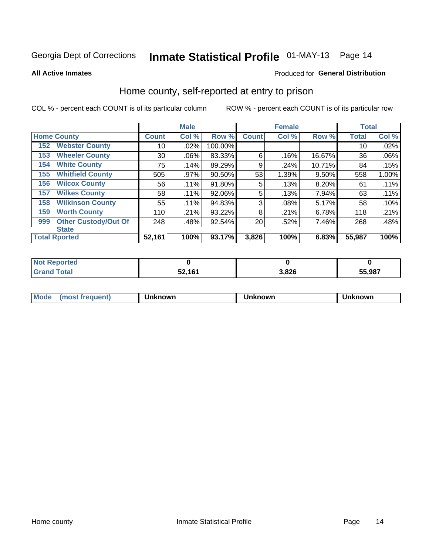# Inmate Statistical Profile 01-MAY-13 Page 14

**All Active Inmates** 

#### Produced for General Distribution

### Home county, self-reported at entry to prison

COL % - percent each COUNT is of its particular column

|     |                             |              | <b>Male</b> |         |              | <b>Female</b> |        | <b>Total</b> |       |
|-----|-----------------------------|--------------|-------------|---------|--------------|---------------|--------|--------------|-------|
|     | <b>Home County</b>          | <b>Count</b> | Col %       | Row %   | <b>Count</b> | Col %         | Row %  | <b>Total</b> | Col % |
| 152 | <b>Webster County</b>       | 10           | .02%        | 100.00% |              |               |        | 10           | .02%  |
| 153 | <b>Wheeler County</b>       | 30           | .06%        | 83.33%  | 6            | .16%          | 16.67% | 36           | .06%  |
| 154 | <b>White County</b>         | 75           | .14%        | 89.29%  | 9            | .24%          | 10.71% | 84           | .15%  |
| 155 | <b>Whitfield County</b>     | 505          | .97%        | 90.50%  | 53           | 1.39%         | 9.50%  | 558          | 1.00% |
| 156 | <b>Wilcox County</b>        | 56           | .11%        | 91.80%  | 5            | .13%          | 8.20%  | 61           | .11%  |
| 157 | <b>Wilkes County</b>        | 58           | .11%        | 92.06%  | 5            | .13%          | 7.94%  | 63           | .11%  |
| 158 | <b>Wilkinson County</b>     | 55           | .11%        | 94.83%  | 3            | .08%          | 5.17%  | 58           | .10%  |
| 159 | <b>Worth County</b>         | 110          | .21%        | 93.22%  | 8            | .21%          | 6.78%  | 118          | .21%  |
| 999 | <b>Other Custody/Out Of</b> | 248          | .48%        | 92.54%  | 20           | .52%          | 7.46%  | 268          | .48%  |
|     | <b>State</b>                |              |             |         |              |               |        |              |       |
|     | <b>Total Rported</b>        | 52,161       | 100%        | 93.17%  | 3,826        | 100%          | 6.83%  | 55,987       | 100%  |

| NO<br>τeα |             |       |        |
|-----------|-------------|-------|--------|
|           | 52161<br>◡▵ | 3,826 | 55,987 |

| Mode<br><b>Tequent)</b><br>ns | nown | mown | เทown |
|-------------------------------|------|------|-------|
|                               |      |      |       |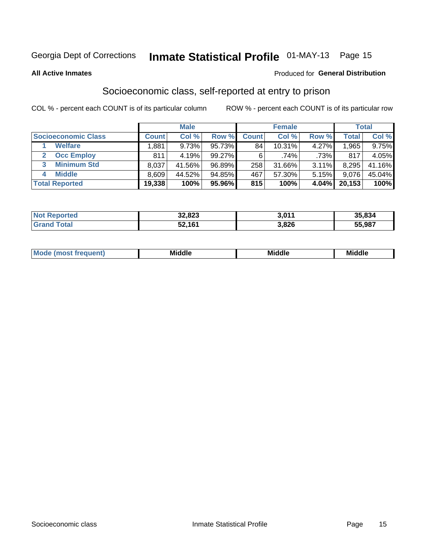# Inmate Statistical Profile 01-MAY-13 Page 15

#### **All Active Inmates**

#### Produced for General Distribution

### Socioeconomic class, self-reported at entry to prison

COL % - percent each COUNT is of its particular column

|                            |              | <b>Male</b> |           |              | <b>Female</b> |       |        | <b>Total</b> |
|----------------------------|--------------|-------------|-----------|--------------|---------------|-------|--------|--------------|
| <b>Socioeconomic Class</b> | <b>Count</b> | Col %       | Row %     | <b>Count</b> | Col %         | Row % | Total  | Col %        |
| <b>Welfare</b>             | .881         | 9.73%       | 95.73%    | 84           | $10.31\%$     | 4.27% | 1,965  | $9.75\%$     |
| <b>Occ Employ</b>          | 811          | 4.19%       | $99.27\%$ | 6            | $.74\%$       | .73%  | 817    | 4.05%        |
| <b>Minimum Std</b><br>3    | 8,037        | 41.56%      | 96.89%    | 258          | 31.66%        | 3.11% | 8,295  | 41.16%       |
| <b>Middle</b>              | 8,609        | 44.52%      | 94.85%    | 467          | 57.30%        | 5.15% | 9.076  | 45.04%       |
| <b>Total Reported</b>      | 19,338       | 100%        | 95.96%    | 815          | 100%          | 4.04% | 20,153 | 100%         |

| <b>Not Reported</b> | 32,823 | 2.011 | 35,834 |
|---------------------|--------|-------|--------|
| Total<br>Grand      | 52,161 | 3,826 | 55,987 |

|  | M. | <b>Middle</b><br>____ | <b>Middle</b><br>____ | ---<br>____ |
|--|----|-----------------------|-----------------------|-------------|
|--|----|-----------------------|-----------------------|-------------|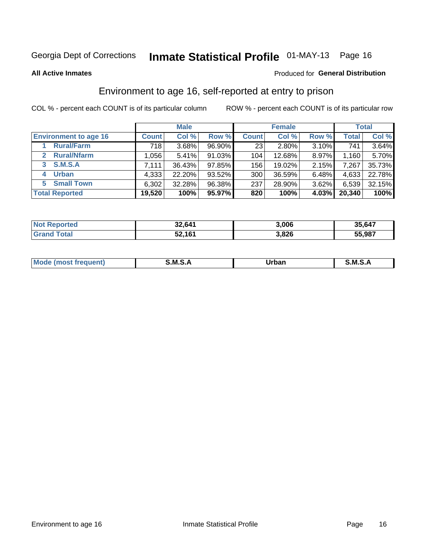# Inmate Statistical Profile 01-MAY-13 Page 16

#### **All Active Inmates**

#### Produced for General Distribution

### Environment to age 16, self-reported at entry to prison

COL % - percent each COUNT is of its particular column

|                                      |              | <b>Male</b> |        |                  | <b>Female</b> |       |              | <b>Total</b> |
|--------------------------------------|--------------|-------------|--------|------------------|---------------|-------|--------------|--------------|
| <b>Environment to age 16</b>         | <b>Count</b> | Col %       | Row %  | <b>Count</b>     | Col %         | Row % | <b>Total</b> | Col %        |
| <b>Rural/Farm</b>                    | 718          | 3.68%       | 96.90% | 23 <sub>1</sub>  | 2.80%         | 3.10% | 741          | 3.64%        |
| <b>Rural/Nfarm</b><br>$\overline{2}$ | ا 056. ا     | 5.41%       | 91.03% | 104              | 12.68%        | 8.97% | 1,160        | 5.70%        |
| 3 S.M.S.A                            | 7.111        | 36.43%      | 97.85% | 156              | 19.02%        | 2.15% | 7,267        | 35.73%       |
| <b>Urban</b><br>4                    | 4,333        | 22.20%      | 93.52% | 300 <sub>1</sub> | 36.59%        | 6.48% | 4,633        | 22.78%       |
| 5 Small Town                         | 6,302        | 32.28%      | 96.38% | 237              | 28.90%        | 3.62% | 6,539        | 32.15%       |
| <b>Total Reported</b>                | 19,520       | 100%        | 95.97% | 820              | 100%          | 4.03% | 20,340       | 100%         |

| <b>Not Reported</b> | 32,641 | 3,006 | 35,647 |
|---------------------|--------|-------|--------|
| <b>Grand Total</b>  | 52,161 | 3,826 | 55,987 |

| Mo | M | Irhan<br>rva<br>______ | M<br>______ |
|----|---|------------------------|-------------|
|    |   |                        |             |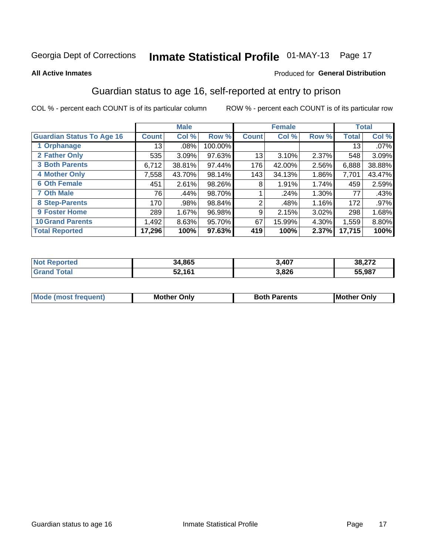# Inmate Statistical Profile 01-MAY-13 Page 17

#### **All Active Inmates**

#### Produced for General Distribution

### Guardian status to age 16, self-reported at entry to prison

COL % - percent each COUNT is of its particular column

|                                  |              | <b>Male</b> |         |              | <b>Female</b> |       |        | <b>Total</b> |
|----------------------------------|--------------|-------------|---------|--------------|---------------|-------|--------|--------------|
| <b>Guardian Status To Age 16</b> | <b>Count</b> | Col %       | Row %   | <b>Count</b> | Col %         | Row % | Total  | Col %        |
| 1 Orphanage                      | 13           | $.08\%$     | 100.00% |              |               |       | 13     | $.07\%$      |
| 2 Father Only                    | 535          | 3.09%       | 97.63%  | 13           | 3.10%         | 2.37% | 548    | 3.09%        |
| <b>3 Both Parents</b>            | 6,712        | 38.81%      | 97.44%  | 176          | 42.00%        | 2.56% | 6,888  | 38.88%       |
| <b>4 Mother Only</b>             | 7,558        | 43.70%      | 98.14%  | 143          | 34.13%        | 1.86% | 7,701  | 43.47%       |
| <b>6 Oth Female</b>              | 451          | 2.61%       | 98.26%  | 8            | 1.91%         | 1.74% | 459    | 2.59%        |
| <b>7 Oth Male</b>                | 76           | .44%        | 98.70%  |              | .24%          | 1.30% | 77     | .43%         |
| 8 Step-Parents                   | 170          | .98%        | 98.84%  | 2            | .48%          | 1.16% | 172    | $.97\%$      |
| 9 Foster Home                    | 289          | 1.67%       | 96.98%  | 9            | 2.15%         | 3.02% | 298    | 1.68%        |
| <b>10 Grand Parents</b>          | 1,492        | 8.63%       | 95.70%  | 67           | 15.99%        | 4.30% | 1,559  | 8.80%        |
| <b>Total Reported</b>            | 17,296       | 100%        | 97.63%  | 419          | 100%          | 2.37% | 17,715 | 100%         |

| <b>orteg</b><br>' NOT | 34,865 | 3,407 | 38,272 |
|-----------------------|--------|-------|--------|
| .Gr                   | 52,161 | 3,826 | 55,987 |

| <b>Mode (most frequent)</b> | วทIv<br>- -<br>MΩ | <b>Roth</b><br>ີ <sup>ລ</sup> າrents | l Mc<br>Only<br>- - |
|-----------------------------|-------------------|--------------------------------------|---------------------|
|                             |                   |                                      |                     |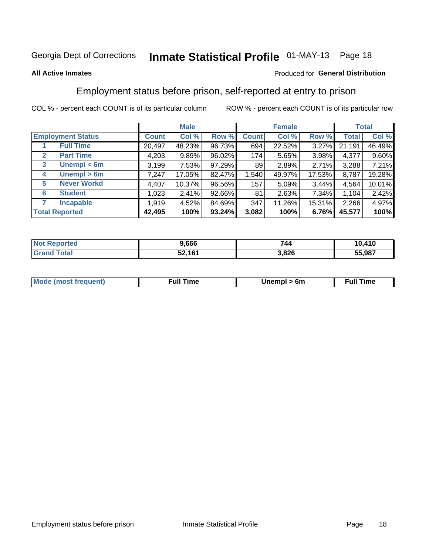# Inmate Statistical Profile 01-MAY-13 Page 18

#### **All Active Inmates**

#### Produced for General Distribution

### Employment status before prison, self-reported at entry to prison

COL % - percent each COUNT is of its particular column

|                                  |              | <b>Male</b> |        |              | <b>Female</b> |        |        | <b>Total</b> |
|----------------------------------|--------------|-------------|--------|--------------|---------------|--------|--------|--------------|
| <b>Employment Status</b>         | <b>Count</b> | Col %       | Row %  | <b>Count</b> | Col %         | Row %  | Total  | Col %        |
| <b>Full Time</b>                 | 20,497       | 48.23%      | 96.73% | 694          | 22.52%        | 3.27%  | 21,191 | 46.49%       |
| <b>Part Time</b><br>$\mathbf{2}$ | 4,203        | 9.89%       | 96.02% | 174          | 5.65%         | 3.98%  | 4,377  | 9.60%        |
| Unempl $<$ 6m<br>3               | 3,199        | 7.53%       | 97.29% | 89           | 2.89%         | 2.71%  | 3,288  | 7.21%        |
| Unempl > 6m<br>4                 | 7,247        | 17.05%      | 82.47% | 1,540        | 49.97%        | 17.53% | 8,787  | 19.28%       |
| <b>Never Workd</b><br>5          | 4,407        | 10.37%      | 96.56% | 157          | 5.09%         | 3.44%  | 4,564  | 10.01%       |
| <b>Student</b><br>6              | 1,023        | 2.41%       | 92.66% | 81           | 2.63%         | 7.34%  | 1,104  | 2.42%        |
| <b>Incapable</b>                 | 1,919        | 4.52%       | 84.69% | 347          | 11.26%        | 15.31% | 2,266  | 4.97%        |
| <b>Total Reported</b>            | 42,495       | 100%        | 93.24% | 3,082        | 100%          | 6.76%  | 45,577 | 100%         |

| orteo<br>NO.                  | 9,666  | 744   | 10,410 |
|-------------------------------|--------|-------|--------|
| T <sub>1</sub><br><b>Grar</b> | 52,161 | 3,826 | 55,987 |

| <b>Moo.</b><br><b>THOST</b> | the contract of the contract of the contract of the contract of the contract of the contract of the contract of the contract of the contract of the contract of the contract of the contract of the contract of the contract o | 6m | ıme |
|-----------------------------|--------------------------------------------------------------------------------------------------------------------------------------------------------------------------------------------------------------------------------|----|-----|
|                             |                                                                                                                                                                                                                                |    |     |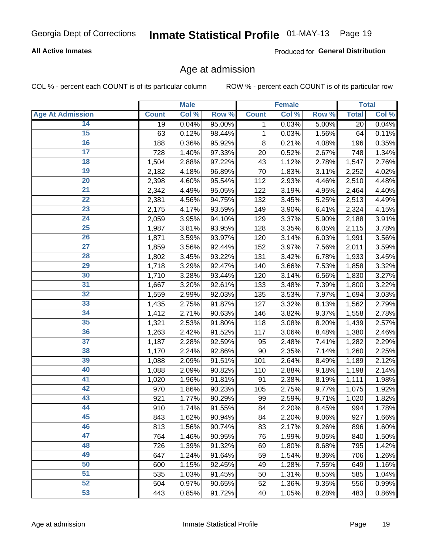#### **All Active Inmates**

Produced for General Distribution

### Age at admission

COL % - percent each COUNT is of its particular column

|                         |                    | <b>Male</b> |        |                 | Female |       |              | <b>Total</b> |
|-------------------------|--------------------|-------------|--------|-----------------|--------|-------|--------------|--------------|
| <b>Age At Admission</b> | <b>Count</b>       | Col %       | Row %  | <b>Count</b>    | Col %  | Row % | <b>Total</b> | Col %        |
| 14                      | 19                 | 0.04%       | 95.00% | 1               | 0.03%  | 5.00% | 20           | 0.04%        |
| $\overline{15}$         | 63                 | 0.12%       | 98.44% | $\mathbf 1$     | 0.03%  | 1.56% | 64           | 0.11%        |
| 16                      | 188                | 0.36%       | 95.92% | 8               | 0.21%  | 4.08% | 196          | 0.35%        |
| $\overline{17}$         | 728                | 1.40%       | 97.33% | 20              | 0.52%  | 2.67% | 748          | 1.34%        |
| $\overline{18}$         | $\overline{1,504}$ | 2.88%       | 97.22% | 43              | 1.12%  | 2.78% | 1,547        | 2.76%        |
| 19                      | 2,182              | 4.18%       | 96.89% | $\overline{70}$ | 1.83%  | 3.11% | 2,252        | 4.02%        |
| $\overline{20}$         | 2,398              | 4.60%       | 95.54% | 112             | 2.93%  | 4.46% | 2,510        | 4.48%        |
| $\overline{21}$         | 2,342              | 4.49%       | 95.05% | 122             | 3.19%  | 4.95% | 2,464        | 4.40%        |
| $\overline{22}$         | 2,381              | 4.56%       | 94.75% | 132             | 3.45%  | 5.25% | 2,513        | 4.49%        |
| 23                      | 2,175              | 4.17%       | 93.59% | 149             | 3.90%  | 6.41% | 2,324        | 4.15%        |
| $\overline{24}$         | 2,059              | 3.95%       | 94.10% | 129             | 3.37%  | 5.90% | 2,188        | 3.91%        |
| 25                      | 1,987              | 3.81%       | 93.95% | 128             | 3.35%  | 6.05% | 2,115        | 3.78%        |
| $\overline{26}$         | 1,871              | 3.59%       | 93.97% | 120             | 3.14%  | 6.03% | 1,991        | 3.56%        |
| $\overline{27}$         | 1,859              | 3.56%       | 92.44% | 152             | 3.97%  | 7.56% | 2,011        | 3.59%        |
| 28                      | 1,802              | 3.45%       | 93.22% | 131             | 3.42%  | 6.78% | 1,933        | 3.45%        |
| 29                      | 1,718              | 3.29%       | 92.47% | 140             | 3.66%  | 7.53% | 1,858        | 3.32%        |
| 30                      | 1,710              | 3.28%       | 93.44% | 120             | 3.14%  | 6.56% | 1,830        | 3.27%        |
| $\overline{31}$         | 1,667              | 3.20%       | 92.61% | 133             | 3.48%  | 7.39% | 1,800        | 3.22%        |
| 32                      | 1,559              | 2.99%       | 92.03% | 135             | 3.53%  | 7.97% | 1,694        | 3.03%        |
| 33                      | 1,435              | 2.75%       | 91.87% | 127             | 3.32%  | 8.13% | 1,562        | 2.79%        |
| 34                      | 1,412              | 2.71%       | 90.63% | 146             | 3.82%  | 9.37% | 1,558        | 2.78%        |
| 35                      | 1,321              | 2.53%       | 91.80% | 118             | 3.08%  | 8.20% | 1,439        | 2.57%        |
| 36                      | 1,263              | 2.42%       | 91.52% | 117             | 3.06%  | 8.48% | 1,380        | 2.46%        |
| $\overline{37}$         | 1,187              | 2.28%       | 92.59% | 95              | 2.48%  | 7.41% | 1,282        | 2.29%        |
| 38                      | 1,170              | 2.24%       | 92.86% | 90              | 2.35%  | 7.14% | 1,260        | 2.25%        |
| 39                      | 1,088              | 2.09%       | 91.51% | 101             | 2.64%  | 8.49% | 1,189        | 2.12%        |
| 40                      | 1,088              | 2.09%       | 90.82% | 110             | 2.88%  | 9.18% | 1,198        | 2.14%        |
| 41                      | 1,020              | 1.96%       | 91.81% | 91              | 2.38%  | 8.19% | 1,111        | 1.98%        |
| 42                      | 970                | 1.86%       | 90.23% | 105             | 2.75%  | 9.77% | 1,075        | 1.92%        |
| 43                      | 921                | 1.77%       | 90.29% | 99              | 2.59%  | 9.71% | 1,020        | 1.82%        |
| 44                      | 910                | 1.74%       | 91.55% | 84              | 2.20%  | 8.45% | 994          | 1.78%        |
| 45                      | 843                | 1.62%       | 90.94% | 84              | 2.20%  | 9.06% | 927          | 1.66%        |
| 46                      | 813                | 1.56%       | 90.74% | 83              | 2.17%  | 9.26% | 896          | 1.60%        |
| 47                      | 764                | 1.46%       | 90.95% | 76              | 1.99%  | 9.05% | 840          | 1.50%        |
| 48                      | 726                | 1.39%       | 91.32% | 69              | 1.80%  | 8.68% | 795          | 1.42%        |
| 49                      | 647                | 1.24%       | 91.64% | 59              | 1.54%  | 8.36% | 706          | 1.26%        |
| 50                      | 600                | 1.15%       | 92.45% | 49              | 1.28%  | 7.55% | 649          | 1.16%        |
| 51                      | 535                | 1.03%       | 91.45% | 50              | 1.31%  | 8.55% | 585          | 1.04%        |
| 52                      | 504                | 0.97%       | 90.65% | 52              | 1.36%  | 9.35% | 556          | 0.99%        |
| 53                      | 443                | 0.85%       | 91.72% | 40              | 1.05%  | 8.28% | 483          | 0.86%        |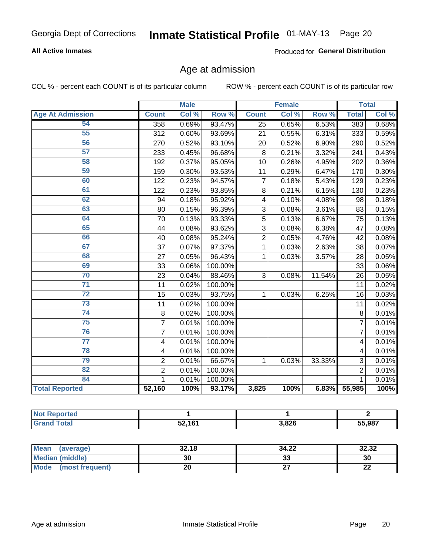#### **All Active Inmates**

Produced for General Distribution

### Age at admission

COL % - percent each COUNT is of its particular column

|                         |                         | <b>Male</b> |         | <b>Female</b>  |       |        | <b>Total</b>    |       |
|-------------------------|-------------------------|-------------|---------|----------------|-------|--------|-----------------|-------|
| <b>Age At Admission</b> | <b>Count</b>            | Col %       | Row %   | <b>Count</b>   | Col % | Row %  | <b>Total</b>    | Col % |
| 54                      | 358                     | 0.69%       | 93.47%  | 25             | 0.65% | 6.53%  | 383             | 0.68% |
| 55                      | 312                     | 0.60%       | 93.69%  | 21             | 0.55% | 6.31%  | 333             | 0.59% |
| 56                      | 270                     | 0.52%       | 93.10%  | 20             | 0.52% | 6.90%  | 290             | 0.52% |
| 57                      | 233                     | 0.45%       | 96.68%  | 8              | 0.21% | 3.32%  | 241             | 0.43% |
| 58                      | 192                     | 0.37%       | 95.05%  | 10             | 0.26% | 4.95%  | 202             | 0.36% |
| 59                      | 159                     | 0.30%       | 93.53%  | 11             | 0.29% | 6.47%  | 170             | 0.30% |
| 60                      | 122                     | 0.23%       | 94.57%  | $\overline{7}$ | 0.18% | 5.43%  | 129             | 0.23% |
| 61                      | 122                     | 0.23%       | 93.85%  | 8              | 0.21% | 6.15%  | 130             | 0.23% |
| 62                      | 94                      | 0.18%       | 95.92%  | 4              | 0.10% | 4.08%  | 98              | 0.18% |
| 63                      | 80                      | 0.15%       | 96.39%  | 3              | 0.08% | 3.61%  | 83              | 0.15% |
| 64                      | 70                      | 0.13%       | 93.33%  | 5              | 0.13% | 6.67%  | 75              | 0.13% |
| 65                      | 44                      | 0.08%       | 93.62%  | 3              | 0.08% | 6.38%  | 47              | 0.08% |
| 66                      | 40                      | 0.08%       | 95.24%  | $\overline{2}$ | 0.05% | 4.76%  | 42              | 0.08% |
| 67                      | 37                      | 0.07%       | 97.37%  | 1              | 0.03% | 2.63%  | 38              | 0.07% |
| 68                      | 27                      | 0.05%       | 96.43%  | 1              | 0.03% | 3.57%  | 28              | 0.05% |
| 69                      | 33                      | 0.06%       | 100.00% |                |       |        | $\overline{33}$ | 0.06% |
| 70                      | 23                      | 0.04%       | 88.46%  | 3              | 0.08% | 11.54% | 26              | 0.05% |
| $\overline{71}$         | 11                      | 0.02%       | 100.00% |                |       |        | 11              | 0.02% |
| $\overline{72}$         | 15                      | 0.03%       | 93.75%  | 1              | 0.03% | 6.25%  | 16              | 0.03% |
| $\overline{73}$         | 11                      | 0.02%       | 100.00% |                |       |        | 11              | 0.02% |
| $\overline{74}$         | $\,8\,$                 | 0.02%       | 100.00% |                |       |        | 8               | 0.01% |
| 75                      | $\overline{7}$          | 0.01%       | 100.00% |                |       |        | $\overline{7}$  | 0.01% |
| 76                      | $\overline{7}$          | 0.01%       | 100.00% |                |       |        | 7               | 0.01% |
| $\overline{77}$         | 4                       | 0.01%       | 100.00% |                |       |        | 4               | 0.01% |
| 78                      | $\overline{\mathbf{4}}$ | 0.01%       | 100.00% |                |       |        | 4               | 0.01% |
| 79                      | $\overline{2}$          | 0.01%       | 66.67%  | 1              | 0.03% | 33.33% | 3               | 0.01% |
| 82                      | $\overline{2}$          | 0.01%       | 100.00% |                |       |        | $\overline{2}$  | 0.01% |
| 84                      | $\mathbf{1}$            | 0.01%       | 100.00% |                |       |        | $\mathbf{1}$    | 0.01% |
| <b>Total Reported</b>   | 52,160                  | 100%        | 93.17%  | 3,825          | 100%  | 6.83%  | 55,985          | 100%  |

| ∖rte∩<br>'N ( |               |       |        |
|---------------|---------------|-------|--------|
| <b>cotal</b>  | 52.161<br>ວ∠. | 3,826 | 55.987 |

| <b>Mean</b><br>(average) | 32.18 | 34.22   | 32.32     |
|--------------------------|-------|---------|-----------|
| Median (middle)          | 30    | ົ<br>აა | 30        |
| Mode<br>(most frequent)  | zu    |         | ne.<br>LL |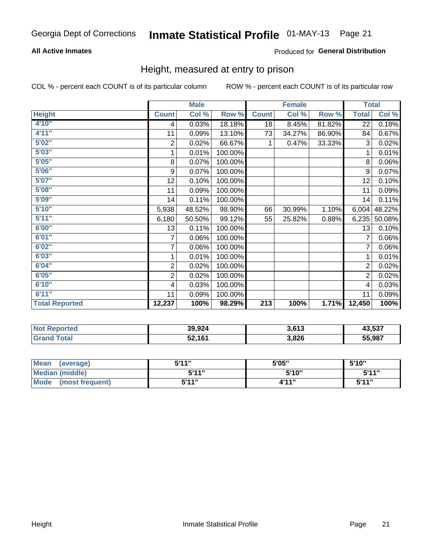#### **All Active Inmates**

#### Produced for General Distribution

### Height, measured at entry to prison

COL % - percent each COUNT is of its particular column

|                       |                | <b>Male</b> |         |                  | <b>Female</b> |        |                | <b>Total</b> |
|-----------------------|----------------|-------------|---------|------------------|---------------|--------|----------------|--------------|
| <b>Height</b>         | <b>Count</b>   | Col %       | Row %   | <b>Count</b>     | Col %         | Row %  | <b>Total</b>   | Col %        |
| 4'10''                | 4              | 0.03%       | 18.18%  | 18               | 8.45%         | 81.82% | 22             | 0.18%        |
| 4'11''                | 11             | 0.09%       | 13.10%  | 73               | 34.27%        | 86.90% | 84             | 0.67%        |
| 5'02''                | $\overline{c}$ | 0.02%       | 66.67%  | 1                | 0.47%         | 33.33% | 3              | 0.02%        |
| 5'03"                 | 1              | 0.01%       | 100.00% |                  |               |        | 1              | 0.01%        |
| 5'05''                | 8              | 0.07%       | 100.00% |                  |               |        | 8              | 0.06%        |
| 5'06''                | 9              | 0.07%       | 100.00% |                  |               |        | 9              | 0.07%        |
| 5'07''                | 12             | 0.10%       | 100.00% |                  |               |        | 12             | 0.10%        |
| 5'08''                | 11             | 0.09%       | 100.00% |                  |               |        | 11             | 0.09%        |
| 5'09''                | 14             | 0.11%       | 100.00% |                  |               |        | 14             | 0.11%        |
| 5'10''                | 5,938          | 48.52%      | 98.90%  | 66               | 30.99%        | 1.10%  | 6,004          | 48.22%       |
| 5'11''                | 6,180          | 50.50%      | 99.12%  | 55               | 25.82%        | 0.88%  | 6,235          | 50.08%       |
| 6'00''                | 13             | 0.11%       | 100.00% |                  |               |        | 13             | 0.10%        |
| 6'01''                | $\overline{7}$ | 0.06%       | 100.00% |                  |               |        |                | $0.06\%$     |
| 6'02"                 | 7              | 0.06%       | 100.00% |                  |               |        | 7              | 0.06%        |
| 6'03''                | 1              | 0.01%       | 100.00% |                  |               |        | 1              | 0.01%        |
| 6'04''                | 2              | 0.02%       | 100.00% |                  |               |        | $\overline{2}$ | 0.02%        |
| 6'05''                | $\overline{2}$ | 0.02%       | 100.00% |                  |               |        | $\overline{2}$ | 0.02%        |
| 6'10''                | 4              | 0.03%       | 100.00% |                  |               |        | $\overline{4}$ | 0.03%        |
| 6'11''                | 11             | 0.09%       | 100.00% |                  |               |        | 11             | 0.09%        |
| <b>Total Reported</b> | 12,237         | 100%        | 98.29%  | $\overline{213}$ | 100%          | 1.71%  | 12,450         | 100%         |

| <b>Not</b><br>Reported | 39,924 | 3,613 | 43,537 |
|------------------------|--------|-------|--------|
|                        | 52,161 | 3,826 | 55,987 |

| Mean<br>(average)              | 544"<br>. J . I . | 5'05" | 5'10"        |
|--------------------------------|-------------------|-------|--------------|
| <b>Median (middle)</b>         | 5'11"             | 5'10" | 5'11"        |
| <b>Mode</b><br>(most frequent) | 544"              | 4'11" | <b>5'44"</b> |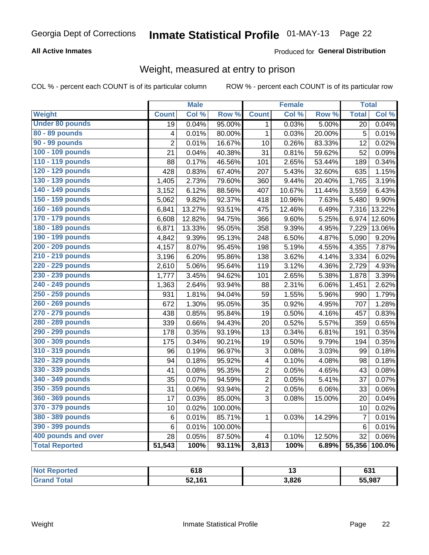#### **All Active Inmates**

#### Produced for General Distribution

### Weight, measured at entry to prison

COL % - percent each COUNT is of its particular column

|                        |                         | <b>Male</b> |         |                         | <b>Female</b> |        | <b>Total</b>    |        |
|------------------------|-------------------------|-------------|---------|-------------------------|---------------|--------|-----------------|--------|
| <b>Weight</b>          | <b>Count</b>            | Col %       | Row %   | <b>Count</b>            | Col %         | Row %  | <b>Total</b>    | Col %  |
| <b>Under 80 pounds</b> | 19                      | 0.04%       | 95.00%  | 1                       | 0.03%         | 5.00%  | 20              | 0.04%  |
| 80 - 89 pounds         | $\overline{\mathbf{4}}$ | 0.01%       | 80.00%  | $\mathbf{1}$            | 0.03%         | 20.00% | 5               | 0.01%  |
| 90 - 99 pounds         | $\overline{2}$          | 0.01%       | 16.67%  | 10                      | 0.26%         | 83.33% | 12              | 0.02%  |
| 100 - 109 pounds       | 21                      | 0.04%       | 40.38%  | 31                      | 0.81%         | 59.62% | 52              | 0.09%  |
| 110 - 119 pounds       | 88                      | 0.17%       | 46.56%  | 101                     | 2.65%         | 53.44% | 189             | 0.34%  |
| 120 - 129 pounds       | 428                     | 0.83%       | 67.40%  | 207                     | 5.43%         | 32.60% | 635             | 1.15%  |
| 130 - 139 pounds       | 1,405                   | 2.73%       | 79.60%  | 360                     | 9.44%         | 20.40% | 1,765           | 3.19%  |
| 140 - 149 pounds       | 3,152                   | 6.12%       | 88.56%  | 407                     | 10.67%        | 11.44% | 3,559           | 6.43%  |
| 150 - 159 pounds       | 5,062                   | 9.82%       | 92.37%  | 418                     | 10.96%        | 7.63%  | 5,480           | 9.90%  |
| 160 - 169 pounds       | 6,841                   | 13.27%      | 93.51%  | 475                     | 12.46%        | 6.49%  | 7,316           | 13.22% |
| 170 - 179 pounds       | 6,608                   | 12.82%      | 94.75%  | 366                     | 9.60%         | 5.25%  | 6,974           | 12.60% |
| 180 - 189 pounds       | 6,871                   | 13.33%      | 95.05%  | 358                     | 9.39%         | 4.95%  | 7,229           | 13.06% |
| 190 - 199 pounds       | 4,842                   | 9.39%       | 95.13%  | 248                     | 6.50%         | 4.87%  | 5,090           | 9.20%  |
| 200 - 209 pounds       | 4,157                   | 8.07%       | 95.45%  | 198                     | 5.19%         | 4.55%  | 4,355           | 7.87%  |
| 210 - 219 pounds       | 3,196                   | 6.20%       | 95.86%  | 138                     | 3.62%         | 4.14%  | 3,334           | 6.02%  |
| 220 - 229 pounds       | 2,610                   | 5.06%       | 95.64%  | 119                     | 3.12%         | 4.36%  | 2,729           | 4.93%  |
| 230 - 239 pounds       | 1,777                   | 3.45%       | 94.62%  | 101                     | 2.65%         | 5.38%  | 1,878           | 3.39%  |
| 240 - 249 pounds       | 1,363                   | 2.64%       | 93.94%  | 88                      | 2.31%         | 6.06%  | 1,451           | 2.62%  |
| 250 - 259 pounds       | 931                     | 1.81%       | 94.04%  | 59                      | 1.55%         | 5.96%  | 990             | 1.79%  |
| 260 - 269 pounds       | 672                     | 1.30%       | 95.05%  | 35                      | 0.92%         | 4.95%  | 707             | 1.28%  |
| 270 - 279 pounds       | 438                     | 0.85%       | 95.84%  | 19                      | 0.50%         | 4.16%  | 457             | 0.83%  |
| 280 - 289 pounds       | 339                     | 0.66%       | 94.43%  | 20                      | 0.52%         | 5.57%  | 359             | 0.65%  |
| 290 - 299 pounds       | 178                     | 0.35%       | 93.19%  | 13                      | 0.34%         | 6.81%  | 191             | 0.35%  |
| 300 - 309 pounds       | 175                     | 0.34%       | 90.21%  | 19                      | 0.50%         | 9.79%  | 194             | 0.35%  |
| 310 - 319 pounds       | 96                      | 0.19%       | 96.97%  | 3                       | 0.08%         | 3.03%  | 99              | 0.18%  |
| 320 - 329 pounds       | 94                      | 0.18%       | 95.92%  | $\overline{\mathbf{4}}$ | 0.10%         | 4.08%  | 98              | 0.18%  |
| 330 - 339 pounds       | 41                      | 0.08%       | 95.35%  | $\overline{2}$          | 0.05%         | 4.65%  | 43              | 0.08%  |
| 340 - 349 pounds       | 35                      | 0.07%       | 94.59%  | $\overline{c}$          | 0.05%         | 5.41%  | 37              | 0.07%  |
| 350 - 359 pounds       | 31                      | 0.06%       | 93.94%  | $\overline{c}$          | 0.05%         | 6.06%  | 33              | 0.06%  |
| 360 - 369 pounds       | 17                      | 0.03%       | 85.00%  | 3                       | 0.08%         | 15.00% | 20              | 0.04%  |
| 370 - 379 pounds       | 10                      | 0.02%       | 100.00% |                         |               |        | 10              | 0.02%  |
| 380 - 389 pounds       | 6                       | 0.01%       | 85.71%  | $\mathbf{1}$            | 0.03%         | 14.29% | $\overline{7}$  | 0.01%  |
| 390 - 399 pounds       | 6                       | 0.01%       | 100.00% |                         |               |        | $\,6$           | 0.01%  |
| 400 pounds and over    | 28                      | 0.05%       | 87.50%  | $\overline{\mathbf{4}}$ | 0.10%         | 12.50% | $\overline{32}$ | 0.06%  |
| <b>Total Reported</b>  | 51,543                  | 100%        | 93.11%  | 3,813                   | 100%          | 6.89%  | 55,356          | 100.0% |

| <b>Not</b><br>oorted | 618    |       | cor<br>OJ. |
|----------------------|--------|-------|------------|
| `ota.                | 52,161 | 3,826 | 55,987     |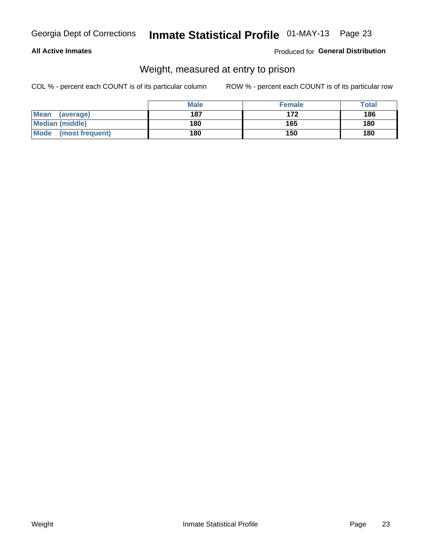#### **All Active Inmates**

#### Produced for General Distribution

### Weight, measured at entry to prison

COL % - percent each COUNT is of its particular column

|                          | <b>Male</b> | <b>Female</b> | Total |
|--------------------------|-------------|---------------|-------|
| <b>Mean</b><br>(average) | 187         | 172           | 186   |
| <b>Median (middle)</b>   | 180         | 165           | 180   |
| Mode<br>(most frequent)  | 180         | 150           | 180   |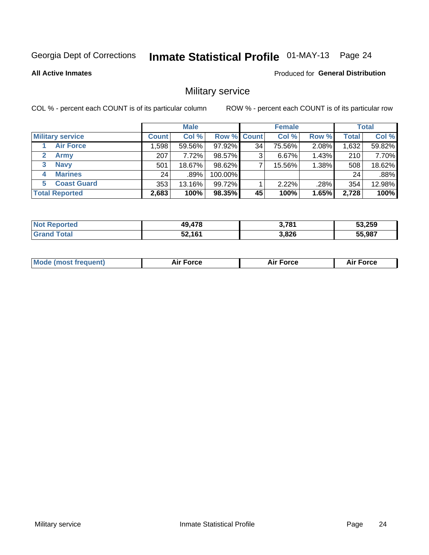# Inmate Statistical Profile 01-MAY-13 Page 24

**All Active Inmates** 

Produced for General Distribution

### Military service

COL % - percent each COUNT is of its particular column

|                          | <b>Male</b>  |        |         | <b>Female</b>      |        |       | <b>Total</b> |        |
|--------------------------|--------------|--------|---------|--------------------|--------|-------|--------------|--------|
| <b>Military service</b>  | <b>Count</b> | Col %  |         | <b>Row % Count</b> | Col %  | Row % | <b>Total</b> | Col %  |
| <b>Air Force</b>         | 1,598        | 59.56% | 97.92%  | 34                 | 75.56% | 2.08% | 1,632        | 59.82% |
| $\mathbf{2}^-$<br>Army   | 207          | 7.72%  | 98.57%  | 3                  | 6.67%  | 1.43% | 210          | 7.70%  |
| <b>Navy</b><br>3         | 501          | 18.67% | 98.62%  |                    | 15.56% | 1.38% | 508          | 18.62% |
| <b>Marines</b><br>4      | 24           | ا 89%. | 100.00% |                    |        |       | 24           | .88%   |
| <b>Coast Guard</b><br>5. | 353          | 13.16% | 99.72%  |                    | 2.22%  | .28%  | 354          | 12.98% |
| <b>Total Reported</b>    | 2,683        | 100%   | 98.35%  | 45                 | 100%   | 1.65% | 2,728        | 100%   |

| Reported<br>Not. | 49,478 | <b>2 704</b><br>J. 1 O I | 53,259 |
|------------------|--------|--------------------------|--------|
| ™otal            | 52,161 | 3,826                    | 55,987 |

| Mo | <br>ъc | . |
|----|--------|---|
|    |        |   |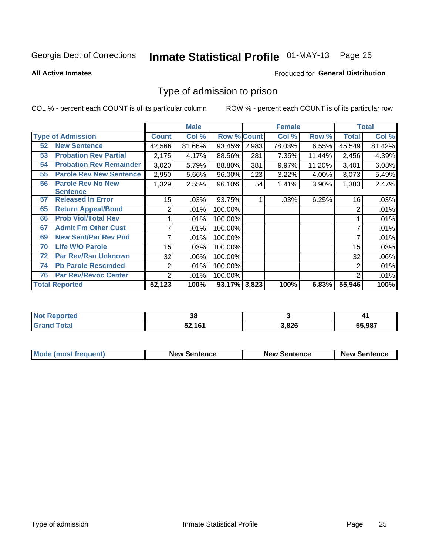# Inmate Statistical Profile 01-MAY-13 Page 25

**All Active Inmates** 

#### Produced for General Distribution

### Type of admission to prison

COL % - percent each COUNT is of its particular column

|    |                                |                | <b>Male</b> |                    |     | <b>Female</b> |        | <b>Total</b> |        |
|----|--------------------------------|----------------|-------------|--------------------|-----|---------------|--------|--------------|--------|
|    | <b>Type of Admission</b>       | <b>Count</b>   | Col %       | <b>Row % Count</b> |     | Col %         | Row %  | Total        | Col %  |
| 52 | <b>New Sentence</b>            | 42,566         | 81.66%      | 93.45% 2,983       |     | 78.03%        | 6.55%  | 45,549       | 81.42% |
| 53 | <b>Probation Rev Partial</b>   | 2,175          | 4.17%       | 88.56%             | 281 | 7.35%         | 11.44% | 2,456        | 4.39%  |
| 54 | <b>Probation Rev Remainder</b> | 3,020          | 5.79%       | 88.80%             | 381 | 9.97%         | 11.20% | 3,401        | 6.08%  |
| 55 | <b>Parole Rev New Sentence</b> | 2,950          | 5.66%       | 96.00%             | 123 | 3.22%         | 4.00%  | 3,073        | 5.49%  |
| 56 | <b>Parole Rev No New</b>       | 1,329          | 2.55%       | 96.10%             | 54  | 1.41%         | 3.90%  | 1,383        | 2.47%  |
|    | <b>Sentence</b>                |                |             |                    |     |               |        |              |        |
| 57 | <b>Released In Error</b>       | 15             | .03%        | 93.75%             |     | .03%          | 6.25%  | 16           | .03%   |
| 65 | <b>Return Appeal/Bond</b>      | 2              | .01%        | 100.00%            |     |               |        | 2            | .01%   |
| 66 | <b>Prob Viol/Total Rev</b>     |                | .01%        | 100.00%            |     |               |        |              | .01%   |
| 67 | <b>Admit Fm Other Cust</b>     | 7              | .01%        | 100.00%            |     |               |        | 7            | .01%   |
| 69 | <b>New Sent/Par Rev Pnd</b>    | 7              | .01%        | 100.00%            |     |               |        | 7            | .01%   |
| 70 | <b>Life W/O Parole</b>         | 15             | .03%        | 100.00%            |     |               |        | 15           | .03%   |
| 72 | <b>Par Rev/Rsn Unknown</b>     | 32             | .06%        | 100.00%            |     |               |        | 32           | .06%   |
| 74 | <b>Pb Parole Rescinded</b>     | 2              | .01%        | 100.00%            |     |               |        | 2            | .01%   |
| 76 | <b>Par Rev/Revoc Center</b>    | $\overline{2}$ | .01%        | 100.00%            |     |               |        | 2            | .01%   |
|    | <b>Total Reported</b>          | 52,123         | 100%        | 93.17% 3,823       |     | 100%          | 6.83%  | 55,946       | 100%   |

| <b>Not</b><br>morted | っ<br>vu |      | .,     |
|----------------------|---------|------|--------|
| $f$ oto $'$          | 52,161  | ,826 | 55,987 |

| Mode (most frequent) | <b>New Sentence</b> | <b>New Sentence</b> | <b>New Sentence</b> |
|----------------------|---------------------|---------------------|---------------------|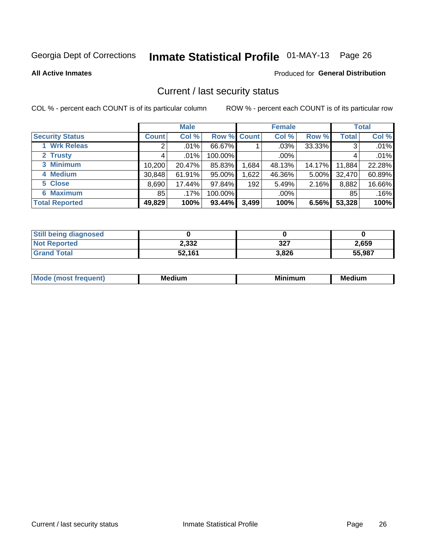# Inmate Statistical Profile 01-MAY-13 Page 26

**All Active Inmates** 

#### Produced for General Distribution

### Current / last security status

COL % - percent each COUNT is of its particular column

|                        |              | <b>Male</b> |             |       | <b>Female</b> |          |              | <b>Total</b> |  |
|------------------------|--------------|-------------|-------------|-------|---------------|----------|--------------|--------------|--|
| <b>Security Status</b> | <b>Count</b> | Col %       | Row % Count |       | Col %         | Row %    | <b>Total</b> | Col %        |  |
| 1 Wrk Releas           | 2            | $.01\%$     | 66.67%      |       | $.03\%$       | 33.33%   | 3            | .01%         |  |
| 2 Trusty               |              | .01%        | 100.00%     |       | $.00\%$       |          |              | .01%         |  |
| 3 Minimum              | 10,200       | 20.47%      | 85.83%      | .684  | 48.13%        | 14.17%   | 11,884       | 22.28%       |  |
| 4 Medium               | 30,848       | 61.91%      | 95.00%      | 1,622 | 46.36%        | $5.00\%$ | 32,470       | 60.89%       |  |
| 5 Close                | 8,690        | 17.44%      | 97.84%      | 192   | 5.49%         | 2.16%    | 8,882        | 16.66%       |  |
| <b>6 Maximum</b>       | 85           | .17%        | 100.00%     |       | $.00\%$       |          | 85           | .16%         |  |
| <b>Total Reported</b>  | 49,829       | 100%        | 93.44%      | 3,499 | 100%          | 6.56%    | 53,328       | 100%         |  |

| <b>Still being diagnosed</b> |        |       |        |
|------------------------------|--------|-------|--------|
| <b>Not Reported</b>          | 2,332  | 327   | 2,659  |
| <b>Grand Total</b>           | 52,161 | 3,826 | 55,987 |

| M | NЛ<br><br>dilim<br>_____ | ---<br>-- | . .<br>Medium<br>Me |
|---|--------------------------|-----------|---------------------|
|   |                          |           |                     |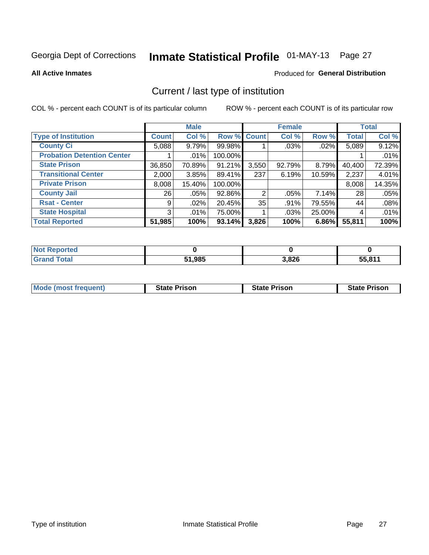# Inmate Statistical Profile 01-MAY-13 Page 27

**All Active Inmates** 

#### Produced for General Distribution

### Current / last type of institution

COL % - percent each COUNT is of its particular column

|                                   |              | <b>Male</b> |                    |       | <b>Female</b> |          |              | <b>Total</b> |
|-----------------------------------|--------------|-------------|--------------------|-------|---------------|----------|--------------|--------------|
| <b>Type of Institution</b>        | <b>Count</b> | Col %       | <b>Row % Count</b> |       | Col %         | Row %    | <b>Total</b> | Col %        |
| <b>County Ci</b>                  | 5,088        | 9.79%       | 99.98%             |       | .03%          | $.02\%$  | 5,089        | 9.12%        |
| <b>Probation Detention Center</b> |              | .01%        | 100.00%            |       |               |          |              | .01%         |
| <b>State Prison</b>               | 36,850       | 70.89%      | 91.21%             | 3,550 | 92.79%        | $8.79\%$ | 40,400       | 72.39%       |
| <b>Transitional Center</b>        | 2,000        | 3.85%       | 89.41%             | 237   | 6.19%         | 10.59%   | 2,237        | 4.01%        |
| <b>Private Prison</b>             | 8,008        | 15.40%      | 100.00%            |       |               |          | 8,008        | 14.35%       |
| <b>County Jail</b>                | 26           | .05%        | 92.86%             | 2     | $.05\%$       | $7.14\%$ | 28           | .05%         |
| <b>Rsat - Center</b>              | 9            | .02%        | 20.45%             | 35    | $.91\%$       | 79.55%   | 44           | .08%         |
| <b>State Hospital</b>             | 3            | .01%        | 75.00%             |       | .03%          | 25.00%   | 4            | .01%         |
| <b>Total Reported</b>             | 51,985       | 100%        | 93.14%             | 3,826 | 100%          | 6.86%    | 55,811       | 100%         |

| ported<br><b>NOT</b> |        |       |        |
|----------------------|--------|-------|--------|
| `otal<br>. Gret      | 51,985 | 3,826 | 55,811 |

| Mode (most frequent) | <b>State Prison</b> | <b>State Prison</b> | <b>State Prison</b> |
|----------------------|---------------------|---------------------|---------------------|
|                      |                     |                     |                     |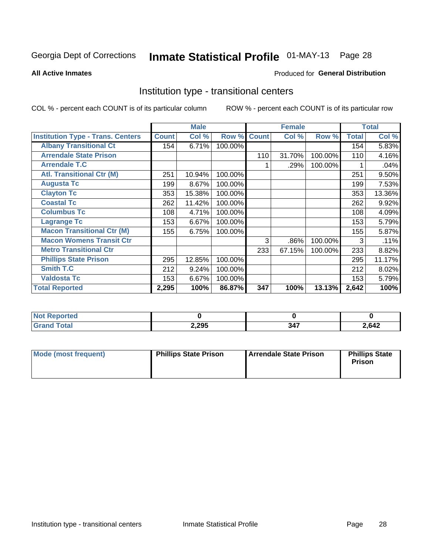# Inmate Statistical Profile 01-MAY-13 Page 28

**All Active Inmates** 

#### Produced for General Distribution

### Institution type - transitional centers

COL % - percent each COUNT is of its particular column

|                                          |              | <b>Male</b> |         |              | <b>Female</b> |         |              | <b>Total</b> |
|------------------------------------------|--------------|-------------|---------|--------------|---------------|---------|--------------|--------------|
| <b>Institution Type - Trans. Centers</b> | <b>Count</b> | Col %       | Row %   | <b>Count</b> | Col %         | Row %   | <b>Total</b> | Col %        |
| <b>Albany Transitional Ct</b>            | 154          | 6.71%       | 100.00% |              |               |         | 154          | 5.83%        |
| <b>Arrendale State Prison</b>            |              |             |         | 110          | 31.70%        | 100.00% | 110          | 4.16%        |
| <b>Arrendale T.C</b>                     |              |             |         |              | .29%          | 100.00% |              | .04%         |
| <b>Atl. Transitional Ctr (M)</b>         | 251          | 10.94%      | 100.00% |              |               |         | 251          | 9.50%        |
| <b>Augusta Tc</b>                        | 199          | 8.67%       | 100.00% |              |               |         | 199          | 7.53%        |
| <b>Clayton Tc</b>                        | 353          | 15.38%      | 100.00% |              |               |         | 353          | 13.36%       |
| <b>Coastal Tc</b>                        | 262          | 11.42%      | 100.00% |              |               |         | 262          | 9.92%        |
| <b>Columbus Tc</b>                       | 108          | 4.71%       | 100.00% |              |               |         | 108          | 4.09%        |
| <b>Lagrange Tc</b>                       | 153          | 6.67%       | 100.00% |              |               |         | 153          | 5.79%        |
| <b>Macon Transitional Ctr (M)</b>        | 155          | 6.75%       | 100.00% |              |               |         | 155          | 5.87%        |
| <b>Macon Womens Transit Ctr</b>          |              |             |         | 3            | .86%          | 100.00% | 3            | .11%         |
| <b>Metro Transitional Ctr</b>            |              |             |         | 233          | 67.15%        | 100.00% | 233          | 8.82%        |
| <b>Phillips State Prison</b>             | 295          | 12.85%      | 100.00% |              |               |         | 295          | 11.17%       |
| <b>Smith T.C</b>                         | 212          | 9.24%       | 100.00% |              |               |         | 212          | 8.02%        |
| <b>Valdosta Tc</b>                       | 153          | 6.67%       | 100.00% |              |               |         | 153          | 5.79%        |
| <b>Total Reported</b>                    | 2,295        | 100%        | 86.87%  | 347          | 100%          | 13.13%  | 2,642        | 100%         |

| orted |       |               |      |
|-------|-------|---------------|------|
| _____ | 2,295 | $\sim$ $\sim$ | ,642 |

| Mode (most frequent) | <b>Phillips State Prison</b> | Arrendale State Prison | <b>Phillips State</b><br><b>Prison</b> |
|----------------------|------------------------------|------------------------|----------------------------------------|
|----------------------|------------------------------|------------------------|----------------------------------------|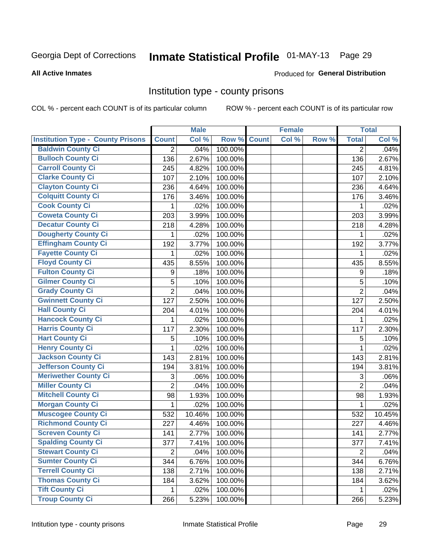# Inmate Statistical Profile 01-MAY-13 Page 29

#### **All Active Inmates**

#### Produced for General Distribution

### Institution type - county prisons

COL % - percent each COUNT is of its particular column

|                                          |                | <b>Male</b> |         |              | <b>Female</b> |       |                | <b>Total</b> |
|------------------------------------------|----------------|-------------|---------|--------------|---------------|-------|----------------|--------------|
| <b>Institution Type - County Prisons</b> | <b>Count</b>   | Col %       | Row %   | <b>Count</b> | Col %         | Row % | <b>Total</b>   | Col %        |
| <b>Baldwin County Ci</b>                 | $\overline{2}$ | .04%        | 100.00% |              |               |       | $\overline{2}$ | .04%         |
| <b>Bulloch County Ci</b>                 | 136            | 2.67%       | 100.00% |              |               |       | 136            | 2.67%        |
| <b>Carroll County Ci</b>                 | 245            | 4.82%       | 100.00% |              |               |       | 245            | 4.81%        |
| <b>Clarke County Ci</b>                  | 107            | 2.10%       | 100.00% |              |               |       | 107            | 2.10%        |
| <b>Clayton County Ci</b>                 | 236            | 4.64%       | 100.00% |              |               |       | 236            | 4.64%        |
| <b>Colquitt County Ci</b>                | 176            | 3.46%       | 100.00% |              |               |       | 176            | 3.46%        |
| <b>Cook County Ci</b>                    | 1              | .02%        | 100.00% |              |               |       | 1              | .02%         |
| <b>Coweta County Ci</b>                  | 203            | 3.99%       | 100.00% |              |               |       | 203            | 3.99%        |
| <b>Decatur County Ci</b>                 | 218            | 4.28%       | 100.00% |              |               |       | 218            | 4.28%        |
| <b>Dougherty County Ci</b>               | 1              | .02%        | 100.00% |              |               |       | 1              | .02%         |
| <b>Effingham County Ci</b>               | 192            | 3.77%       | 100.00% |              |               |       | 192            | 3.77%        |
| <b>Fayette County Ci</b>                 | 1              | .02%        | 100.00% |              |               |       | 1              | .02%         |
| <b>Floyd County Ci</b>                   | 435            | 8.55%       | 100.00% |              |               |       | 435            | 8.55%        |
| <b>Fulton County Ci</b>                  | 9              | .18%        | 100.00% |              |               |       | 9              | .18%         |
| <b>Gilmer County Ci</b>                  | 5              | .10%        | 100.00% |              |               |       | 5              | .10%         |
| <b>Grady County Ci</b>                   | $\overline{2}$ | .04%        | 100.00% |              |               |       | $\overline{2}$ | .04%         |
| <b>Gwinnett County Ci</b>                | 127            | 2.50%       | 100.00% |              |               |       | 127            | 2.50%        |
| <b>Hall County Ci</b>                    | 204            | 4.01%       | 100.00% |              |               |       | 204            | 4.01%        |
| <b>Hancock County Ci</b>                 | 1              | .02%        | 100.00% |              |               |       | 1              | .02%         |
| <b>Harris County Ci</b>                  | 117            | 2.30%       | 100.00% |              |               |       | 117            | 2.30%        |
| <b>Hart County Ci</b>                    | 5              | .10%        | 100.00% |              |               |       | 5              | .10%         |
| <b>Henry County Ci</b>                   | 1              | .02%        | 100.00% |              |               |       | 1              | .02%         |
| <b>Jackson County Ci</b>                 | 143            | 2.81%       | 100.00% |              |               |       | 143            | 2.81%        |
| <b>Jefferson County Ci</b>               | 194            | 3.81%       | 100.00% |              |               |       | 194            | 3.81%        |
| <b>Meriwether County Ci</b>              | 3              | .06%        | 100.00% |              |               |       | 3              | .06%         |
| <b>Miller County Ci</b>                  | $\overline{2}$ | .04%        | 100.00% |              |               |       | $\overline{2}$ | .04%         |
| <b>Mitchell County Ci</b>                | 98             | 1.93%       | 100.00% |              |               |       | 98             | 1.93%        |
| <b>Morgan County Ci</b>                  | 1              | .02%        | 100.00% |              |               |       | 1              | .02%         |
| <b>Muscogee County Ci</b>                | 532            | 10.46%      | 100.00% |              |               |       | 532            | 10.45%       |
| <b>Richmond County Ci</b>                | 227            | 4.46%       | 100.00% |              |               |       | 227            | 4.46%        |
| <b>Screven County Ci</b>                 | 141            | 2.77%       | 100.00% |              |               |       | 141            | 2.77%        |
| <b>Spalding County Ci</b>                | 377            | 7.41%       | 100.00% |              |               |       | 377            | 7.41%        |
| <b>Stewart County Ci</b>                 | $\overline{2}$ | .04%        | 100.00% |              |               |       | $\overline{2}$ | .04%         |
| <b>Sumter County Ci</b>                  | 344            | 6.76%       | 100.00% |              |               |       | 344            | 6.76%        |
| <b>Terrell County Ci</b>                 | 138            | 2.71%       | 100.00% |              |               |       | 138            | 2.71%        |
| <b>Thomas County Ci</b>                  | 184            | 3.62%       | 100.00% |              |               |       | 184            | 3.62%        |
| <b>Tift County Ci</b>                    | 1              | .02%        | 100.00% |              |               |       | 1              | .02%         |
| <b>Troup County Ci</b>                   | 266            | 5.23%       | 100.00% |              |               |       | 266            | 5.23%        |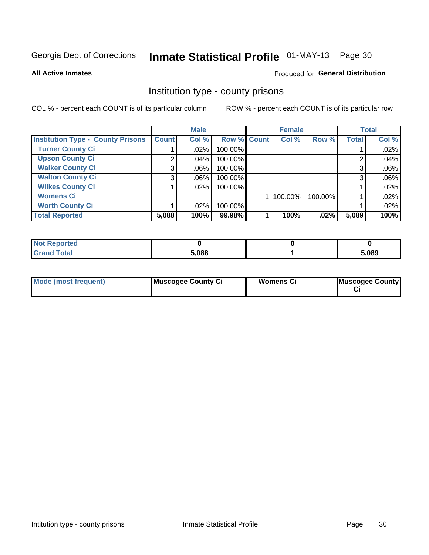# Inmate Statistical Profile 01-MAY-13 Page 30

**All Active Inmates** 

#### Produced for General Distribution

### Institution type - county prisons

COL % - percent each COUNT is of its particular column

|                                          |              | <b>Male</b> |             | <b>Female</b> |         |              | <b>Total</b> |
|------------------------------------------|--------------|-------------|-------------|---------------|---------|--------------|--------------|
| <b>Institution Type - County Prisons</b> | <b>Count</b> | Col %       | Row % Count | Col %         | Row %   | <b>Total</b> | Col %        |
| <b>Turner County Ci</b>                  |              | $.02\%$     | 100.00%     |               |         |              | .02%         |
| <b>Upson County Ci</b>                   | 2            | .04%        | 100.00%     |               |         | റ            | .04%         |
| <b>Walker County Ci</b>                  | 3            | $.06\%$     | 100.00%     |               |         | 3            | .06%         |
| <b>Walton County Ci</b>                  | 3            | $.06\%$     | 100.00%     |               |         |              | .06%         |
| <b>Wilkes County Ci</b>                  |              | $.02\%$     | 100.00%     |               |         |              | .02%         |
| <b>Womens Ci</b>                         |              |             |             | 100.00%       | 100.00% |              | .02%         |
| <b>Worth County Ci</b>                   |              | $.02\%$     | 100.00%     |               |         |              | .02%         |
| <b>Total Reported</b>                    | 5,088        | 100%        | 99.98%      | 100%          | $.02\%$ | 5,089        | 100%         |

| <b>Not Reported</b> |       |       |
|---------------------|-------|-------|
| Total               | 5,088 | 5,089 |

| <b>Mode (most frequent)</b> | Muscogee County Ci | <b>Womens Ci</b> | Muscogee County |
|-----------------------------|--------------------|------------------|-----------------|
|-----------------------------|--------------------|------------------|-----------------|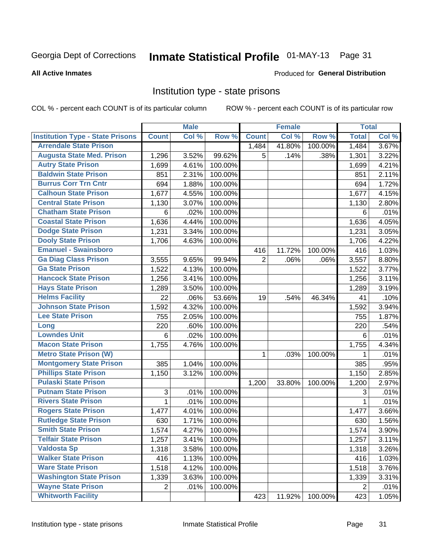# Inmate Statistical Profile 01-MAY-13 Page 31

#### **All Active Inmates**

#### Produced for General Distribution

### Institution type - state prisons

COL % - percent each COUNT is of its particular column

|                                         |                           | <b>Male</b> |         |                | <b>Female</b> |         | <b>Total</b>   |       |
|-----------------------------------------|---------------------------|-------------|---------|----------------|---------------|---------|----------------|-------|
| <b>Institution Type - State Prisons</b> | <b>Count</b>              | Col %       | Row %   | <b>Count</b>   | Col %         | Row %   | <b>Total</b>   | Col % |
| <b>Arrendale State Prison</b>           |                           |             |         | 1,484          | 41.80%        | 100.00% | 1,484          | 3.67% |
| <b>Augusta State Med. Prison</b>        | 1,296                     | 3.52%       | 99.62%  | 5              | .14%          | .38%    | 1,301          | 3.22% |
| <b>Autry State Prison</b>               | 1,699                     | 4.61%       | 100.00% |                |               |         | 1,699          | 4.21% |
| <b>Baldwin State Prison</b>             | 851                       | 2.31%       | 100.00% |                |               |         | 851            | 2.11% |
| <b>Burrus Corr Trn Cntr</b>             | 694                       | 1.88%       | 100.00% |                |               |         | 694            | 1.72% |
| <b>Calhoun State Prison</b>             | 1,677                     | 4.55%       | 100.00% |                |               |         | 1,677          | 4.15% |
| <b>Central State Prison</b>             | 1,130                     | 3.07%       | 100.00% |                |               |         | 1,130          | 2.80% |
| <b>Chatham State Prison</b>             | 6                         | .02%        | 100.00% |                |               |         | 6              | .01%  |
| <b>Coastal State Prison</b>             | 1,636                     | 4.44%       | 100.00% |                |               |         | 1,636          | 4.05% |
| <b>Dodge State Prison</b>               | 1,231                     | 3.34%       | 100.00% |                |               |         | 1,231          | 3.05% |
| <b>Dooly State Prison</b>               | 1,706                     | 4.63%       | 100.00% |                |               |         | 1,706          | 4.22% |
| <b>Emanuel - Swainsboro</b>             |                           |             |         | 416            | 11.72%        | 100.00% | 416            | 1.03% |
| <b>Ga Diag Class Prison</b>             | 3,555                     | 9.65%       | 99.94%  | $\overline{2}$ | .06%          | .06%    | 3,557          | 8.80% |
| <b>Ga State Prison</b>                  | 1,522                     | 4.13%       | 100.00% |                |               |         | 1,522          | 3.77% |
| <b>Hancock State Prison</b>             | 1,256                     | 3.41%       | 100.00% |                |               |         | 1,256          | 3.11% |
| <b>Hays State Prison</b>                | 1,289                     | 3.50%       | 100.00% |                |               |         | 1,289          | 3.19% |
| <b>Helms Facility</b>                   | 22                        | .06%        | 53.66%  | 19             | .54%          | 46.34%  | 41             | .10%  |
| <b>Johnson State Prison</b>             | 1,592                     | 4.32%       | 100.00% |                |               |         | 1,592          | 3.94% |
| <b>Lee State Prison</b>                 | 755                       | 2.05%       | 100.00% |                |               |         | 755            | 1.87% |
| Long                                    | 220                       | .60%        | 100.00% |                |               |         | 220            | .54%  |
| <b>Lowndes Unit</b>                     | 6                         | .02%        | 100.00% |                |               |         | 6              | .01%  |
| <b>Macon State Prison</b>               | 1,755                     | 4.76%       | 100.00% |                |               |         | 1,755          | 4.34% |
| <b>Metro State Prison (W)</b>           |                           |             |         | $\mathbf 1$    | .03%          | 100.00% | 1              | .01%  |
| <b>Montgomery State Prison</b>          | 385                       | 1.04%       | 100.00% |                |               |         | 385            | .95%  |
| <b>Phillips State Prison</b>            | 1,150                     | 3.12%       | 100.00% |                |               |         | 1,150          | 2.85% |
| <b>Pulaski State Prison</b>             |                           |             |         | 1,200          | 33.80%        | 100.00% | 1,200          | 2.97% |
| <b>Putnam State Prison</b>              | $\ensuremath{\mathsf{3}}$ | .01%        | 100.00% |                |               |         | 3              | .01%  |
| <b>Rivers State Prison</b>              | 1                         | .01%        | 100.00% |                |               |         | $\mathbf{1}$   | .01%  |
| <b>Rogers State Prison</b>              | 1,477                     | 4.01%       | 100.00% |                |               |         | 1,477          | 3.66% |
| <b>Rutledge State Prison</b>            | 630                       | 1.71%       | 100.00% |                |               |         | 630            | 1.56% |
| <b>Smith State Prison</b>               | 1,574                     | 4.27%       | 100.00% |                |               |         | 1,574          | 3.90% |
| <b>Telfair State Prison</b>             | 1,257                     | 3.41%       | 100.00% |                |               |         | 1,257          | 3.11% |
| <b>Valdosta Sp</b>                      | 1,318                     | 3.58%       | 100.00% |                |               |         | 1,318          | 3.26% |
| <b>Walker State Prison</b>              | 416                       | 1.13%       | 100.00% |                |               |         | 416            | 1.03% |
| <b>Ware State Prison</b>                | 1,518                     | 4.12%       | 100.00% |                |               |         | 1,518          | 3.76% |
| <b>Washington State Prison</b>          | 1,339                     | 3.63%       | 100.00% |                |               |         | 1,339          | 3.31% |
| <b>Wayne State Prison</b>               | $\overline{2}$            | .01%        | 100.00% |                |               |         | $\overline{2}$ | .01%  |
| <b>Whitworth Facility</b>               |                           |             |         | 423            | 11.92%        | 100.00% | 423            | 1.05% |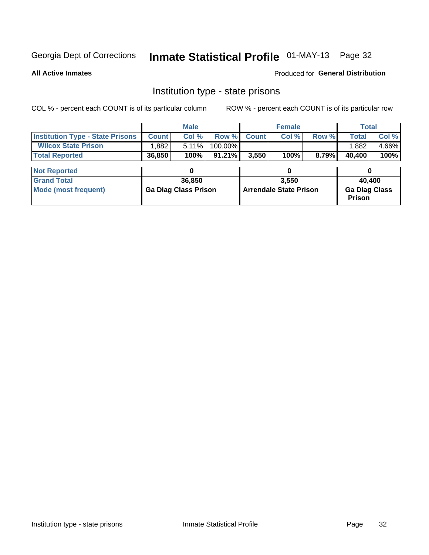# Inmate Statistical Profile 01-MAY-13 Page 32

**All Active Inmates** 

Produced for General Distribution

### Institution type - state prisons

COL % - percent each COUNT is of its particular column ROW % - percent each COUNT is of its particular row

|                                         |                             | <b>Male</b> |                               |              | <b>Female</b> |                                | <b>Total</b> |       |  |
|-----------------------------------------|-----------------------------|-------------|-------------------------------|--------------|---------------|--------------------------------|--------------|-------|--|
| <b>Institution Type - State Prisons</b> | <b>Count</b>                | Col %       | Row %                         | <b>Count</b> | Col %         | Row %                          | <b>Total</b> | Col % |  |
| <b>Wilcox State Prison</b>              | .882                        | 5.11%       | 100.00%                       |              |               |                                | 1,882        | 4.66% |  |
| <b>Total Reported</b>                   | 36,850                      | 100%        | $91.21\%$                     | 3,550        | 100%          | 8.79%                          | 40,400       | 100%  |  |
|                                         |                             |             |                               |              |               |                                |              |       |  |
| <b>Not Reported</b>                     |                             | 0           |                               | 0            |               |                                |              |       |  |
| <b>Grand Total</b>                      |                             | 36,850      |                               | 3.550        |               |                                | 40,400       |       |  |
| <b>Mode (most frequent)</b>             | <b>Ga Diag Class Prison</b> |             | <b>Arrendale State Prison</b> |              |               | <b>Ga Diag Class</b><br>Prison |              |       |  |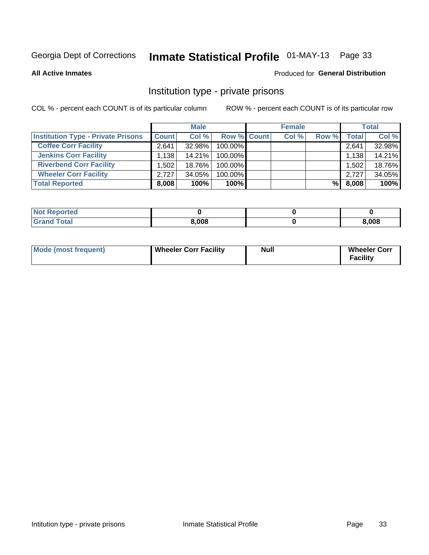# Inmate Statistical Profile 01-MAY-13 Page 33

**All Active Inmates** 

#### Produced for General Distribution

### Institution type - private prisons

COL % - percent each COUNT is of its particular column

|                                           | <b>Male</b>  |           |                    | <b>Female</b> |       |       | <b>Total</b> |        |
|-------------------------------------------|--------------|-----------|--------------------|---------------|-------|-------|--------------|--------|
| <b>Institution Type - Private Prisons</b> | <b>Count</b> | Col %     | <b>Row % Count</b> |               | Col % | Row % | Total        | Col %  |
| <b>Coffee Corr Facility</b>               | 2.641        | 32.98%    | 100.00%            |               |       |       | 2,641        | 32.98% |
| <b>Jenkins Corr Facility</b>              | 1,138        | $14.21\%$ | $100.00\%$         |               |       |       | 1,138        | 14.21% |
| <b>Riverbend Corr Facility</b>            | 1.502        | 18.76%    | 100.00%            |               |       |       | 1,502        | 18.76% |
| <b>Wheeler Corr Facility</b>              | 2.727        | $34.05\%$ | 100.00%            |               |       |       | 2.727        | 34.05% |
| <b>Total Reported</b>                     | 8,008        | 100%      | 100%               |               |       | %     | 8,008        | 100%   |

| Reported |       |       |
|----------|-------|-------|
| 'otal    | 8,008 | 3,008 |

| Mode (most frequent) | Wheeler Corr Facility | Null | <b>Wheeler Corr</b><br>Facility |
|----------------------|-----------------------|------|---------------------------------|
|----------------------|-----------------------|------|---------------------------------|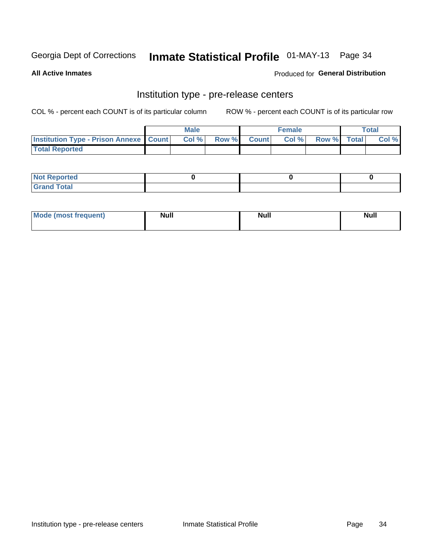### Inmate Statistical Profile 01-MAY-13 Page 34

**All Active Inmates** 

#### Produced for General Distribution

# Institution type - pre-release centers

COL % - percent each COUNT is of its particular column

|                                                   | <b>Male</b> |      |  | <b>Female</b> |      |             | <b>Total</b> |       |
|---------------------------------------------------|-------------|------|--|---------------|------|-------------|--------------|-------|
| <b>Institution Type - Prison Annexe   Count  </b> |             | Col% |  | Row % Count   | Col% | Row % Total |              | Col % |
| <b>Total Reported</b>                             |             |      |  |               |      |             |              |       |

| <b>Not Reported</b>      |  |  |
|--------------------------|--|--|
| <b>Total</b><br>. Gror . |  |  |

| <b>Mode</b>     | <b>Null</b> | <b>Null</b> | <b>Null</b> |
|-----------------|-------------|-------------|-------------|
| most frequent). |             |             |             |
|                 |             |             |             |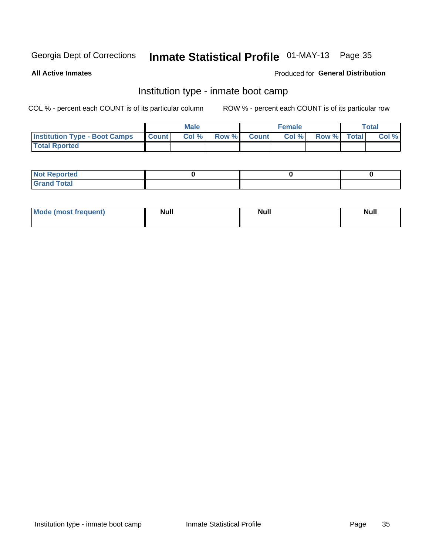# Inmate Statistical Profile 01-MAY-13 Page 35

**All Active Inmates** 

#### Produced for General Distribution

### Institution type - inmate boot camp

COL % - percent each COUNT is of its particular column

|                                      |              | <b>Male</b> |             | <b>Female</b> |             | Total |
|--------------------------------------|--------------|-------------|-------------|---------------|-------------|-------|
| <b>Institution Type - Boot Camps</b> | <b>Count</b> | Col %       | Row % Count | Col%          | Row % Total | Col % |
| <b>Total Rported</b>                 |              |             |             |               |             |       |

| <b>Not Reported</b>                   |  |  |
|---------------------------------------|--|--|
| <b>Total</b><br><b>C HAM</b><br>_____ |  |  |

| <b>AhoM</b>       | <b>Null</b> | <b>Null</b> | Ab d' |
|-------------------|-------------|-------------|-------|
| <b>"requent</b> ) |             |             | _____ |
|                   |             |             |       |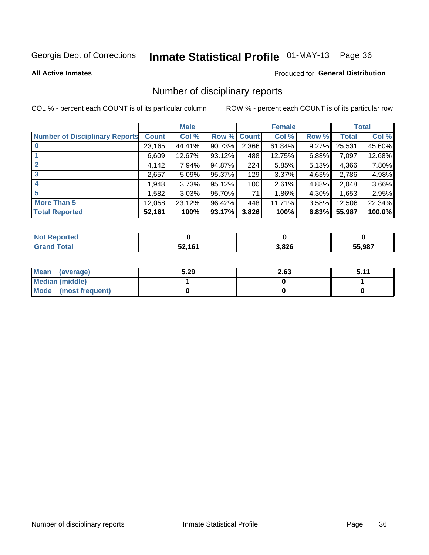# Inmate Statistical Profile 01-MAY-13 Page 36

#### **All Active Inmates**

#### Produced for General Distribution

### Number of disciplinary reports

COL % - percent each COUNT is of its particular column

|                                       |              | <b>Male</b> |        |       | <b>Female</b> |          |              | <b>Total</b> |
|---------------------------------------|--------------|-------------|--------|-------|---------------|----------|--------------|--------------|
| <b>Number of Disciplinary Reports</b> | <b>Count</b> | Col %       | Row %  | Count | Col %         | Row %    | <b>Total</b> | Col %        |
| $\bf{0}$                              | 23,165       | 44.41%      | 90.73% | 2,366 | 61.84%        | $9.27\%$ | 25,531       | 45.60%       |
|                                       | 6,609        | 12.67%      | 93.12% | 488   | 12.75%        | 6.88%    | 7,097        | 12.68%       |
| $\overline{2}$                        | 4,142        | 7.94%       | 94.87% | 224   | 5.85%         | 5.13%    | 4,366        | 7.80%        |
| 3                                     | 2,657        | 5.09%       | 95.37% | 129   | 3.37%         | 4.63%    | 2,786        | 4.98%        |
| 4                                     | 1,948        | 3.73%       | 95.12% | 100   | 2.61%         | 4.88%    | 2,048        | 3.66%        |
| 5                                     | 1,582        | 3.03%       | 95.70% | 71    | 1.86%         | 4.30%    | 1,653        | 2.95%        |
| <b>More Than 5</b>                    | 12,058       | 23.12%      | 96.42% | 448   | 11.71%        | $3.58\%$ | 12,506       | 22.34%       |
| <b>Total Reported</b>                 | 52,161       | 100%        | 93.17% | 3,826 | 100%          | 6.83%    | 55,987       | 100.0%       |

| orted<br>וחש |       |       |        |
|--------------|-------|-------|--------|
| <b>Total</b> | 52161 | 3,826 | 55.987 |

| Mean (average)       | 5.29 | 2.63 | E 11<br>. J. I . |
|----------------------|------|------|------------------|
| Median (middle)      |      |      |                  |
| Mode (most frequent) |      |      |                  |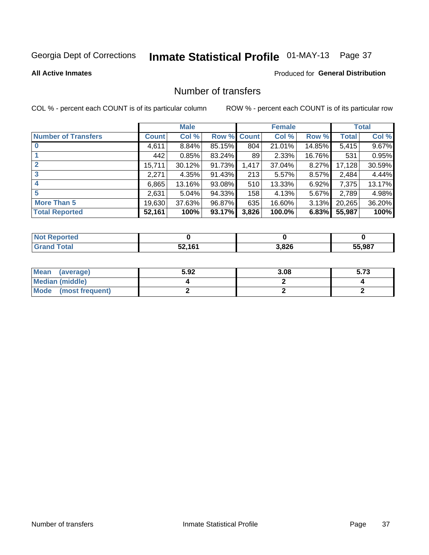# Inmate Statistical Profile 01-MAY-13 Page 37

#### **All Active Inmates**

### **Produced for General Distribution**

## Number of transfers

COL % - percent each COUNT is of its particular column

|                            |         | <b>Male</b> |             |       | <b>Female</b> |          |              | <b>Total</b> |
|----------------------------|---------|-------------|-------------|-------|---------------|----------|--------------|--------------|
| <b>Number of Transfers</b> | Count l | Col %       | Row % Count |       | Col %         | Row %    | <b>Total</b> | Col %        |
|                            | 4,611   | 8.84%       | 85.15%      | 804   | 21.01%        | 14.85%   | 5,415        | 9.67%        |
|                            | 442     | 0.85%       | 83.24%      | 89    | 2.33%         | 16.76%   | 531          | 0.95%        |
|                            | 15,711  | 30.12%      | 91.73%      | 1,417 | 37.04%        | $8.27\%$ | 17,128       | 30.59%       |
| 3                          | 2,271   | 4.35%       | 91.43%      | 213   | 5.57%         | $8.57\%$ | 2,484        | 4.44%        |
|                            | 6,865   | 13.16%      | 93.08%      | 510   | 13.33%        | $6.92\%$ | 7,375        | 13.17%       |
| 5                          | 2,631   | 5.04%       | 94.33%      | 158   | 4.13%         | 5.67%    | 2,789        | 4.98%        |
| <b>More Than 5</b>         | 19,630  | 37.63%      | 96.87%      | 635   | 16.60%        | $3.13\%$ | 20,265       | 36.20%       |
| <b>Total Reported</b>      | 52,161  | 100%        | 93.17%      | 3,826 | 100.0%        | 6.83%    | 55,987       | 100%         |

| <b>Not Reported</b> |        |       |        |
|---------------------|--------|-------|--------|
| <b>Total</b>        | 52 161 | 3,826 | 55,987 |

| Mean (average)       | 5.92 | 3.08 | Ε 79<br>ว. เ ง |
|----------------------|------|------|----------------|
| Median (middle)      |      |      |                |
| Mode (most frequent) |      |      |                |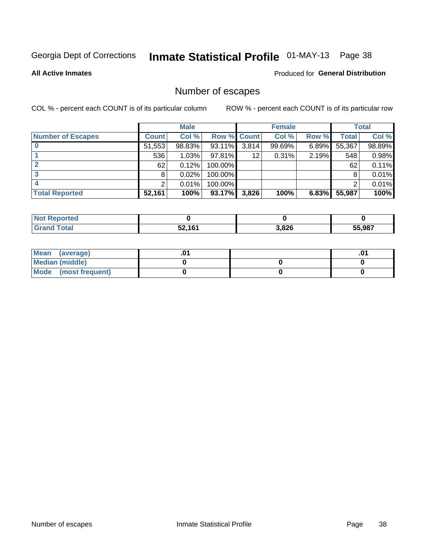## Inmate Statistical Profile 01-MAY-13 Page 38

**All Active Inmates** 

#### Produced for General Distribution

## Number of escapes

COL % - percent each COUNT is of its particular column

|                          |              | <b>Male</b> |             |       | <b>Female</b> |       |        | <b>Total</b> |
|--------------------------|--------------|-------------|-------------|-------|---------------|-------|--------|--------------|
| <b>Number of Escapes</b> | <b>Count</b> | Col %       | Row % Count |       | Col %         | Row % | Total  | Col %        |
|                          | 51,553       | 98.83%      | 93.11%      | 3,814 | 99.69%        | 6.89% | 55,367 | 98.89%       |
|                          | 536          | 1.03%       | 97.81%      | 12    | 0.31%         | 2.19% | 548    | 0.98%        |
|                          | 62           | 0.12%       | 100.00%     |       |               |       | 62     | 0.11%        |
|                          | 8            | 0.02%       | 100.00%     |       |               |       |        | 0.01%        |
|                          |              | 0.01%       | 100.00%     |       |               |       |        | 0.01%        |
| <b>Total Reported</b>    | 52,161       | 100%        | $93.17\%$   | 3,826 | 100%          | 6.83% | 55,987 | 100%         |

| <b>rted</b> |        |       |        |
|-------------|--------|-------|--------|
|             | 52,161 | 3,826 | 55,987 |

| Mean (average)       |  | ו ש. |
|----------------------|--|------|
| Median (middle)      |  |      |
| Mode (most frequent) |  |      |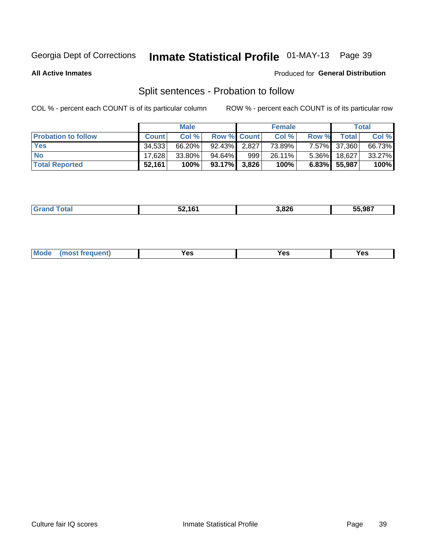## Inmate Statistical Profile 01-MAY-13 Page 39

**All Active Inmates** 

#### Produced for General Distribution

## Split sentences - Probation to follow

COL % - percent each COUNT is of its particular column

|                            |              | <b>Male</b> |                    |     | <b>Female</b> |          |              | <b>Total</b> |
|----------------------------|--------------|-------------|--------------------|-----|---------------|----------|--------------|--------------|
| <b>Probation to follow</b> | <b>Count</b> | Col %       | <b>Row % Count</b> |     | Col %         | Row %    | <b>Total</b> | Col %        |
| <b>Yes</b>                 | 34.533       | 66.20%      | $92.43\%$ 2.827    |     | 73.89%        |          | 7.57% 37,360 | 66.73%       |
| <b>No</b>                  | 17.628       | $33.80\%$   | 94.64%             | 999 | 26.11%        | $5.36\%$ | 18,627       | 33.27%       |
| <b>Total Reported</b>      | 52,161       | 100%        | $93.17\%$ 3,826    |     | 100%          |          | 6.83% 55,987 | 100%         |

|  |  | EO 404 | 826, | 55.987 |
|--|--|--------|------|--------|
|--|--|--------|------|--------|

| M<br>reauent)<br>/٥<br>$\sim$<br>v.,<br>.<br>w<br>$\cdot$ - $\cdot$ |
|---------------------------------------------------------------------|
|---------------------------------------------------------------------|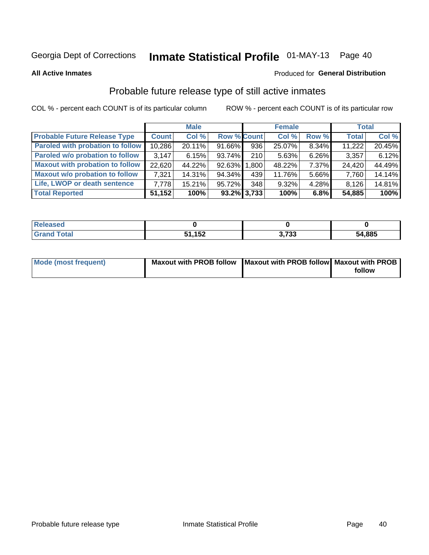## Inmate Statistical Profile 01-MAY-13 Page 40

**All Active Inmates** 

#### Produced for General Distribution

## Probable future release type of still active inmates

COL % - percent each COUNT is of its particular column

|                                         |              | <b>Male</b> |                    |      | <b>Female</b> |          | <b>Total</b> |        |
|-----------------------------------------|--------------|-------------|--------------------|------|---------------|----------|--------------|--------|
| <b>Probable Future Release Type</b>     | <b>Count</b> | Col %       | <b>Row % Count</b> |      | Col %         | Row %    | <b>Total</b> | Col %  |
| <b>Paroled with probation to follow</b> | 10,286       | 20.11%      | 91.66%             | 936  | 25.07%        | 8.34%    | 11,222       | 20.45% |
| Paroled w/o probation to follow         | 3.147        | 6.15%       | 93.74%             | 210  | 5.63%         | 6.26%    | 3,357        | 6.12%  |
| <b>Maxout with probation to follow</b>  | 22,620       | 44.22%      | 92.63% 1,800       |      | 48.22%        | 7.37%    | 24,420       | 44.49% |
| <b>Maxout w/o probation to follow</b>   | 7,321        | 14.31%      | 94.34%             | 439  | 11.76%        | 5.66%    | 7,760        | 14.14% |
| Life, LWOP or death sentence            | 7.778        | $15.21\%$   | 95.72%             | 3481 | $9.32\%$      | $4.28\%$ | 8,126        | 14.81% |
| <b>Total Reported</b>                   | 51,152       | 100%        | $93.2\%$ 3,733     |      | 100%          | 6.8%     | 54,885       | 100%   |

| . otal | 152<br>אט ו | <b>פרד נ</b><br>ა. , აა | 54,885 |
|--------|-------------|-------------------------|--------|

| <b>Mode (most frequent)</b> | Maxout with PROB follow   Maxout with PROB follow   Maxout with PROB |        |
|-----------------------------|----------------------------------------------------------------------|--------|
|                             |                                                                      | follow |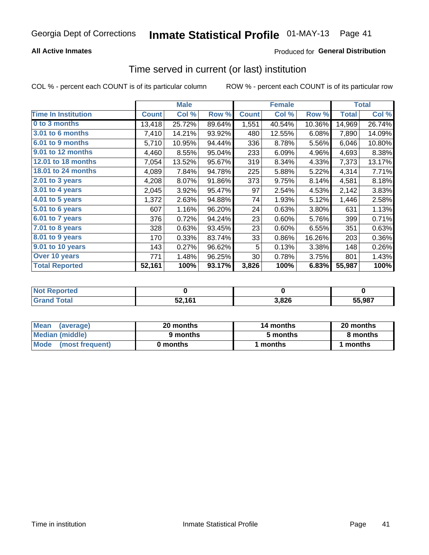#### **All Active Inmates**

### **Produced for General Distribution**

## Time served in current (or last) institution

COL % - percent each COUNT is of its particular column

|                            |              | <b>Male</b> |        |              | <b>Female</b> |        |              | <b>Total</b> |
|----------------------------|--------------|-------------|--------|--------------|---------------|--------|--------------|--------------|
| <b>Time In Institution</b> | <b>Count</b> | Col %       | Row %  | <b>Count</b> | Col %         | Row %  | <b>Total</b> | Col %        |
| 0 to 3 months              | 13,418       | 25.72%      | 89.64% | 1,551        | 40.54%        | 10.36% | 14,969       | 26.74%       |
| 3.01 to 6 months           | 7,410        | 14.21%      | 93.92% | 480          | 12.55%        | 6.08%  | 7,890        | 14.09%       |
| 6.01 to 9 months           | 5,710        | 10.95%      | 94.44% | 336          | 8.78%         | 5.56%  | 6,046        | 10.80%       |
| 9.01 to 12 months          | 4,460        | 8.55%       | 95.04% | 233          | 6.09%         | 4.96%  | 4,693        | 8.38%        |
| 12.01 to 18 months         | 7,054        | 13.52%      | 95.67% | 319          | 8.34%         | 4.33%  | 7,373        | 13.17%       |
| <b>18.01 to 24 months</b>  | 4,089        | 7.84%       | 94.78% | 225          | 5.88%         | 5.22%  | 4,314        | 7.71%        |
| 2.01 to 3 years            | 4,208        | 8.07%       | 91.86% | 373          | 9.75%         | 8.14%  | 4,581        | 8.18%        |
| $3.01$ to 4 years          | 2,045        | 3.92%       | 95.47% | 97           | 2.54%         | 4.53%  | 2,142        | 3.83%        |
| 4.01 to 5 years            | 1,372        | 2.63%       | 94.88% | 74           | 1.93%         | 5.12%  | 1,446        | 2.58%        |
| 5.01 to 6 years            | 607          | 1.16%       | 96.20% | 24           | 0.63%         | 3.80%  | 631          | 1.13%        |
| 6.01 to 7 years            | 376          | 0.72%       | 94.24% | 23           | 0.60%         | 5.76%  | 399          | 0.71%        |
| 7.01 to 8 years            | 328          | 0.63%       | 93.45% | 23           | 0.60%         | 6.55%  | 351          | 0.63%        |
| 8.01 to 9 years            | 170          | 0.33%       | 83.74% | 33           | 0.86%         | 16.26% | 203          | 0.36%        |
| 9.01 to 10 years           | 143          | 0.27%       | 96.62% | 5            | 0.13%         | 3.38%  | 148          | 0.26%        |
| Over 10 years              | 771          | 1.48%       | 96.25% | 30           | 0.78%         | 3.75%  | 801          | 1.43%        |
| <b>Total Reported</b>      | 52,161       | 100%        | 93.17% | 3,826        | 100%          | 6.83%  | 55,987       | 100%         |

| <b>Penorted</b><br><b>Not</b> |        |      |        |
|-------------------------------|--------|------|--------|
| ⊺ิ∩tal                        | 52,161 | ,826 | 55.987 |

| <b>Mean</b><br>(average) | 20 months | 14 months | 20 months |  |
|--------------------------|-----------|-----------|-----------|--|
| Median (middle)          | 9 months  | 5 months  | 8 months  |  |
| Mode<br>(most frequent)  | 0 months  | months    | ∖ months  |  |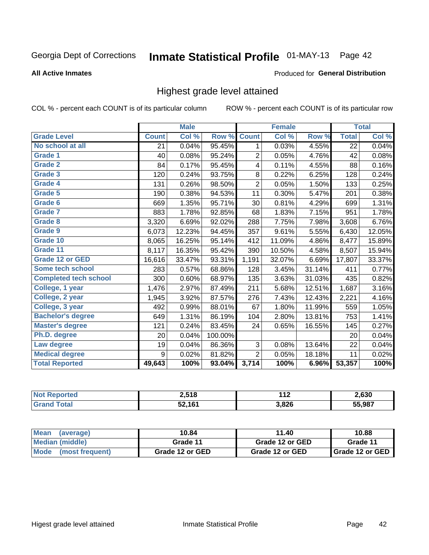## Inmate Statistical Profile 01-MAY-13 Page 42

#### **All Active Inmates**

#### Produced for General Distribution

## Highest grade level attained

COL % - percent each COUNT is of its particular column

|                              |              | <b>Male</b> |         |                | <b>Female</b> |        |              | <b>Total</b> |
|------------------------------|--------------|-------------|---------|----------------|---------------|--------|--------------|--------------|
| <b>Grade Level</b>           | <b>Count</b> | Col %       | Row %   | <b>Count</b>   | Col %         | Row %  | <b>Total</b> | Col %        |
| No school at all             | 21           | 0.04%       | 95.45%  | 1              | 0.03%         | 4.55%  | 22           | 0.04%        |
| <b>Grade 1</b>               | 40           | 0.08%       | 95.24%  | $\overline{2}$ | 0.05%         | 4.76%  | 42           | 0.08%        |
| <b>Grade 2</b>               | 84           | 0.17%       | 95.45%  | 4              | 0.11%         | 4.55%  | 88           | 0.16%        |
| Grade 3                      | 120          | 0.24%       | 93.75%  | $\bf 8$        | 0.22%         | 6.25%  | 128          | 0.24%        |
| <b>Grade 4</b>               | 131          | 0.26%       | 98.50%  | $\overline{c}$ | 0.05%         | 1.50%  | 133          | 0.25%        |
| Grade 5                      | 190          | 0.38%       | 94.53%  | 11             | 0.30%         | 5.47%  | 201          | 0.38%        |
| Grade 6                      | 669          | 1.35%       | 95.71%  | 30             | 0.81%         | 4.29%  | 699          | 1.31%        |
| <b>Grade 7</b>               | 883          | 1.78%       | 92.85%  | 68             | 1.83%         | 7.15%  | 951          | 1.78%        |
| Grade 8                      | 3,320        | 6.69%       | 92.02%  | 288            | 7.75%         | 7.98%  | 3,608        | 6.76%        |
| Grade 9                      | 6,073        | 12.23%      | 94.45%  | 357            | 9.61%         | 5.55%  | 6,430        | 12.05%       |
| Grade 10                     | 8,065        | 16.25%      | 95.14%  | 412            | 11.09%        | 4.86%  | 8,477        | 15.89%       |
| Grade 11                     | 8,117        | 16.35%      | 95.42%  | 390            | 10.50%        | 4.58%  | 8,507        | 15.94%       |
| <b>Grade 12 or GED</b>       | 16,616       | 33.47%      | 93.31%  | 1,191          | 32.07%        | 6.69%  | 17,807       | 33.37%       |
| Some tech school             | 283          | 0.57%       | 68.86%  | 128            | 3.45%         | 31.14% | 411          | 0.77%        |
| <b>Completed tech school</b> | 300          | 0.60%       | 68.97%  | 135            | 3.63%         | 31.03% | 435          | 0.82%        |
| College, 1 year              | 1,476        | 2.97%       | 87.49%  | 211            | 5.68%         | 12.51% | 1,687        | 3.16%        |
| College, 2 year              | 1,945        | 3.92%       | 87.57%  | 276            | 7.43%         | 12.43% | 2,221        | 4.16%        |
| College, 3 year              | 492          | 0.99%       | 88.01%  | 67             | 1.80%         | 11.99% | 559          | 1.05%        |
| <b>Bachelor's degree</b>     | 649          | 1.31%       | 86.19%  | 104            | 2.80%         | 13.81% | 753          | 1.41%        |
| <b>Master's degree</b>       | 121          | 0.24%       | 83.45%  | 24             | 0.65%         | 16.55% | 145          | 0.27%        |
| Ph.D. degree                 | 20           | 0.04%       | 100.00% |                |               |        | 20           | 0.04%        |
| Law degree                   | 19           | 0.04%       | 86.36%  | 3              | 0.08%         | 13.64% | 22           | 0.04%        |
| <b>Medical degree</b>        | 9            | 0.02%       | 81.82%  | $\overline{2}$ | 0.05%         | 18.18% | 11           | 0.02%        |
| <b>Total Reported</b>        | 49,643       | 100%        | 93.04%  | 3,714          | 100%          | 6.96%  | 53,357       | 100%         |

| <b>Not Reported</b> | 2,518  | 44 <sup>o</sup><br>- 14 | 2.630  |
|---------------------|--------|-------------------------|--------|
| ' Grand<br>⊺otal    | 52.161 | 3,826                   | 55.987 |

| <b>Mean</b><br>(average) | 10.84           | 11.40           | 10.88             |
|--------------------------|-----------------|-----------------|-------------------|
| Median (middle)          | Grade 11        | Grade 12 or GED | Grade 11          |
| Mode<br>(most frequent)  | Grade 12 or GED | Grade 12 or GED | I Grade 12 or GED |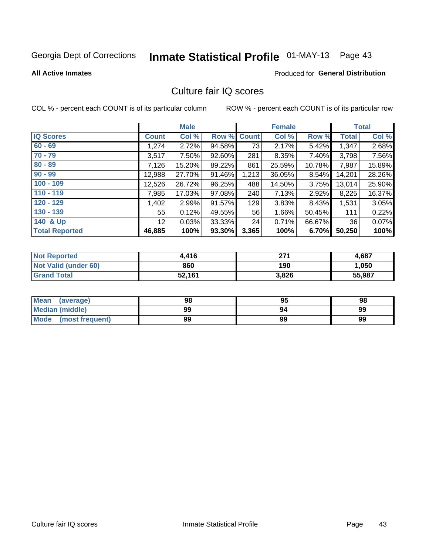# Inmate Statistical Profile 01-MAY-13 Page 43

#### **All Active Inmates**

#### Produced for General Distribution

## Culture fair IQ scores

COL % - percent each COUNT is of its particular column

|                       |                 | <b>Male</b> |             |       | <b>Female</b> |        |              | <b>Total</b> |
|-----------------------|-----------------|-------------|-------------|-------|---------------|--------|--------------|--------------|
| <b>IQ Scores</b>      | <b>Count</b>    | Col %       | Row % Count |       | Col %         | Row %  | <b>Total</b> | Col %        |
| $60 - 69$             | 1,274           | 2.72%       | 94.58%      | 73    | 2.17%         | 5.42%  | 1,347        | 2.68%        |
| $70 - 79$             | 3,517           | 7.50%       | 92.60%      | 281   | 8.35%         | 7.40%  | 3,798        | 7.56%        |
| $80 - 89$             | 7,126           | 15.20%      | 89.22%      | 861   | 25.59%        | 10.78% | 7,987        | 15.89%       |
| $90 - 99$             | 12,988          | 27.70%      | 91.46%      | 1,213 | 36.05%        | 8.54%  | 14,201       | 28.26%       |
| $100 - 109$           | 12,526          | 26.72%      | 96.25%      | 488   | 14.50%        | 3.75%  | 13,014       | 25.90%       |
| $110 - 119$           | 7,985           | 17.03%      | 97.08%      | 240   | 7.13%         | 2.92%  | 8,225        | 16.37%       |
| $120 - 129$           | 1,402           | 2.99%       | 91.57%      | 129   | 3.83%         | 8.43%  | 1,531        | 3.05%        |
| $130 - 139$           | 55              | 0.12%       | 49.55%      | 56    | 1.66%         | 50.45% | 111          | 0.22%        |
| 140 & Up              | 12 <sup>°</sup> | 0.03%       | 33.33%      | 24    | 0.71%         | 66.67% | 36           | 0.07%        |
| <b>Total Reported</b> | 46,885          | 100%        | 93.30%      | 3,365 | 100%          | 6.70%  | 50,250       | 100%         |

| <b>Not Reported</b>         | 4.416  | 274<br>21 I | 4,687  |
|-----------------------------|--------|-------------|--------|
| <b>Not Valid (under 60)</b> | 860    | 190         | 1,050  |
| <b>Grand Total</b>          | 52,161 | 3,826       | 55,987 |

| <b>Mean</b><br>(average) | 98 | 95 | 98 |
|--------------------------|----|----|----|
| <b>Median (middle)</b>   | 99 | 94 | 99 |
| Mode<br>(most frequent)  | 99 | 99 | 99 |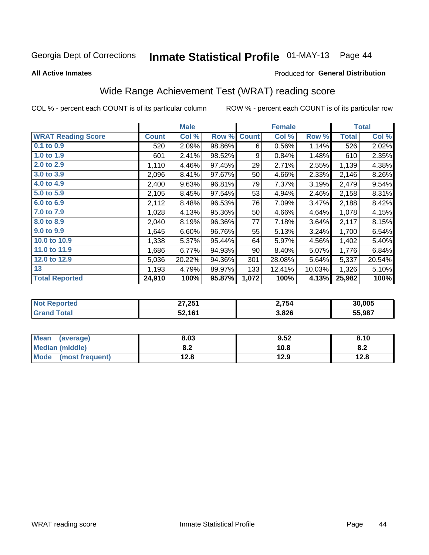## Inmate Statistical Profile 01-MAY-13 Page 44

#### **All Active Inmates**

#### Produced for General Distribution

## Wide Range Achievement Test (WRAT) reading score

COL % - percent each COUNT is of its particular column

|                           |              | <b>Male</b> |        |              | <b>Female</b> |        |              | <b>Total</b> |
|---------------------------|--------------|-------------|--------|--------------|---------------|--------|--------------|--------------|
| <b>WRAT Reading Score</b> | <b>Count</b> | Col %       | Row %  | <b>Count</b> | Col %         | Row %  | <b>Total</b> | Col %        |
| $0.1$ to $0.9$            | 520          | 2.09%       | 98.86% | 6            | 0.56%         | 1.14%  | 526          | 2.02%        |
| 1.0 to 1.9                | 601          | 2.41%       | 98.52% | 9            | 0.84%         | 1.48%  | 610          | 2.35%        |
| 2.0 to 2.9                | 1,110        | 4.46%       | 97.45% | 29           | 2.71%         | 2.55%  | 1,139        | 4.38%        |
| 3.0 to 3.9                | 2,096        | 8.41%       | 97.67% | 50           | 4.66%         | 2.33%  | 2,146        | 8.26%        |
| 4.0 to 4.9                | 2,400        | 9.63%       | 96.81% | 79           | 7.37%         | 3.19%  | 2,479        | 9.54%        |
| 5.0 to 5.9                | 2,105        | 8.45%       | 97.54% | 53           | 4.94%         | 2.46%  | 2,158        | 8.31%        |
| 6.0 to 6.9                | 2,112        | 8.48%       | 96.53% | 76           | 7.09%         | 3.47%  | 2,188        | 8.42%        |
| 7.0 to 7.9                | 1,028        | 4.13%       | 95.36% | 50           | 4.66%         | 4.64%  | 1,078        | 4.15%        |
| 8.0 to 8.9                | 2,040        | 8.19%       | 96.36% | 77           | 7.18%         | 3.64%  | 2,117        | 8.15%        |
| 9.0 to 9.9                | 1,645        | 6.60%       | 96.76% | 55           | 5.13%         | 3.24%  | 1,700        | 6.54%        |
| 10.0 to 10.9              | 1,338        | 5.37%       | 95.44% | 64           | 5.97%         | 4.56%  | 1,402        | 5.40%        |
| 11.0 to 11.9              | 1,686        | 6.77%       | 94.93% | 90           | 8.40%         | 5.07%  | 1,776        | 6.84%        |
| 12.0 to 12.9              | 5,036        | 20.22%      | 94.36% | 301          | 28.08%        | 5.64%  | 5,337        | 20.54%       |
| 13                        | 1,193        | 4.79%       | 89.97% | 133          | 12.41%        | 10.03% | 1,326        | 5.10%        |
| <b>Total Reported</b>     | 24,910       | 100%        | 95.87% | 1,072        | 100%          | 4.13%  | 25,982       | 100%         |
|                           |              |             |        |              |               |        |              |              |

| <b>Not Reported</b>        | 27,251 | 2,754 | 30,005 |
|----------------------------|--------|-------|--------|
| $\mathsf{Total}$<br>'Grand | 52,161 | 3,826 | 55,987 |

| <b>Mean</b><br>(average)       | 8.03       | 9.52 | 8.10 |
|--------------------------------|------------|------|------|
| <b>Median (middle)</b>         | י ה<br>0.Z | 10.8 | o.z  |
| <b>Mode</b><br>(most frequent) | 12.8       | 12.9 | 12.8 |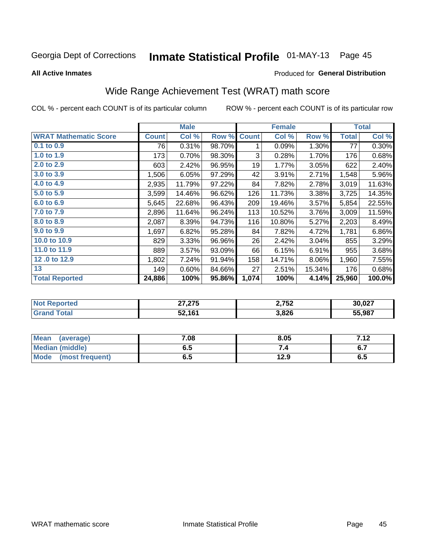## Inmate Statistical Profile 01-MAY-13 Page 45

**All Active Inmates** 

#### Produced for General Distribution

## Wide Range Achievement Test (WRAT) math score

COL % - percent each COUNT is of its particular column

|                              |              | <b>Male</b> |        |              | <b>Female</b> |          |              | <b>Total</b> |
|------------------------------|--------------|-------------|--------|--------------|---------------|----------|--------------|--------------|
| <b>WRAT Mathematic Score</b> | <b>Count</b> | Col %       | Row %  | <b>Count</b> | Col %         | Row %    | <b>Total</b> | Col %        |
| 0.1 to 0.9                   | 76           | 0.31%       | 98.70% | 1            | 0.09%         | 1.30%    | 77           | 0.30%        |
| 1.0 to 1.9                   | 173          | 0.70%       | 98.30% | 3            | 0.28%         | 1.70%    | 176          | 0.68%        |
| 2.0 to 2.9                   | 603          | 2.42%       | 96.95% | 19           | 1.77%         | 3.05%    | 622          | 2.40%        |
| 3.0 to 3.9                   | 1,506        | 6.05%       | 97.29% | 42           | 3.91%         | 2.71%    | 1,548        | 5.96%        |
| 4.0 to 4.9                   | 2,935        | 11.79%      | 97.22% | 84           | 7.82%         | 2.78%    | 3,019        | 11.63%       |
| 5.0 to 5.9                   | 3,599        | 14.46%      | 96.62% | 126          | 11.73%        | 3.38%    | 3,725        | 14.35%       |
| 6.0 to 6.9                   | 5,645        | 22.68%      | 96.43% | 209          | 19.46%        | 3.57%    | 5,854        | 22.55%       |
| 7.0 to 7.9                   | 2,896        | 11.64%      | 96.24% | 113          | 10.52%        | 3.76%    | 3,009        | 11.59%       |
| 8.0 to 8.9                   | 2,087        | 8.39%       | 94.73% | 116          | 10.80%        | 5.27%    | 2,203        | 8.49%        |
| 9.0 to 9.9                   | 1,697        | 6.82%       | 95.28% | 84           | 7.82%         | 4.72%    | 1,781        | 6.86%        |
| 10.0 to 10.9                 | 829          | 3.33%       | 96.96% | 26           | 2.42%         | 3.04%    | 855          | 3.29%        |
| 11.0 to 11.9                 | 889          | 3.57%       | 93.09% | 66           | 6.15%         | 6.91%    | 955          | 3.68%        |
| 12.0 to 12.9                 | 1,802        | 7.24%       | 91.94% | 158          | 14.71%        | $8.06\%$ | 1,960        | 7.55%        |
| 13                           | 149          | 0.60%       | 84.66% | 27           | 2.51%         | 15.34%   | 176          | 0.68%        |
| <b>Total Reported</b>        | 24,886       | 100%        | 95.86% | 1,074        | 100%          | 4.14%    | 25,960       | 100.0%       |

| <b>NO</b><br>$\cdots$ = $\cdots$ or teams $\cdots$ | 27.27<br>27,275 | 2,752 | 30,027 |
|----------------------------------------------------|-----------------|-------|--------|
|                                                    | 52,161          | 3,826 | 55.987 |

| Mean (average)         | 7.08 | 8.05 | 712<br>7. IZ |
|------------------------|------|------|--------------|
| <b>Median (middle)</b> | ง. ว | 54   | o.,          |
| Mode (most frequent)   | ხ.მ  | 12.9 | 6.5          |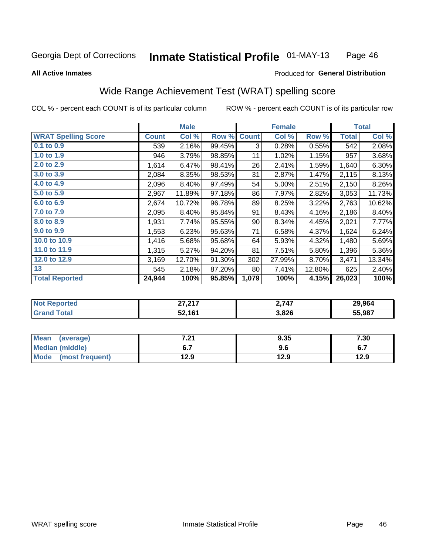#### **Inmate Statistical Profile 01-MAY-13** Page 46

#### **All Active Inmates**

### Produced for General Distribution

## Wide Range Achievement Test (WRAT) spelling score

COL % - percent each COUNT is of its particular column

|                            |              | <b>Male</b> |        |              | <b>Female</b> |        |              | <b>Total</b>  |
|----------------------------|--------------|-------------|--------|--------------|---------------|--------|--------------|---------------|
| <b>WRAT Spelling Score</b> | <b>Count</b> | Col %       | Row %  | <b>Count</b> | Col %         | Row %  | <b>Total</b> | Col %         |
| $0.1$ to $0.9$             | 539          | 2.16%       | 99.45% | 3            | 0.28%         | 0.55%  | 542          | 2.08%         |
| 1.0 to 1.9                 | 946          | 3.79%       | 98.85% | 11           | 1.02%         | 1.15%  | 957          | 3.68%         |
| 2.0 to 2.9                 | 1,614        | 6.47%       | 98.41% | 26           | 2.41%         | 1.59%  | 1,640        | 6.30%         |
| 3.0 to 3.9                 | 2,084        | 8.35%       | 98.53% | 31           | 2.87%         | 1.47%  | 2,115        | 8.13%         |
| 4.0 to 4.9                 | 2,096        | 8.40%       | 97.49% | 54           | 5.00%         | 2.51%  | 2,150        | 8.26%         |
| 5.0 to 5.9                 | 2,967        | 11.89%      | 97.18% | 86           | 7.97%         | 2.82%  | 3,053        | 11.73%        |
| 6.0 to 6.9                 | 2,674        | 10.72%      | 96.78% | 89           | 8.25%         | 3.22%  | 2,763        | 10.62%        |
| 7.0 to 7.9                 | 2,095        | 8.40%       | 95.84% | 91           | 8.43%         | 4.16%  | 2,186        | 8.40%         |
| 8.0 to 8.9                 | 1,931        | 7.74%       | 95.55% | 90           | 8.34%         | 4.45%  | 2,021        | 7.77%         |
| 9.0 to 9.9                 | 1,553        | 6.23%       | 95.63% | 71           | 6.58%         | 4.37%  | 1,624        | 6.24%         |
| 10.0 to 10.9               | 1,416        | 5.68%       | 95.68% | 64           | 5.93%         | 4.32%  | 1,480        | 5.69%         |
| 11.0 to 11.9               | 1,315        | 5.27%       | 94.20% | 81           | 7.51%         | 5.80%  | 1,396        | 5.36%         |
| 12.0 to 12.9               | 3,169        | 12.70%      | 91.30% | 302          | 27.99%        | 8.70%  | 3,471        | 13.34%        |
| 13                         | 545          | 2.18%       | 87.20% | 80           | 7.41%         | 12.80% | 625          | 2.40%         |
| <b>Total Reported</b>      | 24,944       | 100%        | 95.85% | 1,079        | 100%          | 4.15%  | 26,023       | 100%          |
|                            |              |             |        |              |               |        |              |               |
| Not Donortod               |              | 27.217      |        |              | 2717          |        |              | <b>20.0GA</b> |

| <b>Not</b><br>∴eported | <b>27237</b><br>،, ، ، | 2,747 | 29.964 |
|------------------------|------------------------|-------|--------|
| otal<br>Gr:            | 52.161                 | 3,826 | 55.987 |
|                        |                        |       |        |

| <b>Mean</b><br>(average) | 7.04<br>.Z I | 9.35 | 7.30 |
|--------------------------|--------------|------|------|
| Median (middle)          |              | 9.6  | ν.,  |
| Mode<br>(most frequent)  | 12.9         | 12.9 | 12.9 |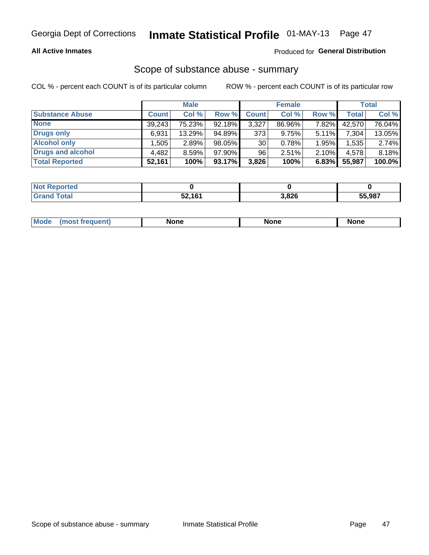#### **All Active Inmates**

#### Produced for General Distribution

## Scope of substance abuse - summary

COL % - percent each COUNT is of its particular column

|                        |              | <b>Male</b> |        |              | <b>Female</b> |          |              | <b>Total</b> |
|------------------------|--------------|-------------|--------|--------------|---------------|----------|--------------|--------------|
| <b>Substance Abuse</b> | <b>Count</b> | Col %       | Row %  | <b>Count</b> | Col %         | Row %    | <b>Total</b> | Col %        |
| <b>None</b>            | 39.243       | 75.23%      | 92.18% | 3,327        | 86.96%        | 7.82%    | 42,570       | 76.04%       |
| <b>Drugs only</b>      | 6,931        | 13.29%      | 94.89% | 373          | 9.75%         | $5.11\%$ | 7,304        | 13.05%       |
| <b>Alcohol only</b>    | .505         | 2.89%       | 98.05% | 30           | 0.78%         | 1.95%    | 1,535        | 2.74%        |
| Drugs and alcohol      | 4,482        | 8.59%       | 97.90% | 96           | 2.51%         | 2.10%    | 4,578        | 8.18%        |
| <b>Total Reported</b>  | 52,161       | 100%        | 93.17% | 3,826        | 100%          | 6.83%    | 55,987       | 100.0%       |

| <b>Not Reported</b> |        |       |        |
|---------------------|--------|-------|--------|
| <b>Grand Total</b>  | 52,161 | 3,826 | 55,987 |

| Mode<br>None<br>None<br>None<br>quenu |
|---------------------------------------|
|---------------------------------------|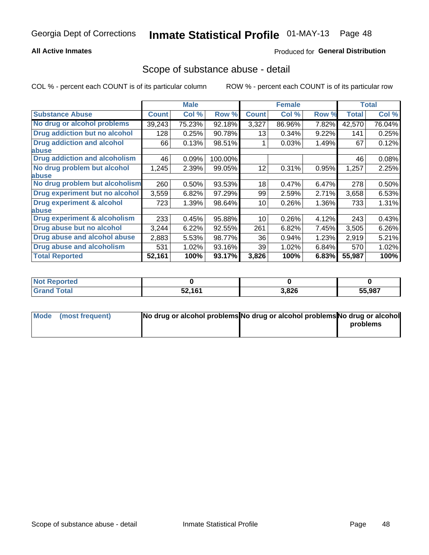#### **All Active Inmates**

### **Produced for General Distribution**

### Scope of substance abuse - detail

COL % - percent each COUNT is of its particular column

|                                      |              | <b>Male</b> |         |              | <b>Female</b> |       |              | <b>Total</b> |
|--------------------------------------|--------------|-------------|---------|--------------|---------------|-------|--------------|--------------|
| <b>Substance Abuse</b>               | <b>Count</b> | Col %       | Row %   | <b>Count</b> | Col %         | Row % | <b>Total</b> | Col %        |
| No drug or alcohol problems          | 39,243       | 75.23%      | 92.18%  | 3,327        | 86.96%        | 7.82% | 42,570       | 76.04%       |
| Drug addiction but no alcohol        | 128          | 0.25%       | 90.78%  | 13           | 0.34%         | 9.22% | 141          | 0.25%        |
| <b>Drug addiction and alcohol</b>    | 66           | 0.13%       | 98.51%  |              | 0.03%         | 1.49% | 67           | 0.12%        |
| <b>labuse</b>                        |              |             |         |              |               |       |              |              |
| <b>Drug addiction and alcoholism</b> | 46           | 0.09%       | 100.00% |              |               |       | 46           | 0.08%        |
| No drug problem but alcohol          | 1,245        | 2.39%       | 99.05%  | 12           | 0.31%         | 0.95% | 1,257        | 2.25%        |
| <b>labuse</b>                        |              |             |         |              |               |       |              |              |
| No drug problem but alcoholism       | 260          | 0.50%       | 93.53%  | 18           | 0.47%         | 6.47% | 278          | 0.50%        |
| Drug experiment but no alcohol       | 3,559        | 6.82%       | 97.29%  | 99           | 2.59%         | 2.71% | 3,658        | 6.53%        |
| <b>Drug experiment &amp; alcohol</b> | 723          | 1.39%       | 98.64%  | 10           | 0.26%         | 1.36% | 733          | 1.31%        |
| abuse                                |              |             |         |              |               |       |              |              |
| Drug experiment & alcoholism         | 233          | 0.45%       | 95.88%  | 10           | 0.26%         | 4.12% | 243          | 0.43%        |
| Drug abuse but no alcohol            | 3,244        | 6.22%       | 92.55%  | 261          | 6.82%         | 7.45% | 3,505        | 6.26%        |
| Drug abuse and alcohol abuse         | 2,883        | 5.53%       | 98.77%  | 36           | 0.94%         | 1.23% | 2,919        | 5.21%        |
| <b>Drug abuse and alcoholism</b>     | 531          | 1.02%       | 93.16%  | 39           | 1.02%         | 6.84% | 570          | 1.02%        |
| <b>Total Reported</b>                | 52,161       | 100%        | 93.17%  | 3,826        | 100%          | 6.83% | 55,987       | 100%         |

| oorted<br><b>NOT</b> |        |       |        |
|----------------------|--------|-------|--------|
| otal                 | 52,161 | 3,826 | 55,987 |

| Mode (most frequent) | No drug or alcohol problems No drug or alcohol problems No drug or alcohol |          |
|----------------------|----------------------------------------------------------------------------|----------|
|                      |                                                                            | problems |
|                      |                                                                            |          |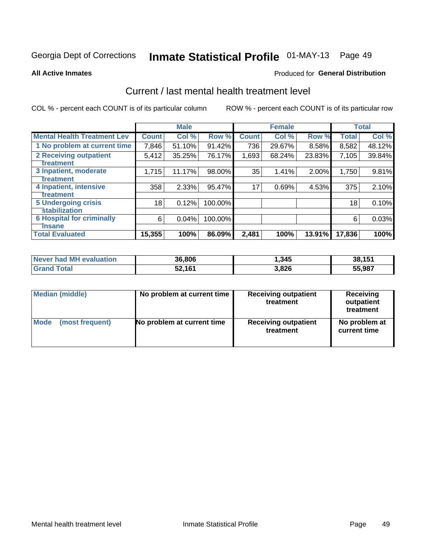## Inmate Statistical Profile 01-MAY-13 Page 49

#### **All Active Inmates**

#### Produced for General Distribution

## Current / last mental health treatment level

COL % - percent each COUNT is of its particular column

|                                    |              | <b>Male</b> |         |              | <b>Female</b> |        |              | <b>Total</b> |
|------------------------------------|--------------|-------------|---------|--------------|---------------|--------|--------------|--------------|
| <b>Mental Health Treatment Lev</b> | <b>Count</b> | Col %       | Row %   | <b>Count</b> | Col %         | Row %  | <b>Total</b> | Col %        |
| 1 No problem at current time       | 7,846        | 51.10%      | 91.42%  | 736          | 29.67%        | 8.58%  | 8,582        | 48.12%       |
| 2 Receiving outpatient             | 5,412        | 35.25%      | 76.17%  | 1,693        | 68.24%        | 23.83% | 7,105        | 39.84%       |
| <b>Treatment</b>                   |              |             |         |              |               |        |              |              |
| 3 Inpatient, moderate              | 1,715        | 11.17%      | 98.00%  | 35           | 1.41%         | 2.00%  | 1,750        | 9.81%        |
| Treatment                          |              |             |         |              |               |        |              |              |
| 4 Inpatient, intensive             | 358          | 2.33%       | 95.47%  | 17           | 0.69%         | 4.53%  | 375          | 2.10%        |
| <b>Treatment</b>                   |              |             |         |              |               |        |              |              |
| 5 Undergoing crisis                | 18           | 0.12%       | 100.00% |              |               |        | 18           | 0.10%        |
| <b>stabilization</b>               |              |             |         |              |               |        |              |              |
| <b>6 Hospital for criminally</b>   | 6            | 0.04%       | 100.00% |              |               |        | 6            | 0.03%        |
| <b>Tinsane</b>                     |              |             |         |              |               |        |              |              |
| <b>Total Evaluated</b>             | 15,355       | 100%        | 86.09%  | 2,481        | 100%          | 13.91% | 17,836       | 100%         |

| Never had MH evaluation | 36,806 | ,345  | 38,151 |
|-------------------------|--------|-------|--------|
| <b>Grand Total</b>      | 52,161 | 3,826 | 55,987 |

| Median (middle) | No problem at current time | <b>Receiving outpatient</b><br>treatment | <b>Receiving</b><br>outpatient<br>treatment |
|-----------------|----------------------------|------------------------------------------|---------------------------------------------|
| <b>Mode</b>     | No problem at current time | <b>Receiving outpatient</b>              | No problem at                               |
| (most frequent) |                            | treatment                                | current time                                |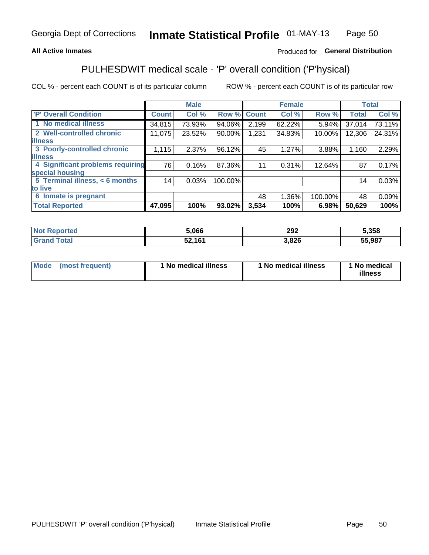### **All Active Inmates**

### Produced for General Distribution

## PULHESDWIT medical scale - 'P' overall condition ('P'hysical)

COL % - percent each COUNT is of its particular column

|                                  |              | <b>Male</b> |         |              | <b>Female</b> |         |              | <b>Total</b> |
|----------------------------------|--------------|-------------|---------|--------------|---------------|---------|--------------|--------------|
| 'P' Overall Condition            | <b>Count</b> | Col %       | Row %   | <b>Count</b> | Col %         | Row %   | <b>Total</b> | Col %        |
| 1 No medical illness             | 34,815       | 73.93%      | 94.06%  | 2,199        | 62.22%        | 5.94%   | 37,014       | 73.11%       |
| 2 Well-controlled chronic        | 11,075       | 23.52%      | 90.00%  | 1,231        | 34.83%        | 10.00%  | 12,306       | 24.31%       |
| <b>illness</b>                   |              |             |         |              |               |         |              |              |
| 3 Poorly-controlled chronic      | 1,115        | 2.37%       | 96.12%  | 45           | 1.27%         | 3.88%   | 1,160        | 2.29%        |
| <b>illness</b>                   |              |             |         |              |               |         |              |              |
| 4 Significant problems requiring | 76           | 0.16%       | 87.36%  | 11           | 0.31%         | 12.64%  | 87           | 0.17%        |
| special housing                  |              |             |         |              |               |         |              |              |
| 5 Terminal illness, < 6 months   | 14           | 0.03%       | 100.00% |              |               |         | 14           | 0.03%        |
| to live                          |              |             |         |              |               |         |              |              |
| 6 Inmate is pregnant             |              |             |         | 48           | 1.36%         | 100.00% | 48           | 0.09%        |
| <b>Total Reported</b>            | 47,095       | 100%        | 93.02%  | 3,534        | 100%          | 6.98%   | 50,629       | 100%         |

| ue u | 5.066 | 292  | .358   |
|------|-------|------|--------|
|      | 1C    | .826 | 55.987 |

| Mode | (most frequent) | 1 No medical illness | 1 No medical illness | 1 No medical<br>illness |
|------|-----------------|----------------------|----------------------|-------------------------|
|------|-----------------|----------------------|----------------------|-------------------------|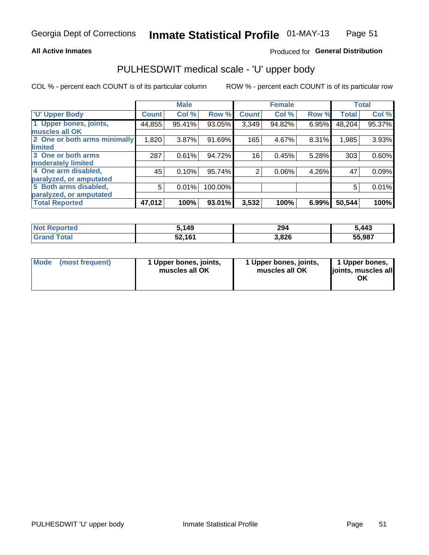#### **All Active Inmates**

#### Produced for General Distribution

## PULHESDWIT medical scale - 'U' upper body

COL % - percent each COUNT is of its particular column

|                              |              | <b>Male</b> |         |                | <b>Female</b> |       |              | <b>Total</b> |
|------------------------------|--------------|-------------|---------|----------------|---------------|-------|--------------|--------------|
| <b>U' Upper Body</b>         | <b>Count</b> | Col %       | Row %   | <b>Count</b>   | Col %         | Row % | <b>Total</b> | Col %        |
| 1 Upper bones, joints,       | 44,855       | 95.41%      | 93.05%  | 3,349          | 94.82%        | 6.95% | 48,204       | 95.37%       |
| muscles all OK               |              |             |         |                |               |       |              |              |
| 2 One or both arms minimally | 1,820        | 3.87%       | 91.69%  | 165            | 4.67%         | 8.31% | 1,985        | 3.93%        |
| limited                      |              |             |         |                |               |       |              |              |
| 3 One or both arms           | 287          | 0.61%       | 94.72%  | 16             | 0.45%         | 5.28% | 303          | 0.60%        |
| <b>moderately limited</b>    |              |             |         |                |               |       |              |              |
| 4 One arm disabled,          | 45           | 0.10%       | 95.74%  | $\overline{2}$ | 0.06%         | 4.26% | 47           | 0.09%        |
| paralyzed, or amputated      |              |             |         |                |               |       |              |              |
| 5 Both arms disabled,        | 5            | 0.01%       | 100.00% |                |               |       | 5            | 0.01%        |
| paralyzed, or amputated      |              |             |         |                |               |       |              |              |
| <b>Total Reported</b>        | 47,012       | 100%        | 93.01%  | 3,532          | 100%          | 6.99% | 50,544       | 100%         |

| <b>Not Reported</b> | 5,149  | 294   | 5,443  |
|---------------------|--------|-------|--------|
| <b>Grand Total</b>  | 52,161 | 3,826 | 55,987 |

| Mode (most frequent) | 1 Upper bones, joints,<br>muscles all OK | 1 Upper bones, joints,<br>muscles all OK | 1 Upper bones,<br>joints, muscles all<br>ΟK |
|----------------------|------------------------------------------|------------------------------------------|---------------------------------------------|
|----------------------|------------------------------------------|------------------------------------------|---------------------------------------------|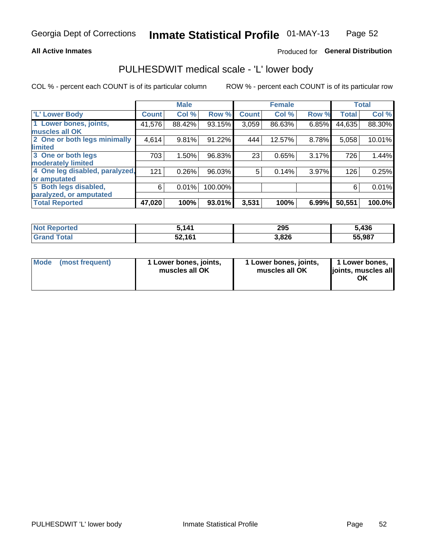#### **All Active Inmates**

### Produced for General Distribution

## PULHESDWIT medical scale - 'L' lower body

COL % - percent each COUNT is of its particular column

|                                |              | <b>Male</b> |         |              | <b>Female</b> |       |              | <b>Total</b> |
|--------------------------------|--------------|-------------|---------|--------------|---------------|-------|--------------|--------------|
| 'L' Lower Body                 | <b>Count</b> | Col %       | Row %   | <b>Count</b> | Col %         | Row % | <b>Total</b> | Col %        |
| 1 Lower bones, joints,         | 41,576       | 88.42%      | 93.15%  | 3,059        | 86.63%        | 6.85% | 44,635       | 88.30%       |
| muscles all OK                 |              |             |         |              |               |       |              |              |
| 2 One or both legs minimally   | 4,614        | 9.81%       | 91.22%  | 444          | 12.57%        | 8.78% | 5,058        | 10.01%       |
| limited                        |              |             |         |              |               |       |              |              |
| 3 One or both legs             | 703          | 1.50%       | 96.83%  | 23           | 0.65%         | 3.17% | 726          | 1.44%        |
| moderately limited             |              |             |         |              |               |       |              |              |
| 4 One leg disabled, paralyzed, | 121          | 0.26%       | 96.03%  | 5            | 0.14%         | 3.97% | 126          | 0.25%        |
| or amputated                   |              |             |         |              |               |       |              |              |
| 5 Both legs disabled,          | 6            | 0.01%       | 100.00% |              |               |       | 6            | 0.01%        |
| paralyzed, or amputated        |              |             |         |              |               |       |              |              |
| <b>Total Reported</b>          | 47,020       | 100%        | 93.01%  | 3,531        | 100%          | 6.99% | 50,551       | 100.0%       |

| <b>Not Reported</b>   | ,141   | 295   | 5,436  |
|-----------------------|--------|-------|--------|
| <b>Total</b><br>Grand | 52,161 | 3,826 | 55,987 |

|  | Mode (most frequent) | 1 Lower bones, joints,<br>muscles all OK | 1 Lower bones, joints,<br>muscles all OK | 1 Lower bones,<br>joints, muscles all<br>ΟK |
|--|----------------------|------------------------------------------|------------------------------------------|---------------------------------------------|
|--|----------------------|------------------------------------------|------------------------------------------|---------------------------------------------|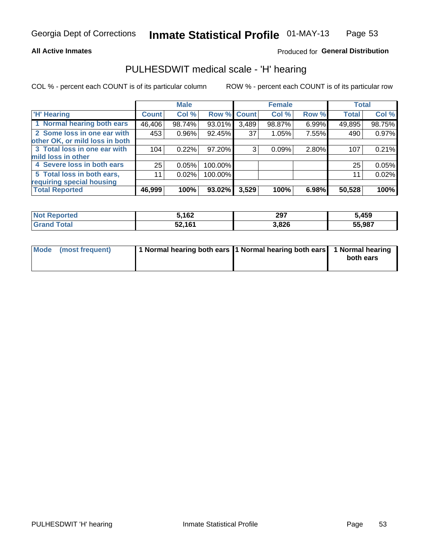#### **All Active Inmates**

### Produced for General Distribution

### PULHESDWIT medical scale - 'H' hearing

COL % - percent each COUNT is of its particular column

|                                |        | <b>Male</b> |         |             | <b>Female</b> |       | <b>Total</b> |        |
|--------------------------------|--------|-------------|---------|-------------|---------------|-------|--------------|--------|
| <b>H' Hearing</b>              | Count! | Col %       |         | Row % Count | Col %         | Row % | <b>Total</b> | Col %  |
| 1 Normal hearing both ears     | 46,406 | 98.74%      | 93.01%  | 3,489       | 98.87%        | 6.99% | 49,895       | 98.75% |
| 2 Some loss in one ear with    | 453    | 0.96%       | 92.45%  | 37          | 1.05%         | 7.55% | 490          | 0.97%  |
| other OK, or mild loss in both |        |             |         |             |               |       |              |        |
| 3 Total loss in one ear with   | 104    | 0.22%       | 97.20%  | 3           | 0.09%         | 2.80% | 107          | 0.21%  |
| mild loss in other             |        |             |         |             |               |       |              |        |
| 4 Severe loss in both ears     | 25     | 0.05%       | 100.00% |             |               |       | 25           | 0.05%  |
| 5 Total loss in both ears,     | 11     | 0.02%       | 100.00% |             |               |       | 11           | 0.02%  |
| requiring special housing      |        |             |         |             |               |       |              |        |
| <b>Total Reported</b>          | 46,999 | 100%        | 93.02%  | 3,529       | 100%          | 6.98% | 50,528       | 100%   |

| <b>Not Reno</b><br>≅norted i | 5,162  | 297   | 5,459  |
|------------------------------|--------|-------|--------|
| Total                        | 52,161 | 3,826 | 55,987 |

| Mode (most frequent) | 1 Normal hearing both ears 1 Normal hearing both ears 1 Normal hearing |           |
|----------------------|------------------------------------------------------------------------|-----------|
|                      |                                                                        | both ears |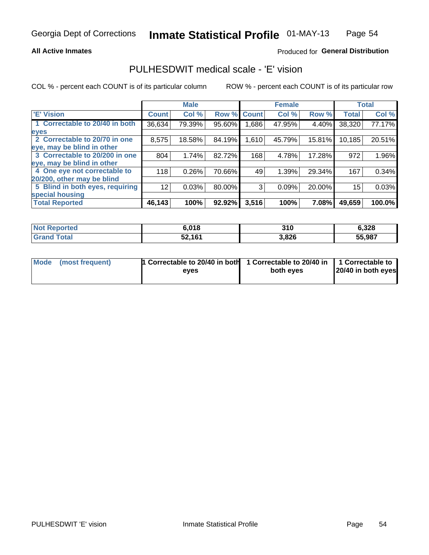#### **All Active Inmates**

#### Produced for General Distribution

## PULHESDWIT medical scale - 'E' vision

COL % - percent each COUNT is of its particular column

|                                 |              | <b>Male</b> |        |              | <b>Female</b> |        |              | <b>Total</b> |
|---------------------------------|--------------|-------------|--------|--------------|---------------|--------|--------------|--------------|
| <b>E' Vision</b>                | <b>Count</b> | Col %       | Row %  | <b>Count</b> | Col %         | Row %  | <b>Total</b> | Col %        |
| 1 Correctable to 20/40 in both  | 36,634       | 79.39%      | 95.60% | ,686         | 47.95%        | 4.40%  | 38,320       | 77.17%       |
| eyes                            |              |             |        |              |               |        |              |              |
| 2 Correctable to 20/70 in one   | 8,575        | 18.58%      | 84.19% | 1,610        | 45.79%        | 15.81% | 10,185       | 20.51%       |
| eye, may be blind in other      |              |             |        |              |               |        |              |              |
| 3 Correctable to 20/200 in one  | 804          | 1.74%       | 82.72% | 168          | 4.78%         | 17.28% | 972          | 1.96%        |
| eye, may be blind in other      |              |             |        |              |               |        |              |              |
| 4 One eye not correctable to    | 118          | 0.26%       | 70.66% | 49           | 1.39%         | 29.34% | 167          | 0.34%        |
| 20/200, other may be blind      |              |             |        |              |               |        |              |              |
| 5 Blind in both eyes, requiring | 12           | 0.03%       | 80.00% | 3            | 0.09%         | 20.00% | 15           | 0.03%        |
| special housing                 |              |             |        |              |               |        |              |              |
| <b>Total Reported</b>           | 46,143       | 100%        | 92.92% | 3,516        | 100%          | 7.08%  | 49,659       | 100.0%       |

| <b>Not Reported</b>     | 6.018  | 310   | 6,328  |
|-------------------------|--------|-------|--------|
| <b>Total</b><br>' Grand | 52,161 | 3,826 | 55,987 |

| Mode (most frequent) | 1 Correctable to 20/40 in both<br>eves | 1 Correctable to 20/40 in   1 Correctable to  <br>both eves | 20/40 in both eyes |
|----------------------|----------------------------------------|-------------------------------------------------------------|--------------------|
|                      |                                        |                                                             |                    |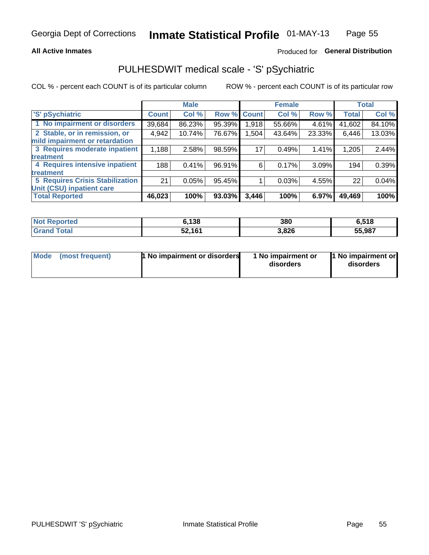#### **All Active Inmates**

### Produced for General Distribution

## PULHESDWIT medical scale - 'S' pSychiatric

COL % - percent each COUNT is of its particular column

|                                        |              | <b>Male</b> |        |              | <b>Female</b> |        |              | <b>Total</b> |
|----------------------------------------|--------------|-------------|--------|--------------|---------------|--------|--------------|--------------|
| 'S' pSychiatric                        | <b>Count</b> | Col %       | Row %  | <b>Count</b> | Col %         | Row %  | <b>Total</b> | Col %        |
| 1 No impairment or disorders           | 39,684       | 86.23%      | 95.39% | 1,918        | 55.66%        | 4.61%  | 41,602       | 84.10%       |
| 2 Stable, or in remission, or          | 4,942        | 10.74%      | 76.67% | ,504         | 43.64%        | 23.33% | 6,446        | 13.03%       |
| mild impairment or retardation         |              |             |        |              |               |        |              |              |
| 3 Requires moderate inpatient          | 1,188        | 2.58%       | 98.59% | 17           | 0.49%         | 1.41%  | 1,205        | 2.44%        |
| treatment                              |              |             |        |              |               |        |              |              |
| 4 Requires intensive inpatient         | 188          | 0.41%       | 96.91% | 6            | 0.17%         | 3.09%  | 194          | 0.39%        |
| treatment                              |              |             |        |              |               |        |              |              |
| <b>5 Requires Crisis Stabilization</b> | 21           | 0.05%       | 95.45% |              | 0.03%         | 4.55%  | 22           | 0.04%        |
| Unit (CSU) inpatient care              |              |             |        |              |               |        |              |              |
| <b>Total Reported</b>                  | 46,023       | 100%        | 93.03% | 3,446        | 100%          | 6.97%  | 49,469       | 100%         |

| <b>Not Reported</b> | 6,138  | 380   | 6,518  |
|---------------------|--------|-------|--------|
| Total<br>' Grand    | 52,161 | 3,826 | 55,987 |

| <b>Mode</b> | (most frequent) | <b>1 No impairment or disorders</b> | 1 No impairment or<br>disorders | 11 No impairment or<br>disorders |
|-------------|-----------------|-------------------------------------|---------------------------------|----------------------------------|
|-------------|-----------------|-------------------------------------|---------------------------------|----------------------------------|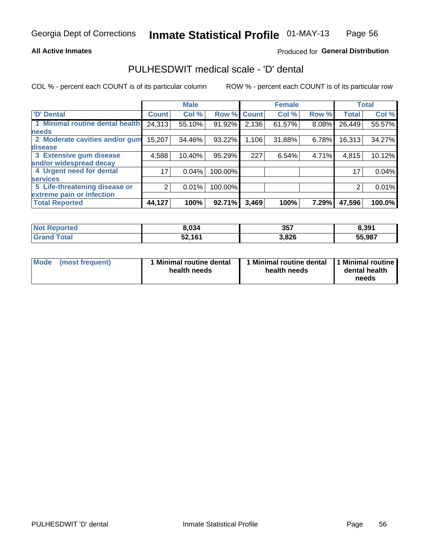#### **All Active Inmates**

### Produced for General Distribution

## PULHESDWIT medical scale - 'D' dental

COL % - percent each COUNT is of its particular column

|                                 |                 | <b>Male</b> |         |              | <b>Female</b> |       |              | <b>Total</b> |
|---------------------------------|-----------------|-------------|---------|--------------|---------------|-------|--------------|--------------|
| <b>D'</b> Dental                | <b>Count</b>    | Col %       | Row %   | <b>Count</b> | Col %         | Row % | <b>Total</b> | Col %        |
| 1 Minimal routine dental health | 24,313          | 55.10%      | 91.92%  | 2,136        | 61.57%        | 8.08% | 26,449       | 55.57%       |
| <b>needs</b>                    |                 |             |         |              |               |       |              |              |
| 2 Moderate cavities and/or gum  | 15,207          | 34.46%      | 93.22%  | 1,106        | 31.88%        | 6.78% | 16,313       | 34.27%       |
| disease                         |                 |             |         |              |               |       |              |              |
| 3 Extensive gum disease         | 4,588           | 10.40%      | 95.29%  | 227          | 6.54%         | 4.71% | 4,815        | 10.12%       |
| and/or widespread decay         |                 |             |         |              |               |       |              |              |
| 4 Urgent need for dental        | 17 <sub>1</sub> | 0.04%       | 100.00% |              |               |       | 17           | 0.04%        |
| <b>Services</b>                 |                 |             |         |              |               |       |              |              |
| 5 Life-threatening disease or   | 2               | 0.01%       | 100.00% |              |               |       | 2            | 0.01%        |
| extreme pain or infection       |                 |             |         |              |               |       |              |              |
| <b>Total Reported</b>           | 44,127          | 100%        | 92.71%  | 3,469        | 100%          | 7.29% | 47,596       | 100.0%       |

| <b>Not Reported</b> | 8,034  | 357   | 8,391  |
|---------------------|--------|-------|--------|
| <b>Grand Total</b>  | 52,161 | 3,826 | 55,987 |

| 1 Minimal routine dental<br>Mode<br>(most frequent)<br>health needs | 1 Minimal routine dental 1 Minimal routine<br>health needs | dental health<br>needs |
|---------------------------------------------------------------------|------------------------------------------------------------|------------------------|
|---------------------------------------------------------------------|------------------------------------------------------------|------------------------|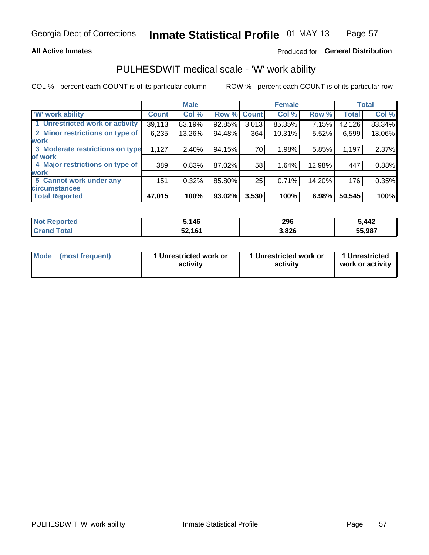#### **All Active Inmates**

### Produced for General Distribution

## PULHESDWIT medical scale - 'W' work ability

COL % - percent each COUNT is of its particular column

|                                 |              | <b>Male</b> |             |       | <b>Female</b> |        |              | <b>Total</b> |
|---------------------------------|--------------|-------------|-------------|-------|---------------|--------|--------------|--------------|
| 'W' work ability                | <b>Count</b> | Col %       | Row % Count |       | Col %         | Row %  | <b>Total</b> | Col %        |
| 1 Unrestricted work or activity | 39,113       | 83.19%      | 92.85%      | 3,013 | 85.35%        | 7.15%  | 42,126       | 83.34%       |
| 2 Minor restrictions on type of | 6,235        | 13.26%      | 94.48%      | 364   | 10.31%        | 5.52%  | 6,599        | 13.06%       |
| <b>work</b>                     |              |             |             |       |               |        |              |              |
| 3 Moderate restrictions on type | 1,127        | 2.40%       | 94.15%      | 70    | 1.98%         | 5.85%  | 1,197        | 2.37%        |
| lof work                        |              |             |             |       |               |        |              |              |
| 4 Major restrictions on type of | 389          | 0.83%       | 87.02%      | 58    | 1.64%         | 12.98% | 447          | 0.88%        |
| <b>work</b>                     |              |             |             |       |               |        |              |              |
| 5 Cannot work under any         | 151          | 0.32%       | 85.80%      | 25    | 0.71%         | 14.20% | 176          | 0.35%        |
| <b>circumstances</b>            |              |             |             |       |               |        |              |              |
| <b>Total Reported</b>           | 47,015       | 100%        | 93.02%      | 3,530 | 100%          | 6.98%  | 50,545       | 100%         |

| <b>Not Reported</b>   | .146   | 296   | 5,442  |
|-----------------------|--------|-------|--------|
| Total<br><b>Grand</b> | 52,161 | 3,826 | 55,987 |

| Mode            | 1 Unrestricted work or | 1 Unrestricted work or | 1 Unrestricted   |
|-----------------|------------------------|------------------------|------------------|
| (most frequent) | activity               | activity               | work or activity |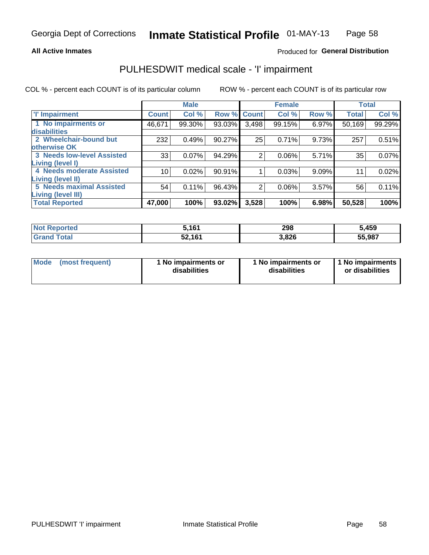#### **All Active Inmates**

#### Produced for General Distribution

## PULHESDWIT medical scale - 'I' impairment

COL % - percent each COUNT is of its particular column

|                                                              |              | <b>Male</b> |             |       | <b>Female</b> |       |              | <b>Total</b> |
|--------------------------------------------------------------|--------------|-------------|-------------|-------|---------------|-------|--------------|--------------|
| <b>T' Impairment</b>                                         | <b>Count</b> | Col %       | Row % Count |       | Col %         | Row % | <b>Total</b> | Col %        |
| 1 No impairments or<br>disabilities                          | 46,671       | 99.30%      | 93.03%      | 3,498 | 99.15%        | 6.97% | 50,169       | 99.29%       |
| 2 Wheelchair-bound but<br>otherwise OK                       | 232          | 0.49%       | 90.27%      | 25    | 0.71%         | 9.73% | 257          | 0.51%        |
| <b>3 Needs low-level Assisted</b><br>Living (level I)        | 33           | 0.07%       | 94.29%      | 2     | 0.06%         | 5.71% | 35           | 0.07%        |
| 4 Needs moderate Assisted<br>Living (level II)               | 10           | 0.02%       | 90.91%      |       | 0.03%         | 9.09% | 11           | 0.02%        |
| <b>5 Needs maximal Assisted</b><br><b>Living (level III)</b> | 54           | 0.11%       | 96.43%      | 2     | 0.06%         | 3.57% | 56           | 0.11%        |
| <b>Total Reported</b>                                        | 47,000       | 100%        | 93.02%      | 3,528 | 100%          | 6.98% | 50,528       | 100%         |

| <b>Not</b><br>Reported | រ.161  | 298   | 5,459  |
|------------------------|--------|-------|--------|
| Total                  | 52,161 | 3,826 | 55,987 |

| <b>Mode</b> | (most frequent) | <b>No impairments or</b><br>disabilities | 1 No impairments or<br>disabilities | 1 No impairments<br>or disabilities |
|-------------|-----------------|------------------------------------------|-------------------------------------|-------------------------------------|
|-------------|-----------------|------------------------------------------|-------------------------------------|-------------------------------------|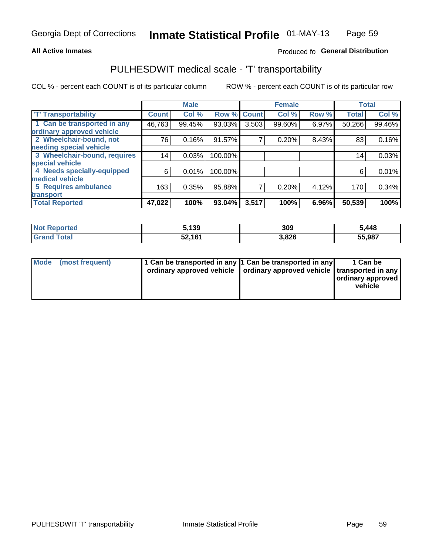#### **All Active Inmates**

### Produced fo General Distribution

## PULHESDWIT medical scale - 'T' transportability

COL % - percent each COUNT is of its particular column

|                              |                    | <b>Male</b> |         |              | <b>Female</b> |       |              | <b>Total</b> |
|------------------------------|--------------------|-------------|---------|--------------|---------------|-------|--------------|--------------|
| <b>T' Transportability</b>   | Count <sup>!</sup> | Col %       | Row %   | <b>Count</b> | Col %         | Row % | <b>Total</b> | Col %        |
| 1 Can be transported in any  | 46,763             | 99.45%      | 93.03%  | 3,503        | 99.60%        | 6.97% | 50,266       | 99.46%       |
| ordinary approved vehicle    |                    |             |         |              |               |       |              |              |
| 2 Wheelchair-bound, not      | 76                 | 0.16%       | 91.57%  | 7            | 0.20%         | 8.43% | 83           | 0.16%        |
| needing special vehicle      |                    |             |         |              |               |       |              |              |
| 3 Wheelchair-bound, requires | 14                 | 0.03%       | 100.00% |              |               |       | 14           | 0.03%        |
| special vehicle              |                    |             |         |              |               |       |              |              |
| 4 Needs specially-equipped   | 6                  | 0.01%       | 100.00% |              |               |       | 6            | 0.01%        |
| medical vehicle              |                    |             |         |              |               |       |              |              |
| <b>5 Requires ambulance</b>  | 163                | 0.35%       | 95.88%  | 7            | 0.20%         | 4.12% | 170          | 0.34%        |
| transport                    |                    |             |         |              |               |       |              |              |
| <b>Total Reported</b>        | 47,022             | 100%        | 93.04%  | 3,517        | 100%          | 6.96% | 50,539       | 100%         |

| <b>Not</b><br><b>Reported</b> | 5,139  | 309   | 5,448  |
|-------------------------------|--------|-------|--------|
| `otal                         | 52,161 | 3,826 | 55,987 |

|  | Mode (most frequent) | 1 Can be transported in any 1 Can be transported in any<br>ordinary approved vehicle   ordinary approved vehicle   transported in any |  | 1 Can be<br>  ordinary approved  <br>vehicle |
|--|----------------------|---------------------------------------------------------------------------------------------------------------------------------------|--|----------------------------------------------|
|--|----------------------|---------------------------------------------------------------------------------------------------------------------------------------|--|----------------------------------------------|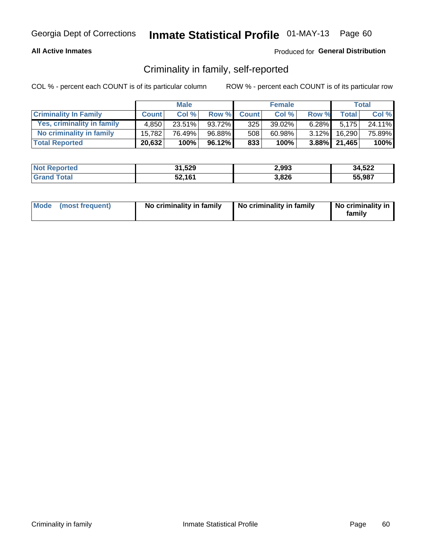#### **All Active Inmates**

### Produced for General Distribution

### Criminality in family, self-reported

COL % - percent each COUNT is of its particular column

|                              |              | <b>Male</b> |        |              | <b>Female</b> |          |                 | Total  |
|------------------------------|--------------|-------------|--------|--------------|---------------|----------|-----------------|--------|
| <b>Criminality In Family</b> | <b>Count</b> | Col%        | Row %  | <b>Count</b> | Col %         | Row %    | <b>Total</b>    | Col %  |
| Yes, criminality in family   | 4.850        | $23.51\%$   | 93.72% | 325          | $39.02\%$     | $6.28\%$ | 5.175           | 24.11% |
| No criminality in family     | 15,782       | 76.49%      | 96.88% | 508          | 60.98%        | $3.12\%$ | 16,290          | 75.89% |
| <b>Total Reported</b>        | 20,632       | 100%        | 96.12% | 833          | 100%          |          | $3.88\%$ 21,465 | 100%   |

| <b>Not Reported</b> | 31,529 | 2,993 | 34,522 |
|---------------------|--------|-------|--------|
| ⊿Total              | 52,161 | 3,826 | 55.987 |

|  | Mode (most frequent) | No criminality in family | No criminality in family | No criminality in<br>family |
|--|----------------------|--------------------------|--------------------------|-----------------------------|
|--|----------------------|--------------------------|--------------------------|-----------------------------|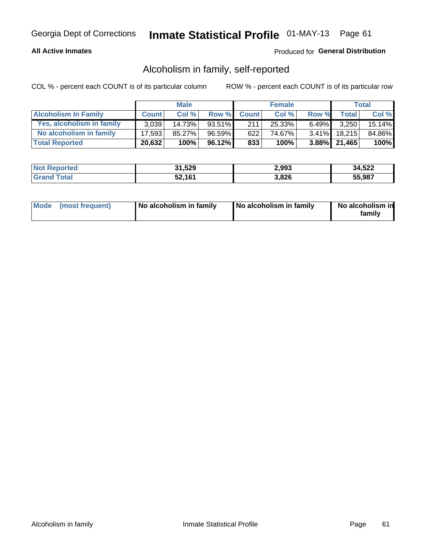#### **All Active Inmates**

#### Produced for General Distribution

### Alcoholism in family, self-reported

COL % - percent each COUNT is of its particular column

|                             |              | <b>Male</b> |           |              | <b>Female</b> |          |                   | Total  |
|-----------------------------|--------------|-------------|-----------|--------------|---------------|----------|-------------------|--------|
| <b>Alcoholism In Family</b> | <b>Count</b> | Col%        | Row %     | <b>Count</b> | Col %         | Row %    | <b>Total</b>      | Col %  |
| Yes, alcoholism in family   | 3.039        | 14.73%      | 93.51%    | 211          | 25.33%        | $6.49\%$ | 3,250             | 15.14% |
| No alcoholism in family     | 17.593       | 85.27%      | $96.59\%$ | 622          | 74.67%        |          | $3.41\%$ 18,215   | 84.86% |
| <b>Total Reported</b>       | 20,632       | 100%        | 96.12%    | 833          | 100%          |          | $3.88\%$   21,465 | 100%   |

| <b>Not Reported</b> | 31,529 | 2,993 | 34,522 |
|---------------------|--------|-------|--------|
| <b>Srand Total</b>  | 52,161 | 3,826 | 55.987 |

|  | Mode (most frequent) | No alcoholism in family | No alcoholism in family | No alcoholism in<br>family |
|--|----------------------|-------------------------|-------------------------|----------------------------|
|--|----------------------|-------------------------|-------------------------|----------------------------|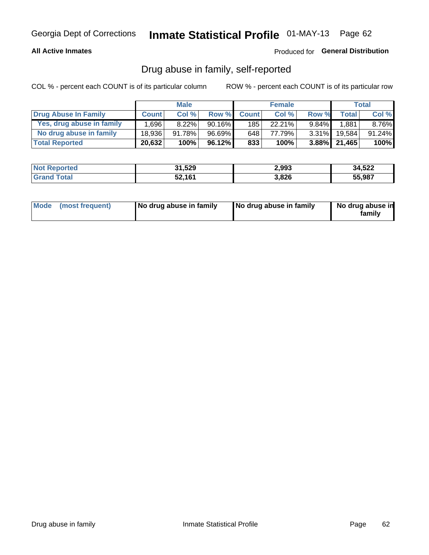#### **All Active Inmates**

#### Produced for General Distribution

### Drug abuse in family, self-reported

COL % - percent each COUNT is of its particular column

|                           |              | <b>Male</b> |           |              | <b>Female</b> |          |                 | Total     |
|---------------------------|--------------|-------------|-----------|--------------|---------------|----------|-----------------|-----------|
| Drug Abuse In Family      | <b>Count</b> | Col%        | Row %     | <b>Count</b> | Col%          | Row %    | <b>Total</b>    | Col %     |
| Yes, drug abuse in family | 1,696        | $8.22\%$    | $90.16\%$ | 185          | 22.21%        | $9.84\%$ | 1,881           | 8.76%     |
| No drug abuse in family   | 18.936       | 91.78%      | 96.69%    | 648          | 77.79%        | $3.31\%$ | 19.584          | $91.24\%$ |
| <b>Total Reported</b>     | 20,632       | 100%        | 96.12%    | 833          | 100%          |          | $3.88\%$ 21,465 | $100\%$   |

| <b>Not Reported</b> | 31,529 | 2,993 | 34,522 |
|---------------------|--------|-------|--------|
| Total               | 52,161 | 3,826 | 55.987 |

|  | Mode (most frequent) | No drug abuse in family | No drug abuse in family | No drug abuse in<br>familv |
|--|----------------------|-------------------------|-------------------------|----------------------------|
|--|----------------------|-------------------------|-------------------------|----------------------------|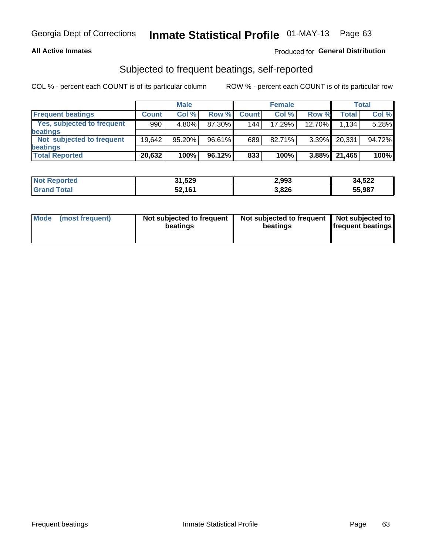#### **All Active Inmates**

### Produced for General Distribution

### Subjected to frequent beatings, self-reported

COL % - percent each COUNT is of its particular column

|                            |              | <b>Male</b> |        |              | <b>Female</b> |           |        | Total  |
|----------------------------|--------------|-------------|--------|--------------|---------------|-----------|--------|--------|
| <b>Frequent beatings</b>   | <b>Count</b> | Col %       | Row %  | <b>Count</b> | Col %         | Row %     | Total  | Col %  |
| Yes, subjected to frequent | 990          | $4.80\%$    | 87.30% | 144          | 17.29%        | $12.70\%$ | 1.134  | 5.28%  |
| <b>beatings</b>            |              |             |        |              |               |           |        |        |
| Not subjected to frequent  | 19.642       | 95.20%      | 96.61% | 689          | 82.71%        | $3.39\%$  | 20,331 | 94.72% |
| <b>beatings</b>            |              |             |        |              |               |           |        |        |
| <b>Total Reported</b>      | 20,632       | 100%        | 96.12% | 833          | 100%          | $3.88\%$  | 21,465 | 100%   |

| <b>Not Reported</b> | 31,529 | 2,993 | 34,522 |
|---------------------|--------|-------|--------|
| <b>Grand Total</b>  | 52,161 | 3,826 | 55,987 |

| Mode (most frequent) | Not subjected to frequent<br>beatings | Not subjected to frequent<br>beatings | Not subjected to<br><b>frequent beatings</b> |
|----------------------|---------------------------------------|---------------------------------------|----------------------------------------------|
|                      |                                       |                                       |                                              |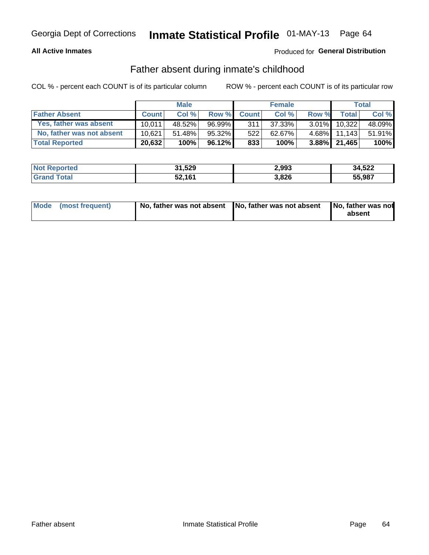#### **All Active Inmates**

### Produced for General Distribution

### Father absent during inmate's childhood

COL % - percent each COUNT is of its particular column

|                           |              | <b>Male</b> |           |              | <b>Female</b> |          |                   | Total  |
|---------------------------|--------------|-------------|-----------|--------------|---------------|----------|-------------------|--------|
| <b>Father Absent</b>      | <b>Count</b> | Col%        | Row %     | <b>Count</b> | Col %         | Row %    | <b>Total</b>      | Col %  |
| Yes, father was absent    | 10.011       | 48.52%      | 96.99%    | 311          | 37.33%        | $3.01\%$ | 10.322            | 48.09% |
| No, father was not absent | 10.621       | 51.48%      | 95.32%    | 522          | 62.67%        | $4.68\%$ | 11.143            | 51.91% |
| <b>Total Reported</b>     | 20,632       | 100%        | $96.12\%$ | 833          | 100%          |          | $3.88\%$   21,465 | 100%   |

| <b>Not Reported</b> | 31,529 | 2,993 | 34,522 |
|---------------------|--------|-------|--------|
| <b>Srand Total</b>  | 52,161 | 3,826 | 55,987 |

|  | Mode (most frequent) | No, father was not absent No, father was not absent |  | No, father was not<br>absent |
|--|----------------------|-----------------------------------------------------|--|------------------------------|
|--|----------------------|-----------------------------------------------------|--|------------------------------|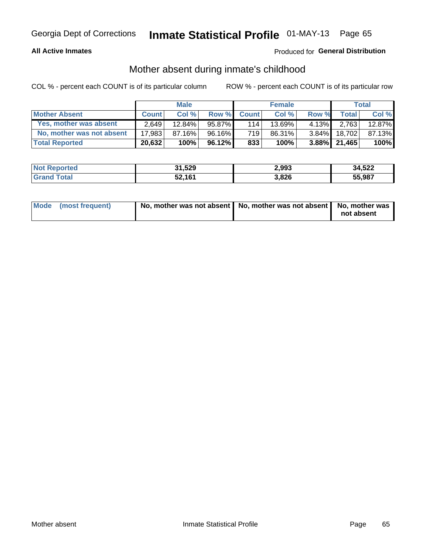#### **All Active Inmates**

### Produced for General Distribution

### Mother absent during inmate's childhood

COL % - percent each COUNT is of its particular column

|                           |              | <b>Male</b> |           |              | <b>Female</b> |          |              | Total  |
|---------------------------|--------------|-------------|-----------|--------------|---------------|----------|--------------|--------|
| <b>Mother Absent</b>      | <b>Count</b> | Col%        | Row %     | <b>Count</b> | Col %         | Row %    | <b>Total</b> | Col %  |
| Yes, mother was absent    | 2.649        | 12.84%      | 95.87%    | 114          | 13.69%        | $4.13\%$ | 2.763        | 12.87% |
| No, mother was not absent | 17.983       | 87.16%      | 96.16%    | 719          | 86.31%        | $3.84\%$ | 18.702       | 87.13% |
| <b>Total Reported</b>     | 20,632       | 100%        | $96.12\%$ | 833          | 100%          |          | 3.88% 21,465 | 100%   |

| <b>Not Reported</b> | 31,529 | 2,993 | 34,522 |
|---------------------|--------|-------|--------|
| ⊿Total              | 52,161 | 3,826 | 55.987 |

| Mode (most frequent) | No, mother was not absent   No, mother was not absent   No, mother was | not absent |
|----------------------|------------------------------------------------------------------------|------------|
|                      |                                                                        |            |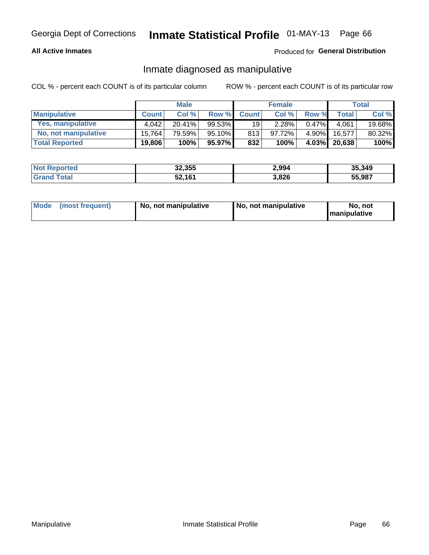#### **All Active Inmates**

### Produced for General Distribution

### Inmate diagnosed as manipulative

COL % - percent each COUNT is of its particular column

|                       | <b>Male</b>  |        |           | <b>Female</b> |        |          | Total        |        |
|-----------------------|--------------|--------|-----------|---------------|--------|----------|--------------|--------|
| <b>Manipulative</b>   | <b>Count</b> | Col %  | Row %     | <b>Count</b>  | Col%   | Row %    | <b>Total</b> | Col %  |
| Yes, manipulative     | 4.042        | 20.41% | $99.53\%$ | 19            | 2.28%  | 0.47%    | 4.061        | 19.68% |
| No, not manipulative  | 15,764       | 79.59% | 95.10%    | 813           | 97.72% | $4.90\%$ | 16.577       | 80.32% |
| <b>Total Reported</b> | 19,806       | 100%   | 95.97%    | 832           | 100%   | $4.03\%$ | 20,638       | 100%   |

| <b>Not Reported</b>   | 32,355 | 2,994 | 35,349 |
|-----------------------|--------|-------|--------|
| `otal<br><b>Grand</b> | 52,161 | 3,826 | 55,987 |

|  | Mode (most frequent) | No. not manipulative | No, not manipulative | No. not<br><b>I</b> manipulative |
|--|----------------------|----------------------|----------------------|----------------------------------|
|--|----------------------|----------------------|----------------------|----------------------------------|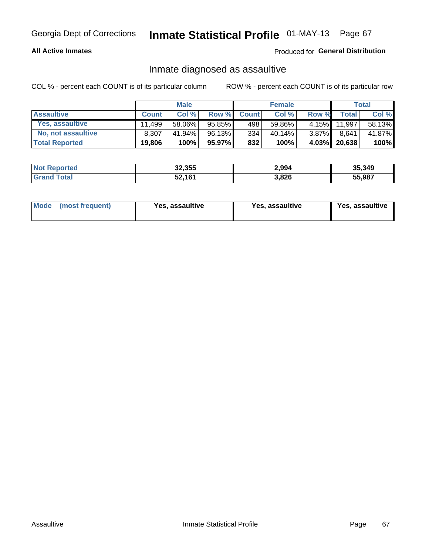#### **All Active Inmates**

#### Produced for General Distribution

### Inmate diagnosed as assaultive

COL % - percent each COUNT is of its particular column

|                           | <b>Male</b>  |        | <b>Female</b> |              |        | Total    |              |        |
|---------------------------|--------------|--------|---------------|--------------|--------|----------|--------------|--------|
| <b>Assaultive</b>         | <b>Count</b> | Col%   | Row %         | <b>Count</b> | Col %  | Row %    | <b>Total</b> | Col %  |
| Yes, assaultive           | 11.499       | 58.06% | 95.85%        | 498          | 59.86% | $4.15\%$ | 11,997       | 58.13% |
| <b>No, not assaultive</b> | 8.307        | 41.94% | 96.13%        | 334          | 40.14% | $3.87\%$ | 8.641        | 41.87% |
| <b>Total Reported</b>     | 19,806       | 100%   | 95.97%        | 832          | 100%   | $4.03\%$ | 20,638       | 100%   |

| <b>Not Reported</b> | 32,355 | 2,994 | 35,349 |
|---------------------|--------|-------|--------|
| Total               | 52,161 | 3,826 | 55.987 |

| Mode<br>(most frequent) | Yes, assaultive | Yes, assaultive | <b>Yes, assaultive</b> |
|-------------------------|-----------------|-----------------|------------------------|
|-------------------------|-----------------|-----------------|------------------------|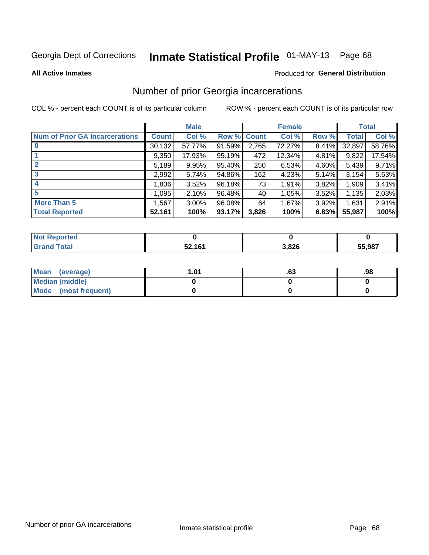# Inmate Statistical Profile 01-MAY-13 Page 68

#### **All Active Inmates**

#### Produced for General Distribution

## Number of prior Georgia incarcerations

COL % - percent each COUNT is of its particular column

|                                       |              | <b>Male</b> |             |       | <b>Female</b> |       |        | <b>Total</b> |
|---------------------------------------|--------------|-------------|-------------|-------|---------------|-------|--------|--------------|
| <b>Num of Prior GA Incarcerations</b> | <b>Count</b> | Col %       | Row % Count |       | Col %         | Row % | Total  | Col %        |
|                                       | 30,132       | 57.77%      | 91.59%      | 2,765 | 72.27%        | 8.41% | 32,897 | 58.76%       |
|                                       | 9,350        | 17.93%      | $95.19\%$   | 472   | 12.34%        | 4.81% | 9,822  | 17.54%       |
| $\overline{2}$                        | 5,189        | 9.95%       | 95.40%      | 250   | 6.53%         | 4.60% | 5,439  | 9.71%        |
| 3                                     | 2,992        | 5.74%       | 94.86%      | 162   | 4.23%         | 5.14% | 3,154  | 5.63%        |
| $\boldsymbol{4}$                      | 1,836        | 3.52%       | 96.18%      | 73    | 1.91%         | 3.82% | 1,909  | 3.41%        |
| 5                                     | 1,095        | 2.10%       | 96.48%      | 40    | 1.05%         | 3.52% | 1,135  | 2.03%        |
| <b>More Than 5</b>                    | 1,567        | 3.00%       | $96.08\%$   | 64    | 1.67%         | 3.92% | 1,631  | 2.91%        |
| <b>Total Reported</b>                 | 52,161       | 100%        | 93.17%      | 3,826 | 100%          | 6.83% | 55,987 | 100%         |

| orted<br><b>N</b> |        |       |        |
|-------------------|--------|-------|--------|
| <b>ota</b>        | 52,161 | 3,826 | 55,987 |

| Mean (average)       | l.01 | .o. | .98 |
|----------------------|------|-----|-----|
| Median (middle)      |      |     |     |
| Mode (most frequent) |      |     |     |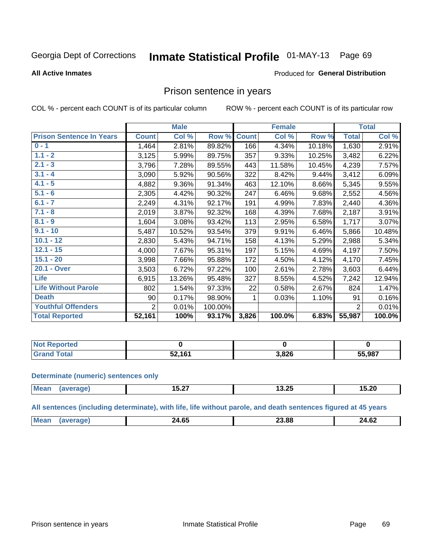#### **Inmate Statistical Profile 01-MAY-13** Page 69

#### **All Active Inmates**

#### Produced for General Distribution

### Prison sentence in years

COL % - percent each COUNT is of its particular column

ROW % - percent each COUNT is of its particular row

|                                 | <b>Male</b>    |        |         | <b>Female</b> |        |        | <b>Total</b>   |        |
|---------------------------------|----------------|--------|---------|---------------|--------|--------|----------------|--------|
| <b>Prison Sentence In Years</b> | <b>Count</b>   | Col %  | Row %   | <b>Count</b>  | Col %  | Row %  | <b>Total</b>   | Col %  |
| $0 - 1$                         | 1,464          | 2.81%  | 89.82%  | 166           | 4.34%  | 10.18% | 1,630          | 2.91%  |
| $1.1 - 2$                       | 3,125          | 5.99%  | 89.75%  | 357           | 9.33%  | 10.25% | 3,482          | 6.22%  |
| $2.1 - 3$                       | 3,796          | 7.28%  | 89.55%  | 443           | 11.58% | 10.45% | 4,239          | 7.57%  |
| $3.1 - 4$                       | 3,090          | 5.92%  | 90.56%  | 322           | 8.42%  | 9.44%  | 3,412          | 6.09%  |
| $4.1 - 5$                       | 4,882          | 9.36%  | 91.34%  | 463           | 12.10% | 8.66%  | 5,345          | 9.55%  |
| $5.1 - 6$                       | 2,305          | 4.42%  | 90.32%  | 247           | 6.46%  | 9.68%  | 2,552          | 4.56%  |
| $6.1 - 7$                       | 2,249          | 4.31%  | 92.17%  | 191           | 4.99%  | 7.83%  | 2,440          | 4.36%  |
| $7.1 - 8$                       | 2,019          | 3.87%  | 92.32%  | 168           | 4.39%  | 7.68%  | 2,187          | 3.91%  |
| $8.1 - 9$                       | 1,604          | 3.08%  | 93.42%  | 113           | 2.95%  | 6.58%  | 1,717          | 3.07%  |
| $9.1 - 10$                      | 5,487          | 10.52% | 93.54%  | 379           | 9.91%  | 6.46%  | 5,866          | 10.48% |
| $10.1 - 12$                     | 2,830          | 5.43%  | 94.71%  | 158           | 4.13%  | 5.29%  | 2,988          | 5.34%  |
| $12.1 - 15$                     | 4,000          | 7.67%  | 95.31%  | 197           | 5.15%  | 4.69%  | 4,197          | 7.50%  |
| $15.1 - 20$                     | 3,998          | 7.66%  | 95.88%  | 172           | 4.50%  | 4.12%  | 4,170          | 7.45%  |
| 20.1 - Over                     | 3,503          | 6.72%  | 97.22%  | 100           | 2.61%  | 2.78%  | 3,603          | 6.44%  |
| <b>Life</b>                     | 6,915          | 13.26% | 95.48%  | 327           | 8.55%  | 4.52%  | 7,242          | 12.94% |
| <b>Life Without Parole</b>      | 802            | 1.54%  | 97.33%  | 22            | 0.58%  | 2.67%  | 824            | 1.47%  |
| <b>Death</b>                    | 90             | 0.17%  | 98.90%  |               | 0.03%  | 1.10%  | 91             | 0.16%  |
| <b>Youthful Offenders</b>       | $\overline{2}$ | 0.01%  | 100.00% |               |        |        | $\overline{2}$ | 0.01%  |
| <b>Total Reported</b>           | 52,161         | 100%   | 93.17%  | 3,826         | 100.0% | 6.83%  | 55,987         | 100.0% |

| <b>Reported</b><br>I NOT F |            |       |        |  |
|----------------------------|------------|-------|--------|--|
| A <sub>1</sub>             | .161<br>-- | 3.82f | 55,987 |  |

#### **Determinate (numeric) sentences only**

| <b>Mean</b> | .-<br>13.Z7 | つい<br>ن∡.د ا | 15.20 |
|-------------|-------------|--------------|-------|
|             |             |              |       |

All sentences (including determinate), with life, life without parole, and death sentences figured at 45 years

| Me | ^^<br>ט. | הה הה<br>____ | 24.62 |
|----|----------|---------------|-------|
|    |          |               |       |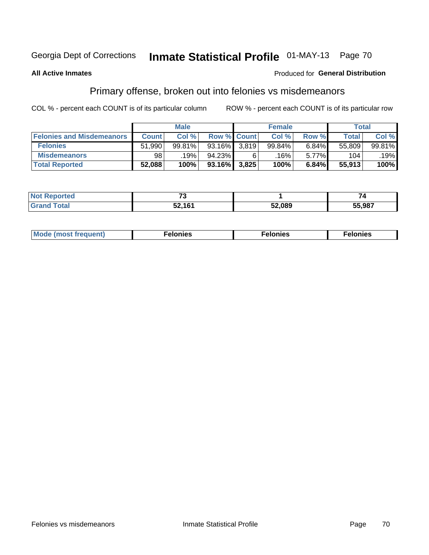## Inmate Statistical Profile 01-MAY-13 Page 70

#### **All Active Inmates**

#### Produced for General Distribution

## Primary offense, broken out into felonies vs misdemeanors

COL % - percent each COUNT is of its particular column

|                                  | <b>Male</b>  |        |           | <b>Female</b>      |        |       | Total  |        |
|----------------------------------|--------------|--------|-----------|--------------------|--------|-------|--------|--------|
| <b>Felonies and Misdemeanors</b> | <b>Count</b> | Col%   |           | <b>Row % Count</b> | Col%   | Row % | Total, | Col %  |
| <b>Felonies</b>                  | 51,990       | 99.81% | 93.16%    | 3,819              | 99.84% | 6.84% | 55,809 | 99.81% |
| <b>Misdemeanors</b>              | 98           | 19%    | 94.23%    | 6                  | .16% ' | 5.77% | 104    | .19%   |
| <b>Total Reported</b>            | 52,088       | 100%   | $93.16\%$ | 3,825              | 100%   | 6.84% | 55,913 | 100%   |

| <b>Not</b><br>ted. | $\rightarrow$ |        | -      |  |
|--------------------|---------------|--------|--------|--|
| Grand<br>™otaı     | 52.161        | 52,089 | 55,987 |  |

| Mo | ____ | 11 C.S<br>. | onies<br>. |
|----|------|-------------|------------|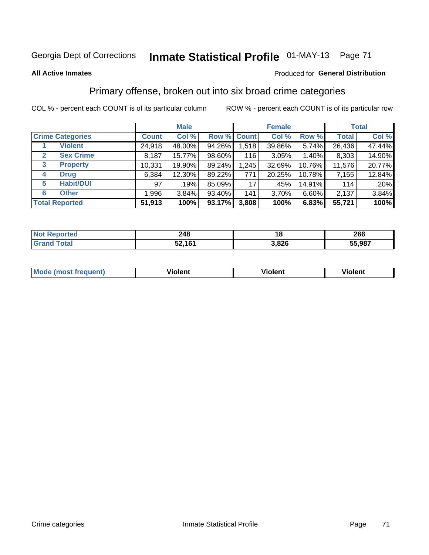## Georgia Dept of Corrections **Inmate Statistical Profile** 01-MAY-13 Page 71

#### **All Active Inmates**

#### Produced for **General Distribution**

## Primary offense, broken out into six broad crime categories

COL % - percent each COUNT is of its particular column ROW % - percent each COUNT is of its particular row

|                                 | <b>Male</b>  |        |        | <b>Female</b> |        |        | <b>Total</b> |        |
|---------------------------------|--------------|--------|--------|---------------|--------|--------|--------------|--------|
| <b>Crime Categories</b>         | <b>Count</b> | Col %  |        | Row % Count   | Col %  | Row %  | <b>Total</b> | Col %  |
| <b>Violent</b>                  | 24,918       | 48.00% | 94.26% | 1,518         | 39.86% | 5.74%  | 26,436       | 47.44% |
| <b>Sex Crime</b><br>2           | 8,187        | 15.77% | 98.60% | 116           | 3.05%  | 1.40%  | 8,303        | 14.90% |
| $\mathbf{3}$<br><b>Property</b> | 10,331       | 19.90% | 89.24% | 1,245         | 32.69% | 10.76% | 11,576       | 20.77% |
| <b>Drug</b><br>4                | 6,384        | 12.30% | 89.22% | 771           | 20.25% | 10.78% | 7,155        | 12.84% |
| <b>Habit/DUI</b><br>5           | 97           | .19%   | 85.09% | 17            | .45%   | 14.91% | 114          | .20%   |
| <b>Other</b><br>6               | 1,996        | 3.84%  | 93.40% | 141           | 3.70%  | 6.60%  | 2,137        | 3.84%  |
| <b>Total Reported</b>           | 51,913       | 100%   | 93.17% | 3,808         | 100%   | 6.83%  | 55,721       | 100%   |

| Reported<br>ומאי ' | 248    | ı a   | 266    |
|--------------------|--------|-------|--------|
| <b>Total</b>       | 52,161 | 3,826 | 55,987 |

| Mo<br>uent)<br>nos | .<br>/iolent | <br>Violent | - --<br><b>Tiolent</b> |
|--------------------|--------------|-------------|------------------------|
|                    |              |             |                        |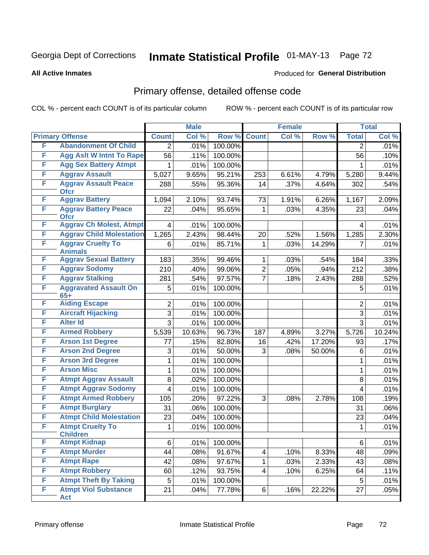## Georgia Dept of Corrections **Inmate Statistical Profile** 01-MAY-13 Page 72

#### **All Active Inmates**

#### Produced for **General Distribution**

## Primary offense, detailed offense code

COL % - percent each COUNT is of its particular column ROW % - percent each COUNT is of its particular row

|   |                                                          |                     | <b>Male</b> |         |                         | <b>Female</b> |                 |                     | <b>Total</b>   |
|---|----------------------------------------------------------|---------------------|-------------|---------|-------------------------|---------------|-----------------|---------------------|----------------|
|   | <b>Primary Offense</b>                                   | <b>Count</b>        | Col %       | Row %   | <b>Count</b>            | Col %         | Row %           | <b>Total</b>        | Col %          |
| F | <b>Abandonment Of Child</b>                              | $\overline{2}$      | .01%        | 100.00% |                         |               |                 | 2                   | .01%           |
| F | <b>Agg Aslt W Intnt To Rape</b>                          | 56                  | .11%        | 100.00% |                         |               |                 | 56                  | .10%           |
| F | <b>Agg Sex Battery Atmpt</b>                             | 1                   | .01%        | 100.00% |                         |               |                 |                     | .01%           |
| F | <b>Aggrav Assault</b>                                    | 5,027               | 9.65%       | 95.21%  | 253                     | 6.61%         | 4.79%           | 5,280               | 9.44%          |
| F | <b>Aggrav Assault Peace</b><br><b>Ofcr</b>               | 288                 | .55%        | 95.36%  | 14                      | .37%          | 4.64%           | 302                 | .54%           |
| F | <b>Aggrav Battery</b>                                    | 1,094               | 2.10%       | 93.74%  | 73                      | 1.91%         | 6.26%           | 1,167               | 2.09%          |
| F | <b>Aggrav Battery Peace</b><br><b>Ofcr</b>               | 22                  | .04%        | 95.65%  | 1                       | .03%          | 4.35%           | 23                  | .04%           |
| F | <b>Aggrav Ch Molest, Atmpt</b>                           | 4                   | .01%        | 100.00% |                         |               |                 | 4                   | .01%           |
| F | <b>Aggrav Child Molestation</b>                          | 1,265               | 2.43%       | 98.44%  | 20                      | .52%          | 1.56%           | 1,285               | 2.30%          |
| F | <b>Aggrav Cruelty To</b><br><b>Animals</b>               | 6                   | .01%        | 85.71%  | 1                       | .03%          | 14.29%          | 7                   | .01%           |
| F | <b>Aggrav Sexual Battery</b>                             | 183                 | .35%        | 99.46%  | 1                       | .03%          | .54%            | 184                 | .33%           |
| F | <b>Aggrav Sodomy</b>                                     | 210                 | .40%        | 99.06%  | $\overline{2}$          | .05%          | .94%            | 212                 | .38%           |
| F | <b>Aggrav Stalking</b>                                   | 281                 | .54%        | 97.57%  | $\overline{7}$          | .18%          | 2.43%           | 288                 | .52%           |
| F | <b>Aggravated Assault On</b>                             | 5                   | .01%        | 100.00% |                         |               |                 | 5                   | .01%           |
| F | $65+$<br><b>Aiding Escape</b>                            |                     | .01%        | 100.00% |                         |               |                 |                     | .01%           |
| F | <b>Aircraft Hijacking</b>                                | $\overline{2}$<br>3 | .01%        | 100.00% |                         |               |                 | $\overline{2}$<br>3 | .01%           |
| F | <b>Alter Id</b>                                          | $\overline{3}$      | .01%        | 100.00% |                         |               |                 | 3                   | .01%           |
| F | <b>Armed Robbery</b>                                     |                     | 10.63%      | 96.73%  |                         | 4.89%         |                 |                     |                |
| F | <b>Arson 1st Degree</b>                                  | 5,539               | .15%        | 82.80%  | 187                     | .42%          | 3.27%<br>17.20% | 5,726               | 10.24%<br>.17% |
| F | <b>Arson 2nd Degree</b>                                  | 77                  | .01%        | 50.00%  | 16<br>3                 |               |                 | 93                  |                |
| F | <b>Arson 3rd Degree</b>                                  | 3                   | .01%        | 100.00% |                         | .08%          | 50.00%          | 6<br>$\mathbf{1}$   | .01%<br>.01%   |
| F | <b>Arson Misc</b>                                        | 1                   | .01%        | 100.00% |                         |               |                 |                     |                |
| F |                                                          | 1                   |             |         |                         |               |                 | 1                   | .01%           |
| F | <b>Atmpt Aggrav Assault</b>                              | 8                   | .02%        | 100.00% |                         |               |                 | 8                   | .01%           |
| F | <b>Atmpt Aggrav Sodomy</b><br><b>Atmpt Armed Robbery</b> | 4                   | .01%        | 100.00% |                         |               |                 | 4                   | .01%           |
| F | <b>Atmpt Burglary</b>                                    | 105                 | .20%        | 97.22%  | 3                       | .08%          | 2.78%           | 108                 | .19%           |
| F |                                                          | 31                  | .06%        | 100.00% |                         |               |                 | 31                  | .06%           |
|   | <b>Atmpt Child Molestation</b>                           | 23                  | .04%        | 100.00% |                         |               |                 | 23                  | .04%           |
| F | <b>Atmpt Cruelty To</b><br><b>Children</b>               | 1                   | .01%        | 100.00% |                         |               |                 | $\mathbf 1$         | .01%           |
| F | <b>Atmpt Kidnap</b>                                      | 6                   | .01%        | 100.00% |                         |               |                 | 6                   | .01%           |
| F | <b>Atmpt Murder</b>                                      | 44                  | .08%        | 91.67%  | 4                       | .10%          | 8.33%           | 48                  | .09%           |
| F | <b>Atmpt Rape</b>                                        | 42                  | .08%        | 97.67%  | $\mathbf{1}$            | .03%          | 2.33%           | 43                  | .08%           |
| F | <b>Atmpt Robbery</b>                                     | 60                  | .12%        | 93.75%  | $\overline{\mathbf{4}}$ | .10%          | 6.25%           | 64                  | .11%           |
| F | <b>Atmpt Theft By Taking</b>                             | 5                   | .01%        | 100.00% |                         |               |                 | 5                   | .01%           |
| F | <b>Atmpt Viol Substance</b><br>Act                       | 21                  | .04%        | 77.78%  | $6 \mid$                | .16%          | 22.22%          | 27                  | .05%           |
|   |                                                          |                     |             |         |                         |               |                 |                     |                |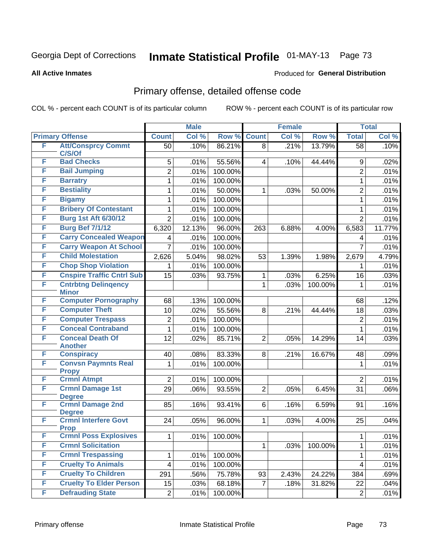#### **All Active Inmates**

#### Produced for **General Distribution**

## Primary offense, detailed offense code

|   |                                               |                         | <b>Male</b> |         |                | <b>Female</b> |         |                | <b>Total</b> |
|---|-----------------------------------------------|-------------------------|-------------|---------|----------------|---------------|---------|----------------|--------------|
|   | <b>Primary Offense</b>                        | <b>Count</b>            | Col %       | Row %   | <b>Count</b>   | Col %         | Row %   | <b>Total</b>   | Col %        |
| F | <b>Att/Consprcy Commt</b>                     | 50                      | .10%        | 86.21%  | 8              | .21%          | 13.79%  | 58             | .10%         |
| F | C/S/Of<br><b>Bad Checks</b>                   | 5                       | .01%        | 55.56%  | 4              | .10%          | 44.44%  | 9              | .02%         |
| F | <b>Bail Jumping</b>                           | $\overline{2}$          | .01%        | 100.00% |                |               |         | $\overline{2}$ | .01%         |
| F | <b>Barratry</b>                               |                         |             | 100.00% |                |               |         |                |              |
| F | <b>Bestiality</b>                             | 1                       | .01%        |         |                |               |         | 1              | .01%         |
| F |                                               | 1                       | .01%        | 50.00%  | 1              | .03%          | 50.00%  | $\overline{2}$ | .01%         |
| F | <b>Bigamy</b><br><b>Bribery Of Contestant</b> | 1                       | .01%        | 100.00% |                |               |         | $\mathbf{1}$   | .01%         |
| F |                                               | 1                       | .01%        | 100.00% |                |               |         | 1              | .01%         |
|   | <b>Burg 1st Aft 6/30/12</b>                   | $\overline{2}$          | .01%        | 100.00% |                |               |         | $\overline{2}$ | .01%         |
| F | <b>Burg Bef 7/1/12</b>                        | 6,320                   | 12.13%      | 96.00%  | 263            | 6.88%         | 4.00%   | 6,583          | 11.77%       |
| F | <b>Carry Concealed Weapon</b>                 | 4                       | .01%        | 100.00% |                |               |         | 4              | .01%         |
| F | <b>Carry Weapon At School</b>                 | $\overline{7}$          | .01%        | 100.00% |                |               |         | $\overline{7}$ | .01%         |
| F | <b>Child Molestation</b>                      | 2,626                   | 5.04%       | 98.02%  | 53             | 1.39%         | 1.98%   | 2,679          | 4.79%        |
| F | <b>Chop Shop Violation</b>                    | 1                       | .01%        | 100.00% |                |               |         | 1              | .01%         |
| F | <b>Cnspire Traffic Cntrl Sub</b>              | 15                      | .03%        | 93.75%  | 1              | .03%          | 6.25%   | 16             | .03%         |
| F | <b>Cntrbtng Delingency</b><br><b>Minor</b>    |                         |             |         | $\mathbf 1$    | .03%          | 100.00% | $\mathbf{1}$   | .01%         |
| F | <b>Computer Pornography</b>                   | 68                      | .13%        | 100.00% |                |               |         | 68             | .12%         |
| F | <b>Computer Theft</b>                         | 10                      | .02%        | 55.56%  | 8              | .21%          | 44.44%  | 18             | .03%         |
| F | <b>Computer Trespass</b>                      | $\overline{c}$          | .01%        | 100.00% |                |               |         | $\overline{2}$ | .01%         |
| F | <b>Conceal Contraband</b>                     | $\mathbf{1}$            | .01%        | 100.00% |                |               |         | $\mathbf{1}$   | .01%         |
| F | <b>Conceal Death Of</b><br><b>Another</b>     | 12                      | .02%        | 85.71%  | $\overline{2}$ | .05%          | 14.29%  | 14             | .03%         |
| F | <b>Conspiracy</b>                             | 40                      | .08%        | 83.33%  | 8              | .21%          | 16.67%  | 48             | .09%         |
| F | <b>Convsn Paymnts Real</b>                    | 1                       | .01%        | 100.00% |                |               |         | 1              | .01%         |
|   | <b>Propy</b>                                  |                         |             |         |                |               |         |                |              |
| F | <b>Crmnl Atmpt</b>                            | $\overline{2}$          | .01%        | 100.00% |                |               |         | $\overline{2}$ | .01%         |
| F | <b>Crmnl Damage 1st</b>                       | 29                      | .06%        | 93.55%  | $\overline{2}$ | .05%          | 6.45%   | 31             | .06%         |
|   | <b>Degree</b>                                 |                         |             |         |                |               |         |                |              |
| F | <b>Crmnl Damage 2nd</b><br><b>Degree</b>      | 85                      | .16%        | 93.41%  | 6              | .16%          | 6.59%   | 91             | .16%         |
| F | <b>Crmnl Interfere Govt</b>                   | 24                      | .05%        | 96.00%  | 1              | .03%          | 4.00%   | 25             | .04%         |
|   | <b>Prop</b>                                   |                         |             |         |                |               |         |                |              |
| F | <b>Crmnl Poss Explosives</b>                  | $\mathbf 1$             | .01%        | 100.00% |                |               |         | $\mathbf 1$    | .01%         |
| F | <b>Crmnl Solicitation</b>                     |                         |             |         | 1              | .03%          | 100.00% | $\mathbf{1}$   | .01%         |
| F | <b>Crmnl Trespassing</b>                      | 1                       | .01%        | 100.00% |                |               |         | 1              | .01%         |
| F | <b>Cruelty To Animals</b>                     | $\overline{\mathbf{4}}$ | .01%        | 100.00% |                |               |         | 4              | .01%         |
| F | <b>Cruelty To Children</b>                    | 291                     | .56%        | 75.78%  | 93             | 2.43%         | 24.22%  | 384            | .69%         |
| F | <b>Cruelty To Elder Person</b>                | 15                      | .03%        | 68.18%  | $\overline{7}$ | .18%          | 31.82%  | 22             | .04%         |
| F | <b>Defrauding State</b>                       | $\overline{2}$          | .01%        | 100.00% |                |               |         | $\overline{c}$ | .01%         |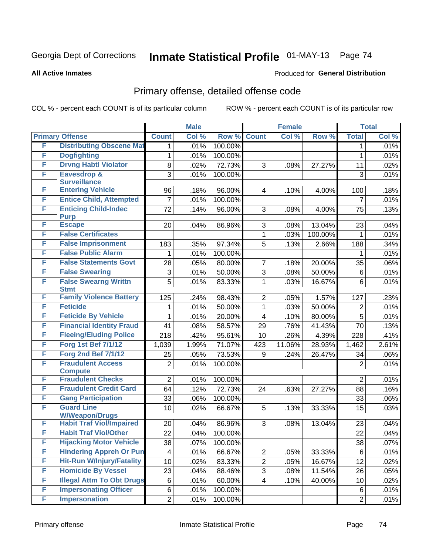#### **All Active Inmates**

#### Produced for **General Distribution**

## Primary offense, detailed offense code

|   |                                            |                | <b>Male</b> |         |                | <b>Female</b> |         |                | <b>Total</b> |
|---|--------------------------------------------|----------------|-------------|---------|----------------|---------------|---------|----------------|--------------|
|   | <b>Primary Offense</b>                     | <b>Count</b>   | Col %       | Row %   | <b>Count</b>   | Col %         | Row %   | <b>Total</b>   | Col %        |
| F | <b>Distributing Obscene Mat</b>            | 1              | .01%        | 100.00% |                |               |         | 1              | .01%         |
| F | <b>Dogfighting</b>                         | 1              | .01%        | 100.00% |                |               |         | $\mathbf{1}$   | .01%         |
| F | <b>Drvng Habtl Violator</b>                | 8              | .02%        | 72.73%  | 3              | .08%          | 27.27%  | 11             | .02%         |
| F | Eavesdrop &                                | 3              | .01%        | 100.00% |                |               |         | 3              | .01%         |
|   | <b>Surveillance</b>                        |                |             |         |                |               |         |                |              |
| F | <b>Entering Vehicle</b>                    | 96             | .18%        | 96.00%  | 4              | .10%          | 4.00%   | 100            | .18%         |
| F | <b>Entice Child, Attempted</b>             | 7              | .01%        | 100.00% |                |               |         | 7              | .01%         |
| F | <b>Enticing Child-Indec</b>                | 72             | .14%        | 96.00%  | 3              | .08%          | 4.00%   | 75             | .13%         |
| F | <b>Purp</b><br><b>Escape</b>               | 20             | .04%        | 86.96%  | 3              | .08%          | 13.04%  | 23             | .04%         |
| F | <b>False Certificates</b>                  |                |             |         | 1              | .03%          | 100.00% | 1              | .01%         |
| F | <b>False Imprisonment</b>                  |                |             | 97.34%  | $\overline{5}$ |               | 2.66%   | 188            |              |
| F | <b>False Public Alarm</b>                  | 183            | .35%        |         |                | .13%          |         |                | .34%         |
| F |                                            | 1              | .01%        | 100.00% |                |               |         | 1              | .01%         |
|   | <b>False Statements Govt</b>               | 28             | .05%        | 80.00%  | 7              | .18%          | 20.00%  | 35             | .06%         |
| F | <b>False Swearing</b>                      | 3              | .01%        | 50.00%  | 3              | .08%          | 50.00%  | 6              | .01%         |
| F | <b>False Swearng Writtn</b><br><b>Stmt</b> | 5              | .01%        | 83.33%  | 1              | .03%          | 16.67%  | 6              | .01%         |
| F | <b>Family Violence Battery</b>             | 125            | .24%        | 98.43%  | $\overline{2}$ | .05%          | 1.57%   | 127            | .23%         |
| F | <b>Feticide</b>                            | 1              | .01%        | 50.00%  | 1              | .03%          | 50.00%  | 2              | .01%         |
| F | <b>Feticide By Vehicle</b>                 | 1              | .01%        | 20.00%  | 4              | .10%          | 80.00%  | $\overline{5}$ | .01%         |
| F | <b>Financial Identity Fraud</b>            | 41             |             | 58.57%  |                |               |         |                |              |
| F | <b>Fleeing/Eluding Police</b>              |                | .08%        |         | 29             | .76%          | 41.43%  | 70             | .13%         |
| F |                                            | 218            | .42%        | 95.61%  | 10             | .26%          | 4.39%   | 228            | .41%         |
|   | <b>Forg 1st Bef 7/1/12</b>                 | 1,039          | 1.99%       | 71.07%  | 423            | 11.06%        | 28.93%  | 1,462          | 2.61%        |
| F | <b>Forg 2nd Bef 7/1/12</b>                 | 25             | .05%        | 73.53%  | 9              | .24%          | 26.47%  | 34             | .06%         |
| F | <b>Fraudulent Access</b>                   | $\overline{2}$ | .01%        | 100.00% |                |               |         | $\overline{2}$ | .01%         |
| F | <b>Compute</b><br><b>Fraudulent Checks</b> | $\overline{2}$ | .01%        | 100.00% |                |               |         | $\overline{2}$ | .01%         |
| F | <b>Fraudulent Credit Card</b>              | 64             | .12%        | 72.73%  | 24             | .63%          | 27.27%  | 88             | .16%         |
| F | <b>Gang Participation</b>                  | 33             | .06%        | 100.00% |                |               |         | 33             | .06%         |
| F | <b>Guard Line</b>                          | 10             | .02%        | 66.67%  | $\overline{5}$ | .13%          | 33.33%  | 15             | .03%         |
|   | <b>W/Weapon/Drugs</b>                      |                |             |         |                |               |         |                |              |
| F | <b>Habit Traf Viol/Impaired</b>            | 20             | .04%        | 86.96%  | 3              | .08%          | 13.04%  | 23             | .04%         |
| F | <b>Habit Traf Viol/Other</b>               | 22             | .04%        | 100.00% |                |               |         | 22             | .04%         |
| F | <b>Hijacking Motor Vehicle</b>             | 38             | .07%        | 100.00% |                |               |         | 38             | .07%         |
| F | <b>Hindering Appreh Or Pun</b>             | 4              | .01%        | 66.67%  | $\mathbf{2}$   | .05%          | 33.33%  | 6              | .01%         |
| F | <b>Hit-Run W/Injury/Fatality</b>           | 10             | .02%        | 83.33%  | $\overline{2}$ | .05%          | 16.67%  | 12             | .02%         |
| F | <b>Homicide By Vessel</b>                  | 23             | .04%        | 88.46%  | $\overline{3}$ | .08%          | 11.54%  | 26             | .05%         |
| F | <b>Illegal Attm To Obt Drugs</b>           | 6              | .01%        | 60.00%  | 4              | .10%          | 40.00%  | 10             | .02%         |
| F | <b>Impersonating Officer</b>               | 6              | .01%        | 100.00% |                |               |         | 6              | .01%         |
| F | <b>Impersonation</b>                       | $\overline{2}$ | .01%        | 100.00% |                |               |         | $\overline{2}$ | .01%         |
|   |                                            |                |             |         |                |               |         |                |              |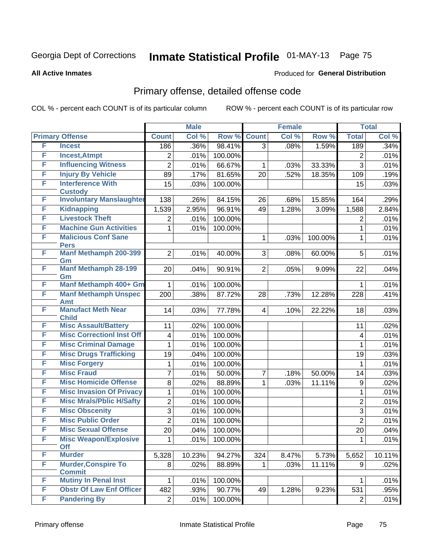#### **All Active Inmates**

#### Produced for **General Distribution**

## Primary offense, detailed offense code

|   |                                                   |                 | <b>Male</b> |         |                | <b>Female</b> |         |                  | <b>Total</b> |
|---|---------------------------------------------------|-----------------|-------------|---------|----------------|---------------|---------|------------------|--------------|
|   | <b>Primary Offense</b>                            | <b>Count</b>    | Col %       | Row %   | <b>Count</b>   | Col %         | Row %   | <b>Total</b>     | Col %        |
| F | <b>Incest</b>                                     | 186             | .36%        | 98.41%  | $\overline{3}$ | .08%          | 1.59%   | 189              | .34%         |
| F | <b>Incest, Atmpt</b>                              | $\overline{2}$  | .01%        | 100.00% |                |               |         | $\overline{2}$   | .01%         |
| F | <b>Influencing Witness</b>                        | $\overline{2}$  | .01%        | 66.67%  | 1              | .03%          | 33.33%  | $\overline{3}$   | .01%         |
| F | <b>Injury By Vehicle</b>                          | 89              | .17%        | 81.65%  | 20             | .52%          | 18.35%  | 109              | .19%         |
| F | <b>Interference With</b>                          | 15              | .03%        | 100.00% |                |               |         | 15               | .03%         |
| F | <b>Custody</b><br><b>Involuntary Manslaughter</b> |                 |             |         |                |               |         |                  |              |
| F |                                                   | 138             | .26%        | 84.15%  | 26             | .68%          | 15.85%  | 164              | .29%         |
| F | <b>Kidnapping</b><br><b>Livestock Theft</b>       | 1,539           | 2.95%       | 96.91%  | 49             | 1.28%         | 3.09%   | 1,588            | 2.84%        |
| F | <b>Machine Gun Activities</b>                     | 2               | .01%        | 100.00% |                |               |         | $\overline{2}$   | .01%         |
| F | <b>Malicious Conf Sane</b>                        | 1               | .01%        | 100.00% |                |               |         | 1                | .01%         |
|   | <b>Pers</b>                                       |                 |             |         | $\mathbf 1$    | .03%          | 100.00% | $\mathbf{1}$     | .01%         |
| F | <b>Manf Methamph 200-399</b><br>Gm                | $\overline{2}$  | .01%        | 40.00%  | 3 <sup>1</sup> | .08%          | 60.00%  | 5                | .01%         |
| F | <b>Manf Methamph 28-199</b><br>Gm                 | 20              | .04%        | 90.91%  | $\overline{2}$ | .05%          | 9.09%   | 22               | .04%         |
| F | Manf Methamph 400+ Gm                             | 1               | .01%        | 100.00% |                |               |         | 1                | .01%         |
| F | <b>Manf Methamph Unspec</b>                       | 200             | .38%        | 87.72%  | 28             | .73%          | 12.28%  | 228              | .41%         |
|   | <b>Amt</b>                                        |                 |             |         |                |               |         |                  |              |
| F | <b>Manufact Meth Near</b><br><b>Child</b>         | 14              | .03%        | 77.78%  | $\overline{4}$ | .10%          | 22.22%  | 18               | .03%         |
| F | <b>Misc Assault/Battery</b>                       | 11              | .02%        | 100.00% |                |               |         | 11               | .02%         |
| F | <b>Misc CorrectionI Inst Off</b>                  | 4               | .01%        | 100.00% |                |               |         | 4                | .01%         |
| F | <b>Misc Criminal Damage</b>                       | 1               | .01%        | 100.00% |                |               |         | $\mathbf{1}$     | .01%         |
| F | <b>Misc Drugs Trafficking</b>                     | 19              | .04%        | 100.00% |                |               |         | 19               | .03%         |
| F | <b>Misc Forgery</b>                               | 1               | .01%        | 100.00% |                |               |         | 1                | .01%         |
| F | <b>Misc Fraud</b>                                 | $\overline{7}$  | .01%        | 50.00%  | $\overline{7}$ | .18%          | 50.00%  | 14               | .03%         |
| F | <b>Misc Homicide Offense</b>                      | 8               | .02%        | 88.89%  | $\mathbf{1}$   | .03%          | 11.11%  | $\boldsymbol{9}$ | .02%         |
| F | <b>Misc Invasion Of Privacy</b>                   | 1               | .01%        | 100.00% |                |               |         | 1                | .01%         |
| F | <b>Misc Mrals/Pblic H/Safty</b>                   | $\overline{2}$  | .01%        | 100.00% |                |               |         | $\overline{2}$   | .01%         |
| F | <b>Misc Obscenity</b>                             | 3               | .01%        | 100.00% |                |               |         | $\overline{3}$   | .01%         |
| F | <b>Misc Public Order</b>                          | $\overline{2}$  | .01%        | 100.00% |                |               |         | $\overline{2}$   | .01%         |
| F | <b>Misc Sexual Offense</b>                        | $\overline{20}$ | .04%        | 100.00% |                |               |         | 20               | .04%         |
| F | <b>Misc Weapon/Explosive</b><br><b>Off</b>        | 1               | .01%        | 100.00% |                |               |         | 1                | .01%         |
| F | <b>Murder</b>                                     | 5,328           | 10.23%      | 94.27%  | 324            | 8.47%         | 5.73%   | 5,652            | 10.11%       |
| F | <b>Murder, Conspire To</b><br><b>Commit</b>       | 8 <sup>1</sup>  | .02%        | 88.89%  | $\mathbf{1}$   | .03%          | 11.11%  | 9                | .02%         |
| F | <b>Mutiny In Penal Inst</b>                       |                 | .01%        | 100.00% |                |               |         |                  | .01%         |
| F | <b>Obstr Of Law Enf Officer</b>                   | 482             | .93%        | 90.77%  | 49             | 1.28%         | 9.23%   | 531              | .95%         |
| F | <b>Pandering By</b>                               | $\overline{2}$  | .01%        | 100.00% |                |               |         | $\overline{2}$   | .01%         |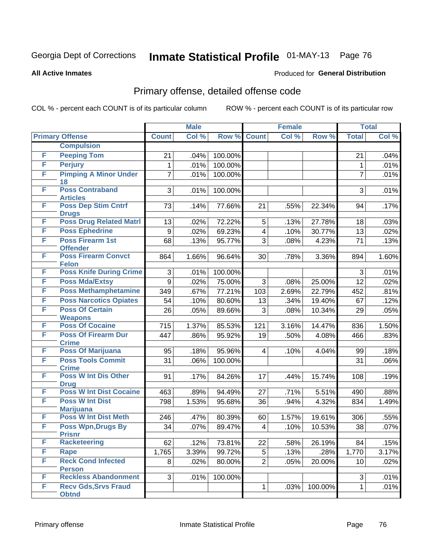#### **All Active Inmates**

### Produced for **General Distribution**

### Primary offense, detailed offense code

|   |                                                 |                  | <b>Male</b> |         |                         | <b>Female</b> |         | <b>Total</b>   |       |
|---|-------------------------------------------------|------------------|-------------|---------|-------------------------|---------------|---------|----------------|-------|
|   | <b>Primary Offense</b>                          | <b>Count</b>     | Col %       | Row %   | <b>Count</b>            | Col %         | Row %   | <b>Total</b>   | Col % |
|   | <b>Compulsion</b>                               |                  |             |         |                         |               |         |                |       |
| F | <b>Peeping Tom</b>                              | 21               | .04%        | 100.00% |                         |               |         | 21             | .04%  |
| F | <b>Perjury</b>                                  | 1                | .01%        | 100.00% |                         |               |         | 1              | .01%  |
| F | <b>Pimping A Minor Under</b>                    | $\overline{7}$   | .01%        | 100.00% |                         |               |         | $\overline{7}$ | .01%  |
|   | 18                                              |                  |             |         |                         |               |         |                |       |
| F | <b>Poss Contraband</b><br><b>Articles</b>       | 3                | .01%        | 100.00% |                         |               |         | 3              | .01%  |
| F | <b>Poss Dep Stim Cntrf</b>                      | 73               | .14%        | 77.66%  | 21                      | .55%          | 22.34%  | 94             | .17%  |
|   | <b>Drugs</b>                                    |                  |             |         |                         |               |         |                |       |
| F | <b>Poss Drug Related Matri</b>                  | 13               | .02%        | 72.22%  | 5                       | .13%          | 27.78%  | 18             | .03%  |
| F | <b>Poss Ephedrine</b>                           | $\boldsymbol{9}$ | .02%        | 69.23%  | $\overline{\mathbf{4}}$ | .10%          | 30.77%  | 13             | .02%  |
| F | <b>Poss Firearm 1st</b>                         | 68               | .13%        | 95.77%  | 3                       | .08%          | 4.23%   | 71             | .13%  |
| F | <b>Offender</b><br><b>Poss Firearm Convct</b>   |                  |             |         |                         |               |         |                |       |
|   | <b>Felon</b>                                    | 864              | 1.66%       | 96.64%  | 30                      | .78%          | 3.36%   | 894            | 1.60% |
| F | <b>Poss Knife During Crime</b>                  | 3                | .01%        | 100.00% |                         |               |         | $\mathfrak{S}$ | .01%  |
| F | <b>Poss Mda/Extsy</b>                           | $\boldsymbol{9}$ | .02%        | 75.00%  | 3                       | .08%          | 25.00%  | 12             | .02%  |
| F | <b>Poss Methamphetamine</b>                     | 349              | .67%        | 77.21%  | 103                     | 2.69%         | 22.79%  | 452            | .81%  |
| F | <b>Poss Narcotics Opiates</b>                   | 54               | .10%        | 80.60%  | 13                      | .34%          | 19.40%  | 67             | .12%  |
| F | <b>Poss Of Certain</b>                          | 26               | .05%        | 89.66%  | 3                       | .08%          | 10.34%  | 29             | .05%  |
|   | <b>Weapons</b>                                  |                  |             |         |                         |               |         |                |       |
| F | <b>Poss Of Cocaine</b>                          | 715              | 1.37%       | 85.53%  | 121                     | 3.16%         | 14.47%  | 836            | 1.50% |
| F | <b>Poss Of Firearm Dur</b>                      | 447              | .86%        | 95.92%  | 19                      | .50%          | 4.08%   | 466            | .83%  |
| F | <b>Crime</b><br><b>Poss Of Marijuana</b>        | 95               | .18%        | 95.96%  | $\overline{4}$          | .10%          | 4.04%   | 99             | .18%  |
| F | <b>Poss Tools Commit</b>                        | 31               | .06%        | 100.00% |                         |               |         | 31             | .06%  |
|   | <b>Crime</b>                                    |                  |             |         |                         |               |         |                |       |
| F | <b>Poss W Int Dis Other</b>                     | 91               | .17%        | 84.26%  | 17                      | .44%          | 15.74%  | 108            | .19%  |
|   | <b>Drug</b>                                     |                  |             |         |                         |               |         |                |       |
| F | <b>Poss W Int Dist Cocaine</b>                  | 463              | .89%        | 94.49%  | 27                      | .71%          | 5.51%   | 490            | .88%  |
| F | <b>Poss W Int Dist</b>                          | 798              | 1.53%       | 95.68%  | 36                      | .94%          | 4.32%   | 834            | 1.49% |
| F | <b>Marijuana</b><br><b>Poss W Int Dist Meth</b> | 246              | .47%        | 80.39%  | 60                      | 1.57%         | 19.61%  | 306            | .55%  |
| F | <b>Poss Wpn, Drugs By</b>                       | 34               | .07%        | 89.47%  | 4                       | .10%          | 10.53%  | 38             | .07%  |
|   | <b>Prisnr</b>                                   |                  |             |         |                         |               |         |                |       |
| F | <b>Racketeering</b>                             | 62               | .12%        | 73.81%  | 22                      | .58%          | 26.19%  | 84             | .15%  |
| F | <b>Rape</b>                                     | 1,765            | 3.39%       | 99.72%  | 5                       | .13%          | .28%    | 1,770          | 3.17% |
| F | <b>Reck Cond Infected</b>                       | 8                | .02%        | 80.00%  | $\overline{2}$          | .05%          | 20.00%  | 10             | .02%  |
|   | <b>Person</b>                                   |                  |             |         |                         |               |         |                |       |
| F | <b>Reckless Abandonment</b>                     | 3                | .01%        | 100.00% |                         |               |         | 3              | .01%  |
| F | <b>Recv Gds, Srvs Fraud</b><br><b>Obtnd</b>     |                  |             |         | $\mathbf{1}$            | .03%          | 100.00% | $\mathbf 1$    | .01%  |
|   |                                                 |                  |             |         |                         |               |         |                |       |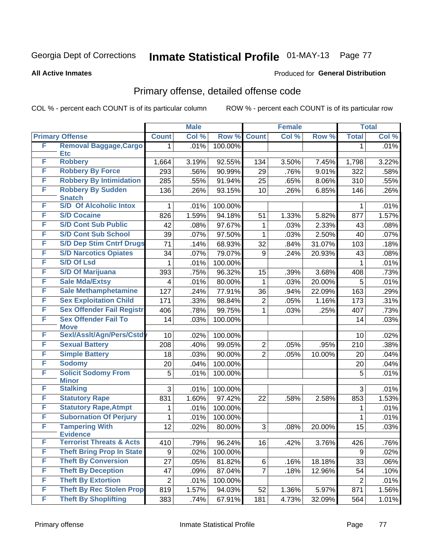#### **All Active Inmates**

#### Produced for **General Distribution**

## Primary offense, detailed offense code

|   |                                                        |                | <b>Male</b> |         |                | <b>Female</b> |        |              | <b>Total</b> |
|---|--------------------------------------------------------|----------------|-------------|---------|----------------|---------------|--------|--------------|--------------|
|   | <b>Primary Offense</b>                                 | <b>Count</b>   | Col %       | Row %   | <b>Count</b>   | Col %         | Row %  | <b>Total</b> | Col %        |
| F | <b>Removal Baggage, Cargo</b>                          | 1              | .01%        | 100.00% |                |               |        | 1            | .01%         |
| F | <b>Etc</b><br><b>Robbery</b>                           |                |             |         |                |               |        |              |              |
| F | <b>Robbery By Force</b>                                | 1,664          | 3.19%       | 92.55%  | 134            | 3.50%         | 7.45%  | 1,798        | 3.22%        |
| F | <b>Robbery By Intimidation</b>                         | 293            | .56%        | 90.99%  | 29             | .76%          | 9.01%  | 322          | .58%         |
| F |                                                        | 285            | .55%        | 91.94%  | 25             | .65%          | 8.06%  | 310          | .55%         |
|   | <b>Robbery By Sudden</b><br><b>Snatch</b>              | 136            | .26%        | 93.15%  | 10             | .26%          | 6.85%  | 146          | .26%         |
| F | <b>S/D Of Alcoholic Intox</b>                          | 1              | .01%        | 100.00% |                |               |        | 1            | .01%         |
| F | <b>S/D Cocaine</b>                                     | 826            | 1.59%       | 94.18%  | 51             | 1.33%         | 5.82%  | 877          | 1.57%        |
| F | <b>S/D Cont Sub Public</b>                             | 42             | .08%        | 97.67%  | 1              | .03%          | 2.33%  | 43           | .08%         |
| F | <b>S/D Cont Sub School</b>                             | 39             | .07%        | 97.50%  | 1              | .03%          | 2.50%  | 40           | .07%         |
| F | <b>S/D Dep Stim Cntrf Drugs</b>                        | 71             | .14%        | 68.93%  | 32             | .84%          | 31.07% | 103          | .18%         |
| F | <b>S/D Narcotics Opiates</b>                           | 34             | .07%        | 79.07%  | 9              | .24%          | 20.93% | 43           | .08%         |
| F | <b>S/D Of Lsd</b>                                      | 1              | .01%        | 100.00% |                |               |        | 1            | .01%         |
| F | <b>S/D Of Marijuana</b>                                | 393            | .75%        | 96.32%  | 15             | .39%          | 3.68%  | 408          | .73%         |
| F | <b>Sale Mda/Extsy</b>                                  | 4              | .01%        | 80.00%  | 1              | .03%          | 20.00% | 5            | .01%         |
| F | <b>Sale Methamphetamine</b>                            | 127            | .24%        | 77.91%  | 36             | .94%          | 22.09% | 163          | .29%         |
| F | <b>Sex Exploitation Child</b>                          | 171            | .33%        | 98.84%  | $\overline{2}$ | .05%          | 1.16%  | 173          | .31%         |
| F | <b>Sex Offender Fail Registr</b>                       | 406            | .78%        | 99.75%  | 1              | .03%          | .25%   | 407          | .73%         |
| F | <b>Sex Offender Fail To</b><br><b>Move</b>             | 14             | .03%        | 100.00% |                |               |        | 14           | .03%         |
| F | Sexl/Asslt/Agn/Pers/Cstd                               | 10             | .02%        | 100.00% |                |               |        | 10           | .02%         |
| F | <b>Sexual Battery</b>                                  | 208            | .40%        | 99.05%  | $\overline{2}$ | .05%          | .95%   | 210          | .38%         |
| F | <b>Simple Battery</b>                                  | 18             | .03%        | 90.00%  | $\overline{2}$ | .05%          | 10.00% | 20           | .04%         |
| F | <b>Sodomy</b>                                          | 20             | .04%        | 100.00% |                |               |        | 20           | .04%         |
| F | <b>Solicit Sodomy From</b>                             | 5              | .01%        | 100.00% |                |               |        | 5            | .01%         |
|   | <b>Minor</b>                                           |                |             |         |                |               |        |              |              |
| F | <b>Stalking</b>                                        | 3              | .01%        | 100.00% |                |               |        | 3            | .01%         |
| F | <b>Statutory Rape</b>                                  | 831            | 1.60%       | 97.42%  | 22             | .58%          | 2.58%  | 853          | 1.53%        |
| F | <b>Statutory Rape, Atmpt</b>                           | 1              | .01%        | 100.00% |                |               |        | 1            | .01%         |
| F | <b>Subornation Of Perjury</b>                          | 1              | .01%        | 100.00% |                |               |        | 1            | .01%         |
| F | <b>Tampering With</b>                                  | 12             | .02%        | 80.00%  | 3              | .08%          | 20.00% | 15           | .03%         |
| F | <b>Evidence</b><br><b>Terrorist Threats &amp; Acts</b> | 410            | .79%        | 96.24%  | 16             | .42%          | 3.76%  | 426          | .76%         |
| F | <b>Theft Bring Prop In State</b>                       | 9              | .02%        | 100.00% |                |               |        | 9            | .02%         |
| F | <b>Theft By Conversion</b>                             | 27             | .05%        | 81.82%  | 6              | .16%          | 18.18% | 33           | .06%         |
| F | <b>Theft By Deception</b>                              | 47             | .09%        | 87.04%  | $\overline{7}$ | .18%          | 12.96% | 54           | .10%         |
| F | <b>Theft By Extortion</b>                              | $\overline{c}$ | .01%        | 100.00% |                |               |        |              | .01%         |
| F | <b>Theft By Rec Stolen Prop</b>                        | 819            | 1.57%       | 94.03%  | 52             | 1.36%         | 5.97%  | 2<br>871     |              |
| F | <b>Theft By Shoplifting</b>                            |                |             |         |                |               |        |              | 1.56%        |
|   |                                                        | 383            | .74%        | 67.91%  | 181            | 4.73%         | 32.09% | 564          | 1.01%        |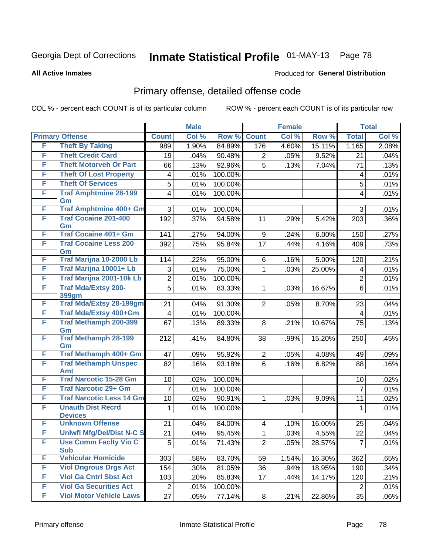#### **All Active Inmates**

#### Produced for **General Distribution**

## Primary offense, detailed offense code

|   |                                            |                         | <b>Male</b>  |         |                | <b>Female</b> |                 |                                    | <b>Total</b> |
|---|--------------------------------------------|-------------------------|--------------|---------|----------------|---------------|-----------------|------------------------------------|--------------|
|   | <b>Primary Offense</b>                     | <b>Count</b>            | Col %        | Row %   | <b>Count</b>   | Col %         | Row %           | <b>Total</b>                       | Col %        |
| F | <b>Theft By Taking</b>                     | 989                     | 1.90%        | 84.89%  | 176            | 4.60%         | 15.11%          | 1,165                              | 2.08%        |
| F | <b>Theft Credit Card</b>                   | 19                      | .04%         | 90.48%  | 2              | .05%          | 9.52%           | 21                                 | .04%         |
| F | <b>Theft Motorveh Or Part</b>              | 66                      | .13%         | 92.96%  | 5              | .13%          | 7.04%           | 71                                 | .13%         |
| F | <b>Theft Of Lost Property</b>              | 4                       | .01%         | 100.00% |                |               |                 | $\overline{4}$                     | .01%         |
| F | <b>Theft Of Services</b>                   | 5                       | .01%         | 100.00% |                |               |                 | 5                                  | .01%         |
| F | <b>Traf Amphtmine 28-199</b>               | $\overline{\mathbf{4}}$ | .01%         | 100.00% |                |               |                 | $\overline{\mathbf{4}}$            | .01%         |
|   | Gm                                         |                         |              |         |                |               |                 |                                    |              |
| F | <b>Traf Amphtmine 400+ Gm</b>              | 3                       | .01%         | 100.00% |                |               |                 | 3                                  | .01%         |
| F | <b>Traf Cocaine 201-400</b><br>Gm          | 192                     | .37%         | 94.58%  | 11             | .29%          | 5.42%           | 203                                | .36%         |
| F | <b>Traf Cocaine 401+ Gm</b>                | 141                     | .27%         | 94.00%  | 9              | .24%          | 6.00%           | 150                                | .27%         |
| F | <b>Traf Cocaine Less 200</b>               | 392                     | .75%         | 95.84%  | 17             | .44%          | 4.16%           | 409                                | .73%         |
| F | Gm<br>Traf Marijna 10-2000 Lb              | 114                     |              | 95.00%  |                |               |                 |                                    | .21%         |
| F | Traf Marijna 10001+ Lb                     | 3                       | .22%<br>.01% | 75.00%  | 6              | .16%<br>.03%  | 5.00%<br>25.00% | 120<br>$\overline{4}$              | .01%         |
| F | Traf Marijna 2001-10k Lb                   | $\overline{2}$          |              | 100.00% | 1              |               |                 |                                    |              |
| F | <b>Traf Mda/Extsy 200-</b>                 | 5                       | .01%<br>.01% | 83.33%  |                |               | 16.67%          | $\boldsymbol{2}$<br>$6\phantom{1}$ | .01%<br>.01% |
|   | 399gm                                      |                         |              |         | 1              | .03%          |                 |                                    |              |
| F | <b>Traf Mda/Extsy 28-199gm</b>             | 21                      | .04%         | 91.30%  | $\overline{2}$ | .05%          | 8.70%           | 23                                 | .04%         |
| F | Traf Mda/Extsy 400+Gm                      | $\overline{\mathbf{4}}$ | .01%         | 100.00% |                |               |                 | $\overline{4}$                     | .01%         |
| F | <b>Traf Methamph 200-399</b>               | 67                      | .13%         | 89.33%  | 8              | .21%          | 10.67%          | 75                                 | .13%         |
|   | Gm                                         |                         |              |         |                |               |                 |                                    |              |
| F | <b>Traf Methamph 28-199</b><br>Gm          | 212                     | .41%         | 84.80%  | 38             | .99%          | 15.20%          | 250                                | .45%         |
| F | Traf Methamph 400+ Gm                      | 47                      | .09%         | 95.92%  | $\overline{2}$ | .05%          | 4.08%           | 49                                 | .09%         |
| F | <b>Traf Methamph Unspec</b><br>Amt         | 82                      | .16%         | 93.18%  | 6              | .16%          | 6.82%           | 88                                 | .16%         |
| F | <b>Traf Narcotic 15-28 Gm</b>              | 10                      | .02%         | 100.00% |                |               |                 | 10                                 | .02%         |
| F | <b>Traf Narcotic 29+ Gm</b>                | $\overline{7}$          | .01%         | 100.00% |                |               |                 | $\overline{7}$                     | .01%         |
| F | <b>Traf Narcotic Less 14 Gm</b>            | 10                      | .02%         | 90.91%  | 1              | .03%          | 9.09%           | 11                                 | .02%         |
| F | <b>Unauth Dist Recrd</b>                   | 1                       | .01%         | 100.00% |                |               |                 | 1                                  | .01%         |
|   | <b>Devices</b>                             |                         |              |         |                |               |                 |                                    |              |
| F | <b>Unknown Offense</b>                     | 21                      | .04%         | 84.00%  | 4              | .10%          | 16.00%          | 25                                 | .04%         |
| F | <b>Uniwfl Mfg/Del/Dist N-C S</b>           | 21                      | .04%         | 95.45%  | 1              | .03%          | 4.55%           | 22                                 | .04%         |
| F | <b>Use Comm Facity Vio C</b><br><b>Sub</b> | 5                       | .01%         | 71.43%  | $\overline{2}$ | .05%          | 28.57%          | $\overline{7}$                     | .01%         |
| F | <b>Vehicular Homicide</b>                  | 303                     | .58%         | 83.70%  | 59             | 1.54%         | 16.30%          | 362                                | .65%         |
| F | <b>Viol Dngrous Drgs Act</b>               | 154                     | .30%         | 81.05%  | 36             | .94%          | 18.95%          | 190                                | .34%         |
| F | <b>Viol Ga Cntrl Sbst Act</b>              | 103                     | .20%         | 85.83%  | 17             | .44%          | 14.17%          | 120                                | .21%         |
| F | <b>Viol Ga Securities Act</b>              | $\boldsymbol{2}$        | .01%         | 100.00% |                |               |                 | $\overline{2}$                     | .01%         |
| F | <b>Viol Motor Vehicle Laws</b>             | 27                      | .05%         | 77.14%  | 8              | .21%          | 22.86%          | 35                                 | .06%         |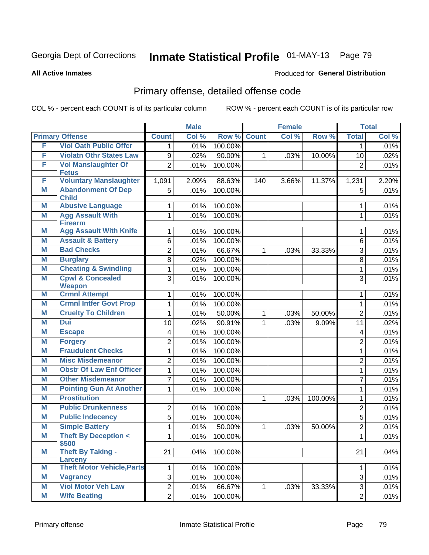#### **All Active Inmates**

#### Produced for **General Distribution**

## Primary offense, detailed offense code

|   |                                              |                | <b>Male</b> |         |              | <b>Female</b> |         |                | <b>Total</b> |
|---|----------------------------------------------|----------------|-------------|---------|--------------|---------------|---------|----------------|--------------|
|   | <b>Primary Offense</b>                       | <b>Count</b>   | Col %       | Row %   | <b>Count</b> | Col %         | Row %   | <b>Total</b>   | Col %        |
| F | <b>Viol Oath Public Offcr</b>                | 1              | .01%        | 100.00% |              |               |         | 1              | .01%         |
| F | <b>Violatn Othr States Law</b>               | 9              | .02%        | 90.00%  | $\mathbf{1}$ | .03%          | 10.00%  | 10             | .02%         |
| F | <b>Vol Manslaughter Of</b>                   | $\overline{2}$ | .01%        | 100.00% |              |               |         | $\overline{2}$ | .01%         |
|   | <b>Fetus</b>                                 |                |             |         |              |               |         |                |              |
| F | <b>Voluntary Manslaughter</b>                | 1,091          | 2.09%       | 88.63%  | 140          | 3.66%         | 11.37%  | 1,231          | 2.20%        |
| Μ | <b>Abandonment Of Dep</b><br><b>Child</b>    | 5              | .01%        | 100.00% |              |               |         | 5              | .01%         |
| Μ | <b>Abusive Language</b>                      | 1              | .01%        | 100.00% |              |               |         | 1              | .01%         |
| M | <b>Agg Assault With</b><br><b>Firearm</b>    | 1              | .01%        | 100.00% |              |               |         | 1              | .01%         |
| Μ | <b>Agg Assault With Knife</b>                | 1              | .01%        | 100.00% |              |               |         | 1              | .01%         |
| M | <b>Assault &amp; Battery</b>                 | 6              | .01%        | 100.00% |              |               |         | 6              | .01%         |
| Μ | <b>Bad Checks</b>                            | $\overline{2}$ | .01%        | 66.67%  | $\mathbf{1}$ | .03%          | 33.33%  | 3              | .01%         |
| M | <b>Burglary</b>                              | 8              | .02%        | 100.00% |              |               |         | 8              | .01%         |
| M | <b>Cheating &amp; Swindling</b>              | 1              | .01%        | 100.00% |              |               |         | 1              | .01%         |
| M | <b>Cpwl &amp; Concealed</b>                  | 3              | .01%        | 100.00% |              |               |         | 3              | .01%         |
|   | <b>Weapon</b><br><b>Crmnl Attempt</b>        |                |             |         |              |               |         |                |              |
| M |                                              | 1              | .01%        | 100.00% |              |               |         | 1              | .01%         |
| M | <b>Crmnl Intfer Govt Prop</b>                | 1              | .01%        | 100.00% |              |               |         | $\mathbf{1}$   | .01%         |
| Μ | <b>Cruelty To Children</b><br><b>Dui</b>     | 1              | .01%        | 50.00%  | $\mathbf{1}$ | .03%          | 50.00%  | $\overline{2}$ | .01%         |
| M |                                              | 10             | .02%        | 90.91%  | $\mathbf{1}$ | .03%          | 9.09%   | 11             | .02%         |
| Μ | <b>Escape</b>                                | 4              | .01%        | 100.00% |              |               |         | $\overline{4}$ | .01%         |
| M | <b>Forgery</b>                               | $\overline{c}$ | .01%        | 100.00% |              |               |         | $\overline{2}$ | .01%         |
| Μ | <b>Fraudulent Checks</b>                     | $\mathbf{1}$   | .01%        | 100.00% |              |               |         | 1              | .01%         |
| M | <b>Misc Misdemeanor</b>                      | $\overline{2}$ | .01%        | 100.00% |              |               |         | $\overline{2}$ | .01%         |
| Μ | <b>Obstr Of Law Enf Officer</b>              | 1              | .01%        | 100.00% |              |               |         | 1              | .01%         |
| M | <b>Other Misdemeanor</b>                     | 7              | .01%        | 100.00% |              |               |         | $\overline{7}$ | .01%         |
| Μ | <b>Pointing Gun At Another</b>               | 1              | .01%        | 100.00% |              |               |         | 1              | .01%         |
| M | <b>Prostitution</b>                          |                |             |         | $\mathbf{1}$ | .03%          | 100.00% | 1              | .01%         |
| M | <b>Public Drunkenness</b>                    | 2              | .01%        | 100.00% |              |               |         | $\overline{2}$ | .01%         |
| M | <b>Public Indecency</b>                      | 5              | .01%        | 100.00% |              |               |         | 5              | .01%         |
| Μ | <b>Simple Battery</b>                        | 1              | .01%        | 50.00%  | $\mathbf{1}$ | .03%          | 50.00%  | $\overline{c}$ | .01%         |
| M | <b>Theft By Deception &lt;</b>               | $1\vert$       | .01%        | 100.00% |              |               |         | $\mathbf{1}$   | .01%         |
| M | \$500<br><b>Theft By Taking -</b>            | 21             | .04%        | 100.00% |              |               |         | 21             | .04%         |
| M | Larceny<br><b>Theft Motor Vehicle, Parts</b> | 1              | .01%        | 100.00% |              |               |         | $\mathbf{1}$   | .01%         |
| M | <b>Vagrancy</b>                              | 3              | .01%        | 100.00% |              |               |         | 3              | .01%         |
| M | <b>Viol Motor Veh Law</b>                    | $\overline{2}$ | .01%        | 66.67%  | $\mathbf{1}$ | .03%          | 33.33%  | 3              | .01%         |
| M | <b>Wife Beating</b>                          | $\overline{2}$ | .01%        | 100.00% |              |               |         | $\overline{2}$ | .01%         |
|   |                                              |                |             |         |              |               |         |                |              |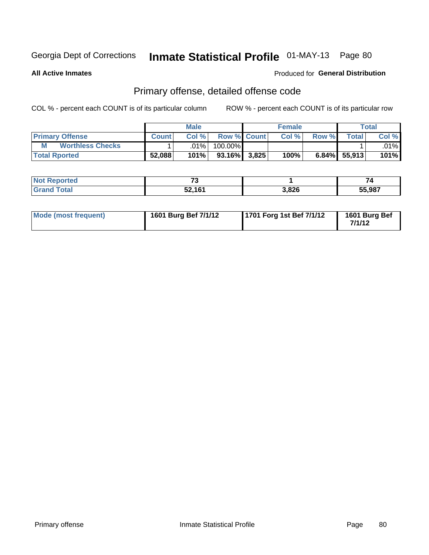**All Active Inmates**

#### Produced for **General Distribution**

### Primary offense, detailed offense code

|                              |              | <b>Male</b> |                    |       | <b>Female</b> |       |                 | Total   |  |
|------------------------------|--------------|-------------|--------------------|-------|---------------|-------|-----------------|---------|--|
| <b>Primary Offense</b>       | <b>Count</b> | Col%        | <b>Row % Count</b> |       | Col%          | Row % | $\tau$ otal     | Col %   |  |
| <b>Worthless Checks</b><br>M |              | .01%        | 100.00%            |       |               |       |                 | $.01\%$ |  |
| <b>Total Rported</b>         | 52,088       | 101%        | $93.16\%$          | 3,825 | 100%          |       | $6.84\%$ 55,913 | $101\%$ |  |

| ported<br>' NOT | $\rightarrow$           |       | 74     |
|-----------------|-------------------------|-------|--------|
| `otal           | 524C1<br><b>JZ, IVI</b> | 3,826 | 55,987 |

| Mode (most frequent) | 1601 Burg Bef 7/1/12 | 1701 Forg 1st Bef 7/1/12 | 1601 Burg Bef<br>7/1/12 |
|----------------------|----------------------|--------------------------|-------------------------|
|----------------------|----------------------|--------------------------|-------------------------|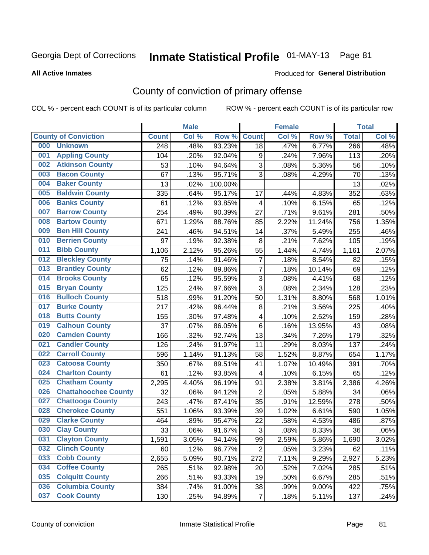#### **All Active Inmates**

#### Produced for **General Distribution**

## County of conviction of primary offense

|     |                             |              | <b>Male</b> |         |                | <b>Female</b> |        |              | <b>Total</b> |
|-----|-----------------------------|--------------|-------------|---------|----------------|---------------|--------|--------------|--------------|
|     | <b>County of Conviction</b> | <b>Count</b> | Col %       | Row %   | <b>Count</b>   | Col %         | Row %  | <b>Total</b> | Col %        |
| 000 | <b>Unknown</b>              | 248          | .48%        | 93.23%  | 18             | .47%          | 6.77%  | 266          | .48%         |
| 001 | <b>Appling County</b>       | 104          | .20%        | 92.04%  | 9              | .24%          | 7.96%  | 113          | .20%         |
| 002 | <b>Atkinson County</b>      | 53           | .10%        | 94.64%  | 3              | .08%          | 5.36%  | 56           | .10%         |
| 003 | <b>Bacon County</b>         | 67           | .13%        | 95.71%  | 3              | .08%          | 4.29%  | 70           | .13%         |
| 004 | <b>Baker County</b>         | 13           | .02%        | 100.00% |                |               |        | 13           | .02%         |
| 005 | <b>Baldwin County</b>       | 335          | .64%        | 95.17%  | 17             | .44%          | 4.83%  | 352          | .63%         |
| 006 | <b>Banks County</b>         | 61           | .12%        | 93.85%  | $\overline{4}$ | .10%          | 6.15%  | 65           | .12%         |
| 007 | <b>Barrow County</b>        | 254          | .49%        | 90.39%  | 27             | .71%          | 9.61%  | 281          | .50%         |
| 008 | <b>Bartow County</b>        | 671          | 1.29%       | 88.76%  | 85             | 2.22%         | 11.24% | 756          | 1.35%        |
| 009 | <b>Ben Hill County</b>      | 241          | .46%        | 94.51%  | 14             | .37%          | 5.49%  | 255          | .46%         |
| 010 | <b>Berrien County</b>       | 97           | .19%        | 92.38%  | 8              | .21%          | 7.62%  | 105          | .19%         |
| 011 | <b>Bibb County</b>          | 1,106        | 2.12%       | 95.26%  | 55             | 1.44%         | 4.74%  | 1,161        | 2.07%        |
| 012 | <b>Bleckley County</b>      | 75           | .14%        | 91.46%  | $\overline{7}$ | .18%          | 8.54%  | 82           | .15%         |
| 013 | <b>Brantley County</b>      | 62           | .12%        | 89.86%  | $\overline{7}$ | .18%          | 10.14% | 69           | .12%         |
| 014 | <b>Brooks County</b>        | 65           | .12%        | 95.59%  | 3              | .08%          | 4.41%  | 68           | .12%         |
| 015 | <b>Bryan County</b>         | 125          | .24%        | 97.66%  | 3              | .08%          | 2.34%  | 128          | .23%         |
| 016 | <b>Bulloch County</b>       | 518          | .99%        | 91.20%  | 50             | 1.31%         | 8.80%  | 568          | 1.01%        |
| 017 | <b>Burke County</b>         | 217          | .42%        | 96.44%  | 8              | .21%          | 3.56%  | 225          | .40%         |
| 018 | <b>Butts County</b>         | 155          | .30%        | 97.48%  | 4              | .10%          | 2.52%  | 159          | .28%         |
| 019 | <b>Calhoun County</b>       | 37           | .07%        | 86.05%  | 6              | .16%          | 13.95% | 43           | .08%         |
| 020 | <b>Camden County</b>        | 166          | .32%        | 92.74%  | 13             | .34%          | 7.26%  | 179          | .32%         |
| 021 | <b>Candler County</b>       | 126          | .24%        | 91.97%  | 11             | .29%          | 8.03%  | 137          | .24%         |
| 022 | <b>Carroll County</b>       | 596          | 1.14%       | 91.13%  | 58             | 1.52%         | 8.87%  | 654          | 1.17%        |
| 023 | <b>Catoosa County</b>       | 350          | .67%        | 89.51%  | 41             | 1.07%         | 10.49% | 391          | .70%         |
| 024 | <b>Charlton County</b>      | 61           | .12%        | 93.85%  | 4              | .10%          | 6.15%  | 65           | .12%         |
| 025 | <b>Chatham County</b>       | 2,295        | 4.40%       | 96.19%  | 91             | 2.38%         | 3.81%  | 2,386        | 4.26%        |
| 026 | <b>Chattahoochee County</b> | 32           | .06%        | 94.12%  | $\overline{2}$ | .05%          | 5.88%  | 34           | .06%         |
| 027 | <b>Chattooga County</b>     | 243          | .47%        | 87.41%  | 35             | .91%          | 12.59% | 278          | .50%         |
| 028 | <b>Cherokee County</b>      | 551          | 1.06%       | 93.39%  | 39             | 1.02%         | 6.61%  | 590          | 1.05%        |
| 029 | <b>Clarke County</b>        | 464          | .89%        | 95.47%  | 22             | .58%          | 4.53%  | 486          | .87%         |
| 030 | <b>Clay County</b>          | 33           | .06%        | 91.67%  | 3              | .08%          | 8.33%  | 36           | .06%         |
| 031 | <b>Clayton County</b>       | 1,591        | 3.05%       | 94.14%  | 99             | 2.59%         | 5.86%  | 1,690        | 3.02%        |
| 032 | <b>Clinch County</b>        | 60           | .12%        | 96.77%  | $\overline{2}$ | .05%          | 3.23%  | 62           | .11%         |
| 033 | <b>Cobb County</b>          | 2,655        | 5.09%       | 90.71%  | 272            | 7.11%         | 9.29%  | 2,927        | 5.23%        |
| 034 | <b>Coffee County</b>        | 265          | .51%        | 92.98%  | 20             | .52%          | 7.02%  | 285          | .51%         |
| 035 | <b>Colquitt County</b>      | 266          | .51%        | 93.33%  | 19             | .50%          | 6.67%  | 285          | .51%         |
| 036 | <b>Columbia County</b>      | 384          | .74%        | 91.00%  | 38             | .99%          | 9.00%  | 422          | .75%         |
| 037 | <b>Cook County</b>          | 130          | .25%        | 94.89%  | $\overline{7}$ | .18%          | 5.11%  | 137          | .24%         |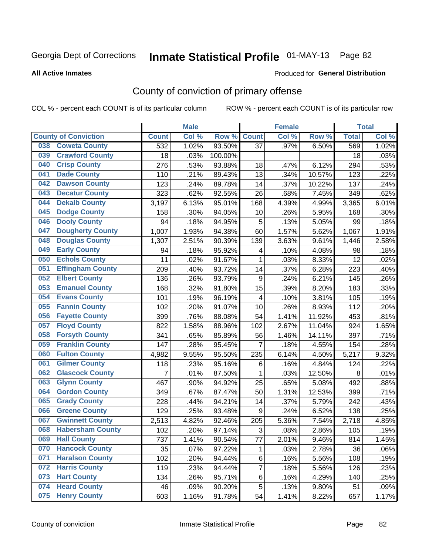#### **All Active Inmates**

#### Produced for **General Distribution**

## County of conviction of primary offense

|                                |              | <b>Male</b> |         |                | <b>Female</b> |        |              | <b>Total</b> |
|--------------------------------|--------------|-------------|---------|----------------|---------------|--------|--------------|--------------|
| <b>County of Conviction</b>    | <b>Count</b> | Col %       | Row %   | <b>Count</b>   | Col %         | Row %  | <b>Total</b> | Col %        |
| <b>Coweta County</b><br>038    | 532          | 1.02%       | 93.50%  | 37             | .97%          | 6.50%  | 569          | 1.02%        |
| <b>Crawford County</b><br>039  | 18           | .03%        | 100.00% |                |               |        | 18           | .03%         |
| <b>Crisp County</b><br>040     | 276          | .53%        | 93.88%  | 18             | .47%          | 6.12%  | 294          | .53%         |
| <b>Dade County</b><br>041      | 110          | .21%        | 89.43%  | 13             | .34%          | 10.57% | 123          | .22%         |
| <b>Dawson County</b><br>042    | 123          | .24%        | 89.78%  | 14             | .37%          | 10.22% | 137          | .24%         |
| <b>Decatur County</b><br>043   | 323          | .62%        | 92.55%  | 26             | .68%          | 7.45%  | 349          | .62%         |
| <b>Dekalb County</b><br>044    | 3,197        | 6.13%       | 95.01%  | 168            | 4.39%         | 4.99%  | 3,365        | 6.01%        |
| <b>Dodge County</b><br>045     | 158          | .30%        | 94.05%  | 10             | .26%          | 5.95%  | 168          | .30%         |
| <b>Dooly County</b><br>046     | 94           | .18%        | 94.95%  | 5              | .13%          | 5.05%  | 99           | .18%         |
| 047<br><b>Dougherty County</b> | 1,007        | 1.93%       | 94.38%  | 60             | 1.57%         | 5.62%  | 1,067        | 1.91%        |
| <b>Douglas County</b><br>048   | 1,307        | 2.51%       | 90.39%  | 139            | 3.63%         | 9.61%  | 1,446        | 2.58%        |
| <b>Early County</b><br>049     | 94           | .18%        | 95.92%  | 4              | .10%          | 4.08%  | 98           | .18%         |
| <b>Echols County</b><br>050    | 11           | .02%        | 91.67%  | $\mathbf{1}$   | .03%          | 8.33%  | 12           | .02%         |
| 051<br><b>Effingham County</b> | 209          | .40%        | 93.72%  | 14             | .37%          | 6.28%  | 223          | .40%         |
| <b>Elbert County</b><br>052    | 136          | .26%        | 93.79%  | 9              | .24%          | 6.21%  | 145          | .26%         |
| <b>Emanuel County</b><br>053   | 168          | .32%        | 91.80%  | 15             | .39%          | 8.20%  | 183          | .33%         |
| <b>Evans County</b><br>054     | 101          | .19%        | 96.19%  | 4              | .10%          | 3.81%  | 105          | .19%         |
| <b>Fannin County</b><br>055    | 102          | .20%        | 91.07%  | 10             | .26%          | 8.93%  | 112          | .20%         |
| <b>Fayette County</b><br>056   | 399          | .76%        | 88.08%  | 54             | 1.41%         | 11.92% | 453          | .81%         |
| <b>Floyd County</b><br>057     | 822          | 1.58%       | 88.96%  | 102            | 2.67%         | 11.04% | 924          | 1.65%        |
| <b>Forsyth County</b><br>058   | 341          | .65%        | 85.89%  | 56             | 1.46%         | 14.11% | 397          | .71%         |
| <b>Franklin County</b><br>059  | 147          | .28%        | 95.45%  | $\overline{7}$ | .18%          | 4.55%  | 154          | .28%         |
| <b>Fulton County</b><br>060    | 4,982        | 9.55%       | 95.50%  | 235            | 6.14%         | 4.50%  | 5,217        | 9.32%        |
| <b>Gilmer County</b><br>061    | 118          | .23%        | 95.16%  | 6              | .16%          | 4.84%  | 124          | .22%         |
| <b>Glascock County</b><br>062  | 7            | .01%        | 87.50%  | 1              | .03%          | 12.50% | 8            | .01%         |
| 063<br><b>Glynn County</b>     | 467          | .90%        | 94.92%  | 25             | .65%          | 5.08%  | 492          | .88%         |
| <b>Gordon County</b><br>064    | 349          | .67%        | 87.47%  | 50             | 1.31%         | 12.53% | 399          | .71%         |
| 065<br><b>Grady County</b>     | 228          | .44%        | 94.21%  | 14             | .37%          | 5.79%  | 242          | .43%         |
| <b>Greene County</b><br>066    | 129          | .25%        | 93.48%  | 9              | .24%          | 6.52%  | 138          | .25%         |
| <b>Gwinnett County</b><br>067  | 2,513        | 4.82%       | 92.46%  | 205            | 5.36%         | 7.54%  | 2,718        | 4.85%        |
| <b>Habersham County</b><br>068 | 102          | .20%        | 97.14%  | 3              | .08%          | 2.86%  | 105          | .19%         |
| 069<br><b>Hall County</b>      | 737          | 1.41%       | 90.54%  | 77             | 2.01%         | 9.46%  | 814          | 1.45%        |
| <b>Hancock County</b><br>070   | 35           | .07%        | 97.22%  | 1              | .03%          | 2.78%  | 36           | .06%         |
| <b>Haralson County</b><br>071  | 102          | .20%        | 94.44%  | 6              | .16%          | 5.56%  | 108          | .19%         |
| <b>Harris County</b><br>072    | 119          | .23%        | 94.44%  | $\overline{7}$ | .18%          | 5.56%  | 126          | .23%         |
| <b>Hart County</b><br>073      | 134          | .26%        | 95.71%  | 6              | .16%          | 4.29%  | 140          | .25%         |
| <b>Heard County</b><br>074     | 46           | .09%        | 90.20%  | 5              | .13%          | 9.80%  | 51           | .09%         |
| <b>Henry County</b><br>075     | 603          | 1.16%       | 91.78%  | 54             | 1.41%         | 8.22%  | 657          | 1.17%        |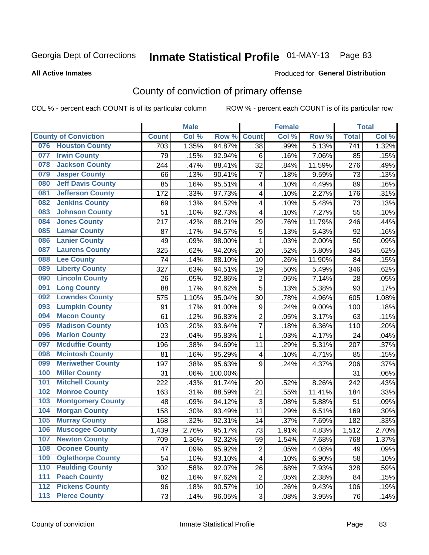#### **All Active Inmates**

#### Produced for **General Distribution**

## County of conviction of primary offense

|       |                             |              | <b>Male</b> |         |                           | <b>Female</b> |        |                  | <b>Total</b> |
|-------|-----------------------------|--------------|-------------|---------|---------------------------|---------------|--------|------------------|--------------|
|       | <b>County of Conviction</b> | <b>Count</b> | Col %       | Row %   | <b>Count</b>              | Col %         | Row %  | <b>Total</b>     | Col %        |
| 076   | <b>Houston County</b>       | 703          | 1.35%       | 94.87%  | 38                        | .99%          | 5.13%  | $\overline{741}$ | 1.32%        |
| 077   | <b>Irwin County</b>         | 79           | .15%        | 92.94%  | 6                         | .16%          | 7.06%  | 85               | .15%         |
| 078   | <b>Jackson County</b>       | 244          | .47%        | 88.41%  | 32                        | .84%          | 11.59% | 276              | .49%         |
| 079   | <b>Jasper County</b>        | 66           | .13%        | 90.41%  | $\overline{7}$            | .18%          | 9.59%  | 73               | .13%         |
| 080   | <b>Jeff Davis County</b>    | 85           | .16%        | 95.51%  | 4                         | .10%          | 4.49%  | 89               | .16%         |
| 081   | <b>Jefferson County</b>     | 172          | .33%        | 97.73%  | 4                         | .10%          | 2.27%  | 176              | .31%         |
| 082   | <b>Jenkins County</b>       | 69           | .13%        | 94.52%  | 4                         | .10%          | 5.48%  | 73               | .13%         |
| 083   | <b>Johnson County</b>       | 51           | .10%        | 92.73%  | 4                         | .10%          | 7.27%  | 55               | .10%         |
| 084   | <b>Jones County</b>         | 217          | .42%        | 88.21%  | 29                        | .76%          | 11.79% | 246              | .44%         |
| 085   | <b>Lamar County</b>         | 87           | .17%        | 94.57%  | 5                         | .13%          | 5.43%  | 92               | .16%         |
| 086   | <b>Lanier County</b>        | 49           | .09%        | 98.00%  | 1                         | .03%          | 2.00%  | 50               | .09%         |
| 087   | <b>Laurens County</b>       | 325          | .62%        | 94.20%  | 20                        | .52%          | 5.80%  | 345              | .62%         |
| 088   | <b>Lee County</b>           | 74           | .14%        | 88.10%  | 10                        | .26%          | 11.90% | 84               | .15%         |
| 089   | <b>Liberty County</b>       | 327          | .63%        | 94.51%  | 19                        | .50%          | 5.49%  | 346              | .62%         |
| 090   | <b>Lincoln County</b>       | 26           | .05%        | 92.86%  | $\mathbf 2$               | .05%          | 7.14%  | 28               | .05%         |
| 091   | <b>Long County</b>          | 88           | .17%        | 94.62%  | 5                         | .13%          | 5.38%  | 93               | .17%         |
| 092   | <b>Lowndes County</b>       | 575          | 1.10%       | 95.04%  | 30                        | .78%          | 4.96%  | 605              | 1.08%        |
| 093   | <b>Lumpkin County</b>       | 91           | .17%        | 91.00%  | 9                         | .24%          | 9.00%  | 100              | .18%         |
| 094   | <b>Macon County</b>         | 61           | .12%        | 96.83%  | $\overline{2}$            | .05%          | 3.17%  | 63               | .11%         |
| 095   | <b>Madison County</b>       | 103          | .20%        | 93.64%  | $\overline{7}$            | .18%          | 6.36%  | 110              | .20%         |
| 096   | <b>Marion County</b>        | 23           | .04%        | 95.83%  | $\mathbf{1}$              | .03%          | 4.17%  | 24               | .04%         |
| 097   | <b>Mcduffie County</b>      | 196          | .38%        | 94.69%  | 11                        | .29%          | 5.31%  | 207              | .37%         |
| 098   | <b>Mcintosh County</b>      | 81           | .16%        | 95.29%  | $\overline{\mathbf{4}}$   | .10%          | 4.71%  | 85               | .15%         |
| 099   | <b>Meriwether County</b>    | 197          | .38%        | 95.63%  | 9                         | .24%          | 4.37%  | 206              | .37%         |
| 100   | <b>Miller County</b>        | 31           | .06%        | 100.00% |                           |               |        | 31               | .06%         |
| 101   | <b>Mitchell County</b>      | 222          | .43%        | 91.74%  | 20                        | .52%          | 8.26%  | 242              | .43%         |
| 102   | <b>Monroe County</b>        | 163          | .31%        | 88.59%  | 21                        | .55%          | 11.41% | 184              | .33%         |
| 103   | <b>Montgomery County</b>    | 48           | .09%        | 94.12%  | $\ensuremath{\mathsf{3}}$ | .08%          | 5.88%  | 51               | .09%         |
| 104   | <b>Morgan County</b>        | 158          | .30%        | 93.49%  | 11                        | .29%          | 6.51%  | 169              | .30%         |
| 105   | <b>Murray County</b>        | 168          | .32%        | 92.31%  | 14                        | .37%          | 7.69%  | 182              | .33%         |
| 106   | <b>Muscogee County</b>      | 1,439        | 2.76%       | 95.17%  | 73                        | 1.91%         | 4.83%  | 1,512            | 2.70%        |
| 107   | <b>Newton County</b>        | 709          | 1.36%       | 92.32%  | 59                        | 1.54%         | 7.68%  | 768              | 1.37%        |
| 108   | <b>Oconee County</b>        | 47           | .09%        | 95.92%  | $\overline{2}$            | .05%          | 4.08%  | 49               | .09%         |
| 109   | <b>Oglethorpe County</b>    | 54           | .10%        | 93.10%  | 4                         | .10%          | 6.90%  | 58               | .10%         |
| 110   | <b>Paulding County</b>      | 302          | .58%        | 92.07%  | 26                        | .68%          | 7.93%  | 328              | .59%         |
| 111   | <b>Peach County</b>         | 82           | .16%        | 97.62%  | $\overline{2}$            | .05%          | 2.38%  | 84               | .15%         |
| 112   | <b>Pickens County</b>       | 96           | .18%        | 90.57%  | 10                        | .26%          | 9.43%  | 106              | .19%         |
| $113$ | <b>Pierce County</b>        | 73           | .14%        | 96.05%  | 3                         | .08%          | 3.95%  | 76               | .14%         |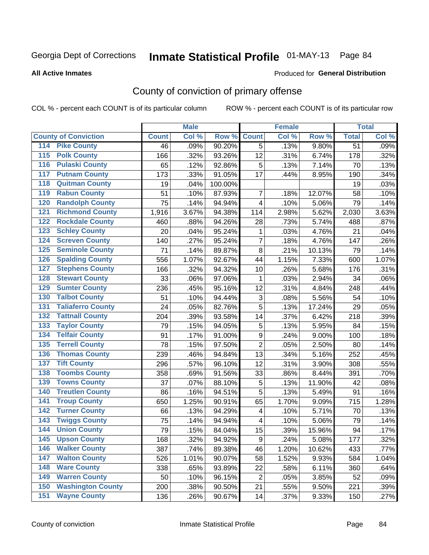#### **All Active Inmates**

#### Produced for **General Distribution**

## County of conviction of primary offense

|                                          |              | <b>Male</b> |         |                         | <b>Female</b> |        |                 | <b>Total</b> |
|------------------------------------------|--------------|-------------|---------|-------------------------|---------------|--------|-----------------|--------------|
| <b>County of Conviction</b>              | <b>Count</b> | Col %       | Row %   | <b>Count</b>            | Col %         | Row %  | <b>Total</b>    | Col %        |
| <b>Pike County</b><br>114                | 46           | .09%        | 90.20%  | $\overline{5}$          | .13%          | 9.80%  | $\overline{51}$ | .09%         |
| <b>Polk County</b><br>$\overline{115}$   | 166          | .32%        | 93.26%  | 12                      | .31%          | 6.74%  | 178             | .32%         |
| <b>Pulaski County</b><br>116             | 65           | .12%        | 92.86%  | 5                       | .13%          | 7.14%  | 70              | .13%         |
| <b>Putnam County</b><br>117              | 173          | .33%        | 91.05%  | 17                      | .44%          | 8.95%  | 190             | .34%         |
| <b>Quitman County</b><br>118             | 19           | .04%        | 100.00% |                         |               |        | 19              | .03%         |
| <b>Rabun County</b><br>119               | 51           | .10%        | 87.93%  | $\overline{7}$          | .18%          | 12.07% | 58              | .10%         |
| <b>Randolph County</b><br>120            | 75           | .14%        | 94.94%  | 4                       | .10%          | 5.06%  | 79              | .14%         |
| <b>Richmond County</b><br>121            | 1,916        | 3.67%       | 94.38%  | 114                     | 2.98%         | 5.62%  | 2,030           | 3.63%        |
| <b>Rockdale County</b><br>122            | 460          | .88%        | 94.26%  | 28                      | .73%          | 5.74%  | 488             | .87%         |
| <b>Schley County</b><br>123              | 20           | .04%        | 95.24%  | 1                       | .03%          | 4.76%  | 21              | .04%         |
| <b>Screven County</b><br>124             | 140          | .27%        | 95.24%  | $\overline{7}$          | .18%          | 4.76%  | 147             | .26%         |
| <b>Seminole County</b><br>125            | 71           | .14%        | 89.87%  | 8                       | .21%          | 10.13% | 79              | .14%         |
| <b>Spalding County</b><br>126            | 556          | 1.07%       | 92.67%  | 44                      | 1.15%         | 7.33%  | 600             | 1.07%        |
| <b>Stephens County</b><br>127            | 166          | .32%        | 94.32%  | 10                      | .26%          | 5.68%  | 176             | .31%         |
| <b>Stewart County</b><br>128             | 33           | .06%        | 97.06%  | 1                       | .03%          | 2.94%  | 34              | .06%         |
| <b>Sumter County</b><br>129              | 236          | .45%        | 95.16%  | 12                      | .31%          | 4.84%  | 248             | .44%         |
| <b>Talbot County</b><br>130              | 51           | .10%        | 94.44%  | 3                       | .08%          | 5.56%  | 54              | .10%         |
| <b>Taliaferro County</b><br>131          | 24           | .05%        | 82.76%  | 5                       | .13%          | 17.24% | 29              | .05%         |
| <b>Tattnall County</b><br>132            | 204          | .39%        | 93.58%  | 14                      | .37%          | 6.42%  | 218             | .39%         |
| <b>Taylor County</b><br>133              | 79           | .15%        | 94.05%  | 5                       | .13%          | 5.95%  | 84              | .15%         |
| <b>Telfair County</b><br>134             | 91           | .17%        | 91.00%  | 9                       | .24%          | 9.00%  | 100             | .18%         |
| <b>Terrell County</b><br>135             | 78           | .15%        | 97.50%  | $\overline{2}$          | .05%          | 2.50%  | 80              | .14%         |
| <b>Thomas County</b><br>136              | 239          | .46%        | 94.84%  | 13                      | .34%          | 5.16%  | 252             | .45%         |
| <b>Tift County</b><br>137                | 296          | .57%        | 96.10%  | 12                      | .31%          | 3.90%  | 308             | .55%         |
| <b>Toombs County</b><br>138              | 358          | .69%        | 91.56%  | 33                      | .86%          | 8.44%  | 391             | .70%         |
| <b>Towns County</b><br>139               | 37           | .07%        | 88.10%  | 5                       | .13%          | 11.90% | 42              | .08%         |
| <b>Treutlen County</b><br>140            | 86           | .16%        | 94.51%  | 5                       | .13%          | 5.49%  | 91              | .16%         |
| <b>Troup County</b><br>141               | 650          | 1.25%       | 90.91%  | 65                      | 1.70%         | 9.09%  | 715             | 1.28%        |
| <b>Turner County</b><br>142              | 66           | .13%        | 94.29%  | $\overline{\mathbf{4}}$ | .10%          | 5.71%  | 70              | .13%         |
| <b>Twiggs County</b><br>$\overline{143}$ | 75           | .14%        | 94.94%  | $\overline{\mathbf{4}}$ | .10%          | 5.06%  | 79              | .14%         |
| <b>Union County</b><br>144               | 79           | .15%        | 84.04%  | 15                      | .39%          | 15.96% | 94              | .17%         |
| 145<br><b>Upson County</b>               | 168          | .32%        | 94.92%  | 9                       | .24%          | 5.08%  | 177             | .32%         |
| <b>Walker County</b><br>146              | 387          | .74%        | 89.38%  | 46                      | 1.20%         | 10.62% | 433             | .77%         |
| <b>Walton County</b><br>147              | 526          | 1.01%       | 90.07%  | 58                      | 1.52%         | 9.93%  | 584             | 1.04%        |
| <b>Ware County</b><br>148                | 338          | .65%        | 93.89%  | 22                      | .58%          | 6.11%  | 360             | .64%         |
| <b>Warren County</b><br>149              | 50           | .10%        | 96.15%  | $\overline{2}$          | .05%          | 3.85%  | 52              | .09%         |
| <b>Washington County</b><br>150          | 200          | .38%        | 90.50%  | 21                      | .55%          | 9.50%  | 221             | .39%         |
| <b>Wayne County</b><br>151               | 136          | .26%        | 90.67%  | 14                      | .37%          | 9.33%  | 150             | .27%         |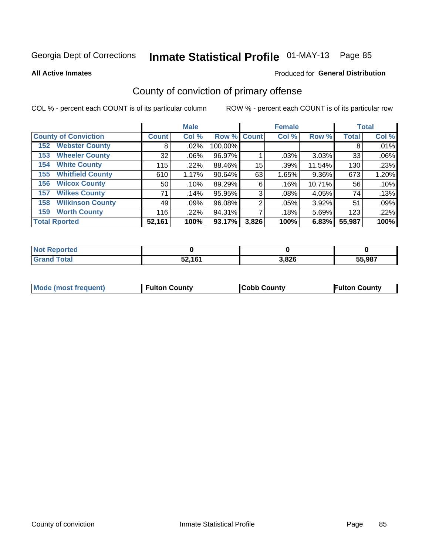**All Active Inmates**

#### Produced for **General Distribution**

## County of conviction of primary offense

|                                |                    | <b>Male</b> |             |       | <b>Female</b> |        |              | <b>Total</b> |
|--------------------------------|--------------------|-------------|-------------|-------|---------------|--------|--------------|--------------|
| <b>County of Conviction</b>    | Count <sup>1</sup> | Col %       | Row % Count |       | Col %         | Row %  | <b>Total</b> | Col %        |
| <b>Webster County</b><br>152   | 8                  | $.02\%$     | 100.00%     |       |               |        | 8            | .01%         |
| <b>Wheeler County</b><br>153   | 32                 | $.06\%$     | 96.97%      |       | .03%          | 3.03%  | 33           | .06%         |
| <b>White County</b><br>154     | 115                | .22%        | 88.46%      | 15    | .39%          | 11.54% | 130          | .23%         |
| <b>Whitfield County</b><br>155 | 610                | 1.17%       | 90.64%      | 63    | 1.65%         | 9.36%  | 673          | 1.20%        |
| <b>Wilcox County</b><br>156    | 50                 | .10%        | 89.29%      | 6     | .16%          | 10.71% | 56           | .10%         |
| <b>Wilkes County</b><br>157    | 71                 | .14%        | 95.95%      | 3     | .08%          | 4.05%  | 74           | .13%         |
| <b>Wilkinson County</b><br>158 | 49                 | .09%        | 96.08%      | 2     | $.05\%$       | 3.92%  | 51           | .09%         |
| <b>Worth County</b><br>159     | 116                | .22%        | 94.31%      |       | .18%          | 5.69%  | 123          | .22%         |
| <b>Total Rported</b>           | 52,161             | 100%        | $93.17\%$   | 3,826 | 100%          | 6.83%  | 55,987       | 100%         |

| <b>Not Reported</b> |        |       |        |
|---------------------|--------|-------|--------|
| <b>Grand Total</b>  | 52,161 | 3,826 | 55,987 |

| <b>Mode (most frequent)</b> | <b>Fulton County</b> | <b>ICobb County</b> | <b>Fulton County</b> |
|-----------------------------|----------------------|---------------------|----------------------|
|                             |                      |                     |                      |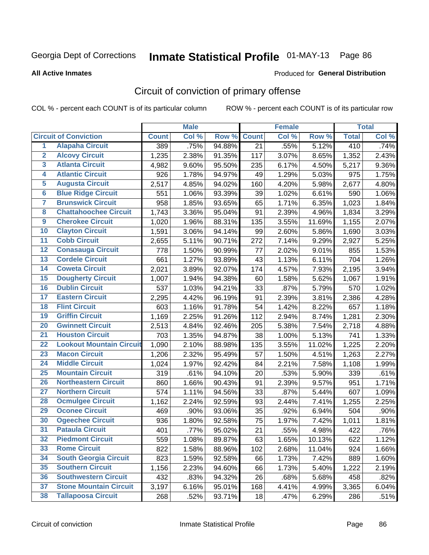#### **All Active Inmates**

#### Produced for **General Distribution**

## Circuit of conviction of primary offense

|                         |                                 |              | <b>Male</b> |        |              | <b>Female</b> |        |              | <b>Total</b> |
|-------------------------|---------------------------------|--------------|-------------|--------|--------------|---------------|--------|--------------|--------------|
|                         | <b>Circuit of Conviction</b>    | <b>Count</b> | Col %       | Row %  | <b>Count</b> | Col %         | Row %  | <b>Total</b> | Col %        |
| $\overline{1}$          | <b>Alapaha Circuit</b>          | 389          | .75%        | 94.88% | 21           | .55%          | 5.12%  | 410          | .74%         |
| $\overline{2}$          | <b>Alcovy Circuit</b>           | 1,235        | 2.38%       | 91.35% | 117          | 3.07%         | 8.65%  | 1,352        | 2.43%        |
| 3                       | <b>Atlanta Circuit</b>          | 4,982        | 9.60%       | 95.50% | 235          | 6.17%         | 4.50%  | 5,217        | 9.36%        |
| 4                       | <b>Atlantic Circuit</b>         | 926          | 1.78%       | 94.97% | 49           | 1.29%         | 5.03%  | 975          | 1.75%        |
| 5                       | <b>Augusta Circuit</b>          | 2,517        | 4.85%       | 94.02% | 160          | 4.20%         | 5.98%  | 2,677        | 4.80%        |
| 6                       | <b>Blue Ridge Circuit</b>       | 551          | 1.06%       | 93.39% | 39           | 1.02%         | 6.61%  | 590          | 1.06%        |
| $\overline{\mathbf{7}}$ | <b>Brunswick Circuit</b>        | 958          | 1.85%       | 93.65% | 65           | 1.71%         | 6.35%  | 1,023        | 1.84%        |
| 8                       | <b>Chattahoochee Circuit</b>    | 1,743        | 3.36%       | 95.04% | 91           | 2.39%         | 4.96%  | 1,834        | 3.29%        |
| $\overline{9}$          | <b>Cherokee Circuit</b>         | 1,020        | 1.96%       | 88.31% | 135          | 3.55%         | 11.69% | 1,155        | 2.07%        |
| 10                      | <b>Clayton Circuit</b>          | 1,591        | 3.06%       | 94.14% | 99           | 2.60%         | 5.86%  | 1,690        | 3.03%        |
| 11                      | <b>Cobb Circuit</b>             | 2,655        | 5.11%       | 90.71% | 272          | 7.14%         | 9.29%  | 2,927        | 5.25%        |
| 12                      | <b>Conasauga Circuit</b>        | 778          | 1.50%       | 90.99% | 77           | 2.02%         | 9.01%  | 855          | 1.53%        |
| 13                      | <b>Cordele Circuit</b>          | 661          | 1.27%       | 93.89% | 43           | 1.13%         | 6.11%  | 704          | 1.26%        |
| 14                      | <b>Coweta Circuit</b>           | 2,021        | 3.89%       | 92.07% | 174          | 4.57%         | 7.93%  | 2,195        | 3.94%        |
| 15                      | <b>Dougherty Circuit</b>        | 1,007        | 1.94%       | 94.38% | 60           | 1.58%         | 5.62%  | 1,067        | 1.91%        |
| 16                      | <b>Dublin Circuit</b>           | 537          | 1.03%       | 94.21% | 33           | .87%          | 5.79%  | 570          | 1.02%        |
| 17                      | <b>Eastern Circuit</b>          | 2,295        | 4.42%       | 96.19% | 91           | 2.39%         | 3.81%  | 2,386        | 4.28%        |
| 18                      | <b>Flint Circuit</b>            | 603          | 1.16%       | 91.78% | 54           | 1.42%         | 8.22%  | 657          | 1.18%        |
| 19                      | <b>Griffin Circuit</b>          | 1,169        | 2.25%       | 91.26% | 112          | 2.94%         | 8.74%  | 1,281        | 2.30%        |
| 20                      | <b>Gwinnett Circuit</b>         | 2,513        | 4.84%       | 92.46% | 205          | 5.38%         | 7.54%  | 2,718        | 4.88%        |
| $\overline{21}$         | <b>Houston Circuit</b>          | 703          | 1.35%       | 94.87% | 38           | 1.00%         | 5.13%  | 741          | 1.33%        |
| $\overline{22}$         | <b>Lookout Mountain Circuit</b> | 1,090        | 2.10%       | 88.98% | 135          | 3.55%         | 11.02% | 1,225        | 2.20%        |
| 23                      | <b>Macon Circuit</b>            | 1,206        | 2.32%       | 95.49% | 57           | 1.50%         | 4.51%  | 1,263        | 2.27%        |
| 24                      | <b>Middle Circuit</b>           | 1,024        | 1.97%       | 92.42% | 84           | 2.21%         | 7.58%  | 1,108        | 1.99%        |
| 25                      | <b>Mountain Circuit</b>         | 319          | .61%        | 94.10% | 20           | .53%          | 5.90%  | 339          | .61%         |
| 26                      | <b>Northeastern Circuit</b>     | 860          | 1.66%       | 90.43% | 91           | 2.39%         | 9.57%  | 951          | 1.71%        |
| $\overline{27}$         | <b>Northern Circuit</b>         | 574          | 1.11%       | 94.56% | 33           | .87%          | 5.44%  | 607          | 1.09%        |
| 28                      | <b>Ocmulgee Circuit</b>         | 1,162        | 2.24%       | 92.59% | 93           | 2.44%         | 7.41%  | 1,255        | 2.25%        |
| 29                      | <b>Oconee Circuit</b>           | 469          | .90%        | 93.06% | 35           | .92%          | 6.94%  | 504          | .90%         |
| 30                      | <b>Ogeechee Circuit</b>         | 936          | 1.80%       | 92.58% | 75           | 1.97%         | 7.42%  | 1,011        | 1.81%        |
| $\overline{31}$         | <b>Pataula Circuit</b>          | 401          | .77%        | 95.02% | 21           | .55%          | 4.98%  | 422          | .76%         |
| 32                      | <b>Piedmont Circuit</b>         | 559          | 1.08%       | 89.87% | 63           | 1.65%         | 10.13% | 622          | 1.12%        |
| 33                      | <b>Rome Circuit</b>             | 822          | 1.58%       | 88.96% | 102          | 2.68%         | 11.04% | 924          | 1.66%        |
| 34                      | <b>South Georgia Circuit</b>    | 823          | 1.59%       | 92.58% | 66           | 1.73%         | 7.42%  | 889          | 1.60%        |
| 35                      | <b>Southern Circuit</b>         | 1,156        | 2.23%       | 94.60% | 66           | 1.73%         | 5.40%  | 1,222        | 2.19%        |
| 36                      | <b>Southwestern Circuit</b>     | 432          | .83%        | 94.32% | 26           | .68%          | 5.68%  | 458          | .82%         |
| 37                      | <b>Stone Mountain Circuit</b>   | 3,197        | 6.16%       | 95.01% | 168          | 4.41%         | 4.99%  | 3,365        | 6.04%        |
| 38                      | <b>Tallapoosa Circuit</b>       | 268          | .52%        | 93.71% | 18           | .47%          | 6.29%  | 286          | .51%         |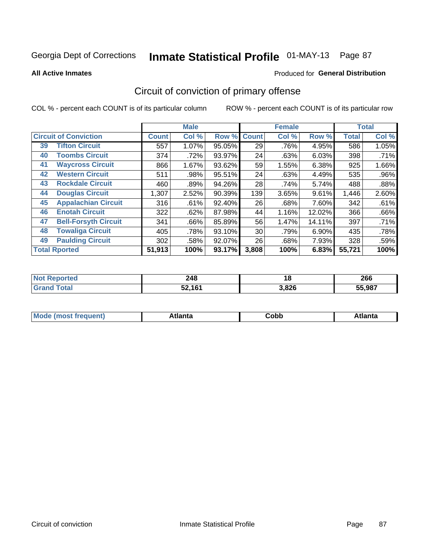#### **All Active Inmates**

#### Produced for **General Distribution**

## Circuit of conviction of primary offense

|    |                              |              | <b>Male</b> |        |              | <b>Female</b> |          |              | <b>Total</b> |
|----|------------------------------|--------------|-------------|--------|--------------|---------------|----------|--------------|--------------|
|    | <b>Circuit of Conviction</b> | <b>Count</b> | Col %       | Row %  | <b>Count</b> | Col %         | Row %    | <b>Total</b> | Col %        |
| 39 | <b>Tifton Circuit</b>        | 557          | 1.07%       | 95.05% | 29           | .76%          | 4.95%    | 586          | 1.05%        |
| 40 | <b>Toombs Circuit</b>        | 374          | .72%        | 93.97% | 24           | .63%          | 6.03%    | 398          | .71%         |
| 41 | <b>Waycross Circuit</b>      | 866          | 1.67%       | 93.62% | 59           | 1.55%         | 6.38%    | 925          | 1.66%        |
| 42 | <b>Western Circuit</b>       | 511          | .98%        | 95.51% | 24           | .63%          | 4.49%    | 535          | .96%         |
| 43 | <b>Rockdale Circuit</b>      | 460          | .89%        | 94.26% | 28           | .74%          | 5.74%    | 488          | .88%         |
| 44 | <b>Douglas Circuit</b>       | 1,307        | 2.52%       | 90.39% | 139          | 3.65%         | 9.61%    | 1,446        | 2.60%        |
| 45 | <b>Appalachian Circuit</b>   | 316          | .61%        | 92.40% | 26           | .68%          | 7.60%    | 342          | .61%         |
| 46 | <b>Enotah Circuit</b>        | 322          | .62%        | 87.98% | 44           | 1.16%         | 12.02%   | 366          | .66%         |
| 47 | <b>Bell-Forsyth Circuit</b>  | 341          | .66%        | 85.89% | 56           | 1.47%         | 14.11%   | 397          | .71%         |
| 48 | <b>Towaliga Circuit</b>      | 405          | .78%        | 93.10% | 30           | .79%          | $6.90\%$ | 435          | .78%         |
| 49 | <b>Paulding Circuit</b>      | 302          | .58%        | 92.07% | 26           | .68%          | 7.93%    | 328          | .59%         |
|    | <b>Total Rported</b>         | 51,913       | 100%        | 93.17% | 3,808        | 100%          | 6.83%    | 55,721       | 100%         |

| 11 H C | 248<br>$\sim$  | 1 Q   | 266    |
|--------|----------------|-------|--------|
|        | $E2$ 161<br>∡ں | 3,826 | 55.987 |

| M | ---- | .<br>⊂opp | ----<br>' I LC |
|---|------|-----------|----------------|
|   |      |           |                |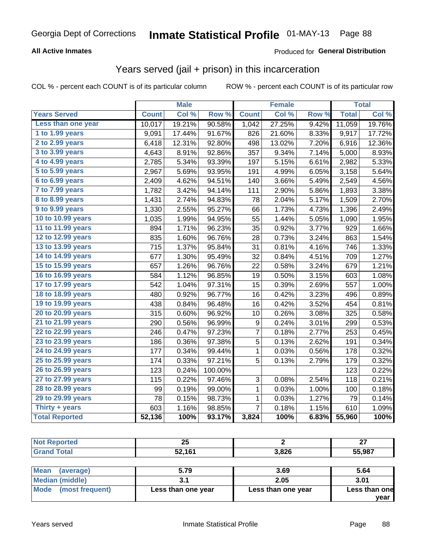### **All Active Inmates**

### Produced for **General Distribution**

### Years served (jail + prison) in this incarceration

|                              |              | <b>Male</b> |         |                | <b>Female</b> |       |              | <b>Total</b> |
|------------------------------|--------------|-------------|---------|----------------|---------------|-------|--------------|--------------|
| <b>Years Served</b>          | <b>Count</b> | Col %       | Row %   | <b>Count</b>   | Col %         | Row % | <b>Total</b> | Col %        |
| Less than one year           | 10,017       | 19.21%      | 90.58%  | 1,042          | 27.25%        | 9.42% | 11,059       | 19.76%       |
| 1 to 1.99 years              | 9,091        | 17.44%      | 91.67%  | 826            | 21.60%        | 8.33% | 9,917        | 17.72%       |
| 2 to 2.99 years              | 6,418        | 12.31%      | 92.80%  | 498            | 13.02%        | 7.20% | 6,916        | 12.36%       |
| $3$ to $3.99$ years          | 4,643        | 8.91%       | 92.86%  | 357            | 9.34%         | 7.14% | 5,000        | 8.93%        |
| $\overline{4}$ to 4.99 years | 2,785        | 5.34%       | 93.39%  | 197            | 5.15%         | 6.61% | 2,982        | 5.33%        |
| $\overline{5}$ to 5.99 years | 2,967        | 5.69%       | 93.95%  | 191            | 4.99%         | 6.05% | 3,158        | 5.64%        |
| $6$ to $6.99$ years          | 2,409        | 4.62%       | 94.51%  | 140            | 3.66%         | 5.49% | 2,549        | 4.56%        |
| 7 to 7.99 years              | 1,782        | 3.42%       | 94.14%  | 111            | 2.90%         | 5.86% | 1,893        | 3.38%        |
| 8 to 8.99 years              | 1,431        | 2.74%       | 94.83%  | 78             | 2.04%         | 5.17% | 1,509        | 2.70%        |
| 9 to 9.99 years              | 1,330        | 2.55%       | 95.27%  | 66             | 1.73%         | 4.73% | 1,396        | 2.49%        |
| 10 to 10.99 years            | 1,035        | 1.99%       | 94.95%  | 55             | 1.44%         | 5.05% | 1,090        | 1.95%        |
| 11 to 11.99 years            | 894          | 1.71%       | 96.23%  | 35             | 0.92%         | 3.77% | 929          | 1.66%        |
| 12 to 12.99 years            | 835          | 1.60%       | 96.76%  | 28             | 0.73%         | 3.24% | 863          | 1.54%        |
| 13 to 13.99 years            | 715          | 1.37%       | 95.84%  | 31             | 0.81%         | 4.16% | 746          | 1.33%        |
| 14 to 14.99 years            | 677          | 1.30%       | 95.49%  | 32             | 0.84%         | 4.51% | 709          | 1.27%        |
| 15 to 15.99 years            | 657          | 1.26%       | 96.76%  | 22             | 0.58%         | 3.24% | 679          | 1.21%        |
| 16 to 16.99 years            | 584          | 1.12%       | 96.85%  | 19             | 0.50%         | 3.15% | 603          | 1.08%        |
| 17 to 17.99 years            | 542          | 1.04%       | 97.31%  | 15             | 0.39%         | 2.69% | 557          | 1.00%        |
| 18 to 18.99 years            | 480          | 0.92%       | 96.77%  | 16             | 0.42%         | 3.23% | 496          | 0.89%        |
| 19 to 19.99 years            | 438          | 0.84%       | 96.48%  | 16             | 0.42%         | 3.52% | 454          | 0.81%        |
| 20 to 20.99 years            | 315          | 0.60%       | 96.92%  | 10             | 0.26%         | 3.08% | 325          | 0.58%        |
| 21 to 21.99 years            | 290          | 0.56%       | 96.99%  | 9              | 0.24%         | 3.01% | 299          | 0.53%        |
| 22 to 22.99 years            | 246          | 0.47%       | 97.23%  | 7              | 0.18%         | 2.77% | 253          | 0.45%        |
| 23 to 23.99 years            | 186          | 0.36%       | 97.38%  | 5              | 0.13%         | 2.62% | 191          | 0.34%        |
| 24 to 24.99 years            | 177          | 0.34%       | 99.44%  | 1              | 0.03%         | 0.56% | 178          | 0.32%        |
| 25 to 25.99 years            | 174          | 0.33%       | 97.21%  | 5              | 0.13%         | 2.79% | 179          | 0.32%        |
| 26 to 26.99 years            | 123          | 0.24%       | 100.00% |                |               |       | 123          | 0.22%        |
| 27 to 27.99 years            | 115          | 0.22%       | 97.46%  | 3              | 0.08%         | 2.54% | 118          | 0.21%        |
| 28 to 28.99 years            | 99           | 0.19%       | 99.00%  | 1              | 0.03%         | 1.00% | 100          | 0.18%        |
| 29 to 29.99 years            | 78           | 0.15%       | 98.73%  | $\mathbf{1}$   | 0.03%         | 1.27% | 79           | 0.14%        |
| Thirty + years               | 603          | 1.16%       | 98.85%  | $\overline{7}$ | 0.18%         | 1.15% | 610          | 1.09%        |
| <b>Total Reported</b>        | 52,136       | 100%        | 93.17%  | 3,824          | 100%          | 6.83% | 55,960       | 100%         |

| つに<br>∠J |       | $\sim$<br>" |
|----------|-------|-------------|
| 52,161   | 3.826 | 55,987      |

| ∣Mean<br>(average)   | 5.79               | 3.69               | 5.64          |
|----------------------|--------------------|--------------------|---------------|
| Median (middle)      |                    | 2.05               | 3.01          |
| Mode (most frequent) | Less than one year | Less than one year | Less than one |
|                      |                    |                    | vear          |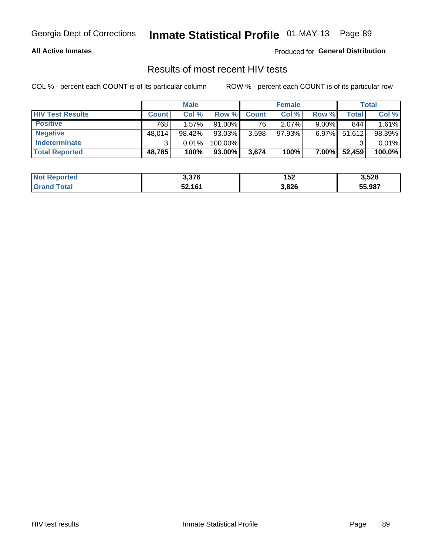### **All Active Inmates**

Produced for **General Distribution**

### Results of most recent HIV tests

|                         | <b>Male</b>  |          |         | <b>Female</b> |           |          | Total  |        |
|-------------------------|--------------|----------|---------|---------------|-----------|----------|--------|--------|
| <b>HIV Test Results</b> | <b>Count</b> | Col%     | Row %I  | <b>Count</b>  | Col %     | Row %    | Total  | Col %  |
| <b>Positive</b>         | 768          | $1.57\%$ | 91.00%  | 76            | $2.07\%$  | $9.00\%$ | 844    | 1.61%  |
| <b>Negative</b>         | 48,014       | 98.42%   | 93.03%  | 3,598         | $97.93\%$ | $6.97\%$ | 51,612 | 98.39% |
| Indeterminate           | ີ            | 0.01%    | 100.00% |               |           |          |        | 0.01%  |
| <b>Total Reported</b>   | 48,785       | 100%     | 93.00%  | 3,674         | 100%      | $7.00\%$ | 52,459 | 100.0% |

| <b>Not Reported</b> | 3,376  | 152   | 3,528  |
|---------------------|--------|-------|--------|
| Total<br>' Grand    | 52,161 | 3,826 | 55,987 |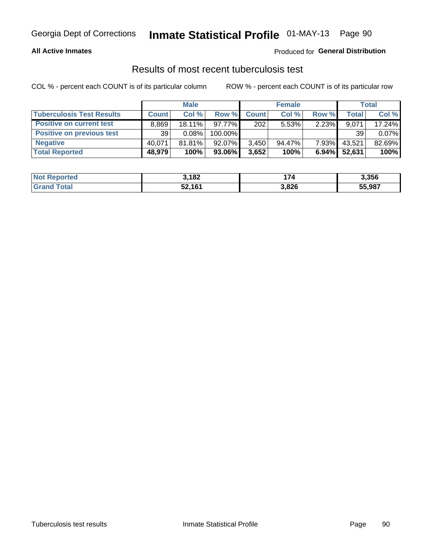### **All Active Inmates**

### Produced for **General Distribution**

### Results of most recent tuberculosis test

|                                  | <b>Male</b>  |           |           | <b>Female</b> |           |          | Total        |        |
|----------------------------------|--------------|-----------|-----------|---------------|-----------|----------|--------------|--------|
| <b>Tuberculosis Test Results</b> | <b>Count</b> | Col %     | Row %     | <b>Count</b>  | Col %     | Row %    | <b>Total</b> | Col %  |
| <b>Positive on current test</b>  | 8.869        | $18.11\%$ | 97.77%    | 202           | 5.53%     | 2.23%    | 9,071        | 17.24% |
| <b>Positive on previous test</b> | 39           | 0.08%     | 100.00%   |               |           |          | 39           | 0.07%  |
| <b>Negative</b>                  | 40.071       | 81.81%    | $92.07\%$ | 3,450         | $94.47\%$ | $7.93\%$ | 43,521       | 82.69% |
| <b>Total Reported</b>            | 48,979       | 100%      | 93.06%    | 3,652         | 100%      | $6.94\%$ | 52,631       | 100%   |

| <b>Not Reported</b>     | 3,182  | 174   | 3,356  |
|-------------------------|--------|-------|--------|
| <b>Total</b><br>' Grand | 52,161 | 3,826 | 55,987 |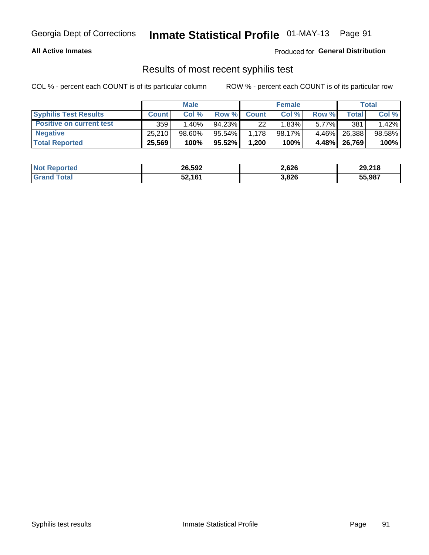### **All Active Inmates**

Produced for **General Distribution**

### Results of most recent syphilis test

|                                 | <b>Male</b>  |          |           | <b>Female</b> |        |          | Total   |        |
|---------------------------------|--------------|----------|-----------|---------------|--------|----------|---------|--------|
| <b>Syphilis Test Results</b>    | <b>Count</b> | Col%     | Row %     | <b>Count</b>  | Col %  | Row %    | Total I | Col %  |
| <b>Positive on current test</b> | 359          | $1.40\%$ | $94.23\%$ | 22            | 1.83%  | $5.77\%$ | 381     | 1.42%  |
| <b>Negative</b>                 | 25.210       | 98.60%   | 95.54%    | 1,178         | 98.17% | $4.46\%$ | 26,388  | 98.58% |
| <b>Total Reported</b>           | 25,569       | 100%     | 95.52%    | 1,200         | 100%   | 4.48%    | 26,769  | 100%   |

| <b>Not Reported</b> | 26,592 | 2,626 | 29,218 |
|---------------------|--------|-------|--------|
| <b>Grand Total</b>  | 52,161 | 3,826 | 55,987 |